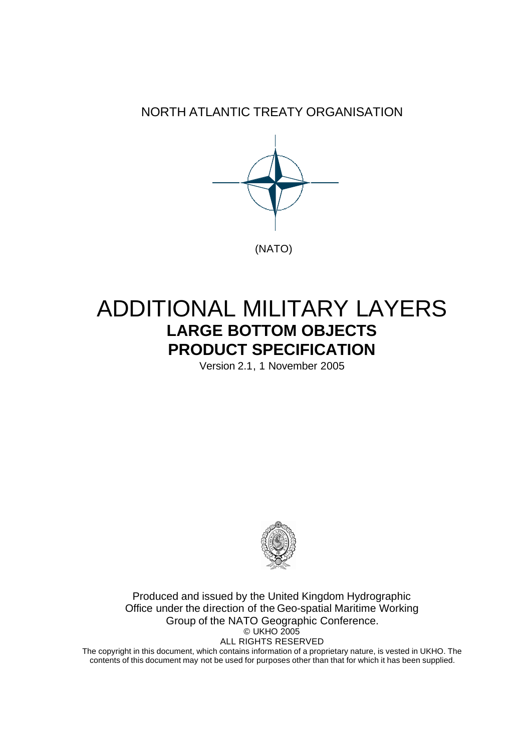NORTH ATLANTIC TREATY ORGANISATION



# ADDITIONAL MILITARY LAYERS **LARGE BOTTOM OBJECTS PRODUCT SPECIFICATION**

Version 2.1, 1 November 2005



Produced and issued by the United Kingdom Hydrographic Office under the direction of the Geo-spatial Maritime Working Group of the NATO Geographic Conference. © UKHO 2005 ALL RIGHTS RESERVED

The copyright in this document, which contains information of a proprietary nature, is vested in UKHO. The contents of this document may not be used for purposes other than that for which it has been supplied.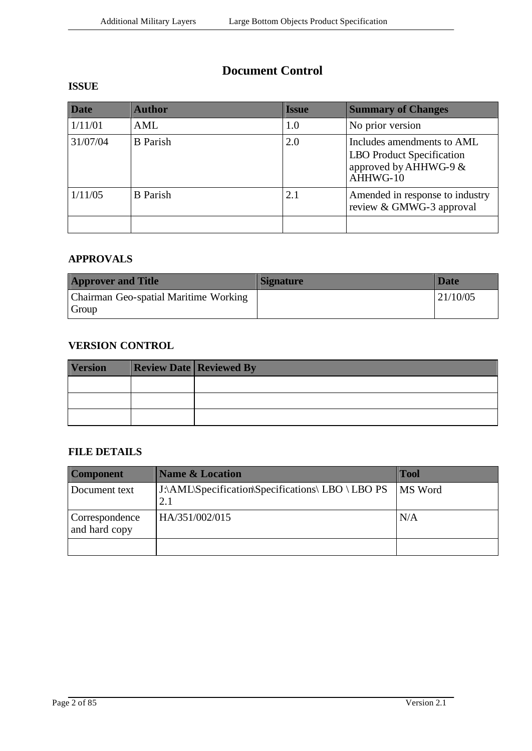### **Document Control**

#### **ISSUE**

| <b>Date</b> | <b>Author</b>   | Issue | <b>Summary of Changes</b>                                                                             |
|-------------|-----------------|-------|-------------------------------------------------------------------------------------------------------|
| 1/11/01     | AML             | 1.0   | No prior version                                                                                      |
| 31/07/04    | <b>B</b> Parish | 2.0   | Includes amendments to AML<br><b>LBO</b> Product Specification<br>approved by AHHWG-9 $&$<br>AHHWG-10 |
| 1/11/05     | <b>B</b> Parish | 2.1   | Amended in response to industry<br>review & GMWG-3 approval                                           |
|             |                 |       |                                                                                                       |

#### **APPROVALS**

| <b>Approver and Title</b>                      | <b>Signature</b> | Date     |
|------------------------------------------------|------------------|----------|
| Chairman Geo-spatial Maritime Working<br>Group |                  | 21/10/05 |

#### **VERSION CONTROL**

| <b>Version</b> | <b>Review Date Reviewed By</b> |
|----------------|--------------------------------|
|                |                                |
|                |                                |
|                |                                |

#### **FILE DETAILS**

| <b>Component</b>                | <b>Name &amp; Location</b>                        | <b>Tool</b> |
|---------------------------------|---------------------------------------------------|-------------|
| Document text                   | J:\AML\Specification\Specifications\ LBO \ LBO PS | MS Word     |
| Correspondence<br>and hard copy | HA/351/002/015                                    | N/A         |
|                                 |                                                   |             |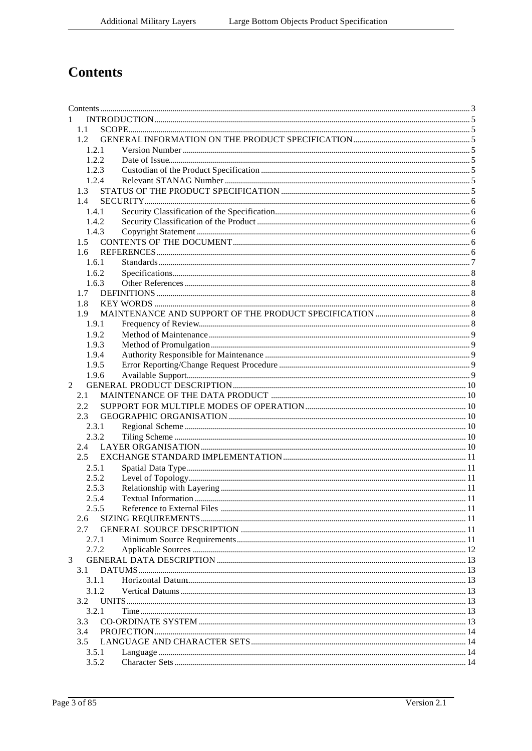## **Contents**

| 1              |               |  |  |
|----------------|---------------|--|--|
|                | 1.1           |  |  |
|                | 1.2           |  |  |
|                | 1.2.1         |  |  |
|                | 1.2.2         |  |  |
|                | 1.2.3         |  |  |
|                | 1.2.4         |  |  |
|                | 1.3           |  |  |
|                | 1.4           |  |  |
|                | 1.4.1         |  |  |
|                | 1.4.2         |  |  |
|                | 1.4.3         |  |  |
|                | $1.5 -$       |  |  |
|                | $1.6^{\circ}$ |  |  |
|                | 1.6.1         |  |  |
|                | 1.6.2         |  |  |
|                | 1.6.3         |  |  |
|                | 1.7           |  |  |
|                | 1.8           |  |  |
|                | 1.9           |  |  |
|                | 1.9.1         |  |  |
|                | 1.9.2         |  |  |
|                | 1.9.3         |  |  |
|                | 1.9.4         |  |  |
|                | 1.9.5         |  |  |
|                | 1.9.6         |  |  |
| $\mathfrak{D}$ |               |  |  |
|                | 2.1           |  |  |
|                | 2.2.          |  |  |
|                | 2.3           |  |  |
|                | 2.3.1         |  |  |
|                | 2.3.2         |  |  |
|                | 2.4           |  |  |
|                | $2.5^{\circ}$ |  |  |
|                | 2.5.1         |  |  |
|                | 2.5.2         |  |  |
|                | 2.5.3         |  |  |
|                | 2.5.4         |  |  |
|                | 2.5.5         |  |  |
|                | 2.6           |  |  |
|                | 2.7           |  |  |
|                | 2.7.1         |  |  |
|                | 2.7.2         |  |  |
| 3              |               |  |  |
|                | 3.1           |  |  |
|                | 3.1.1         |  |  |
|                | 3.1.2         |  |  |
|                | 3.2           |  |  |
|                | 3.2.1         |  |  |
|                | 3.3           |  |  |
|                | 3.4           |  |  |
|                | 3.5           |  |  |
|                | 3.5.1         |  |  |
|                | 3.5.2         |  |  |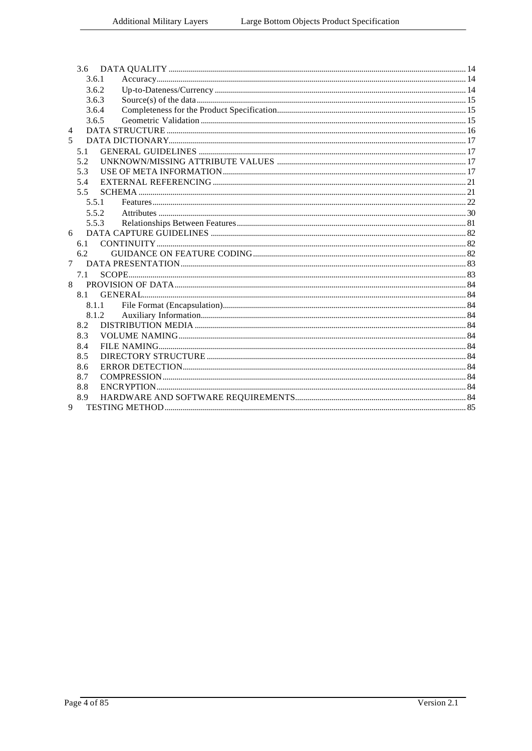|                | 3.6.1 |       |  |
|----------------|-------|-------|--|
|                | 3.6.2 |       |  |
|                | 3.6.3 |       |  |
|                | 3.6.4 |       |  |
|                | 3.6.5 |       |  |
| $\overline{4}$ |       |       |  |
| 5.             |       |       |  |
|                | 5.1   |       |  |
|                | 5.2   |       |  |
|                | 5.3   |       |  |
|                | 5.4   |       |  |
|                | 5.5   |       |  |
|                | 5.5.1 |       |  |
|                | 5.5.2 |       |  |
|                | 5.5.3 |       |  |
| 6              |       |       |  |
|                | 6.1   |       |  |
|                | 6.2   |       |  |
| $\tau$         |       |       |  |
|                | 7.1   |       |  |
| 8              |       |       |  |
|                | 8.1   |       |  |
|                |       | 8.1.1 |  |
|                |       | 8.1.2 |  |
|                | 8.2   |       |  |
|                | 8.3   |       |  |
|                | 8.4   |       |  |
|                | 8.5   |       |  |
|                | 8.6   |       |  |
|                | 8.7   |       |  |
|                | 8.8   |       |  |
|                | 8.9   |       |  |
| 9              |       |       |  |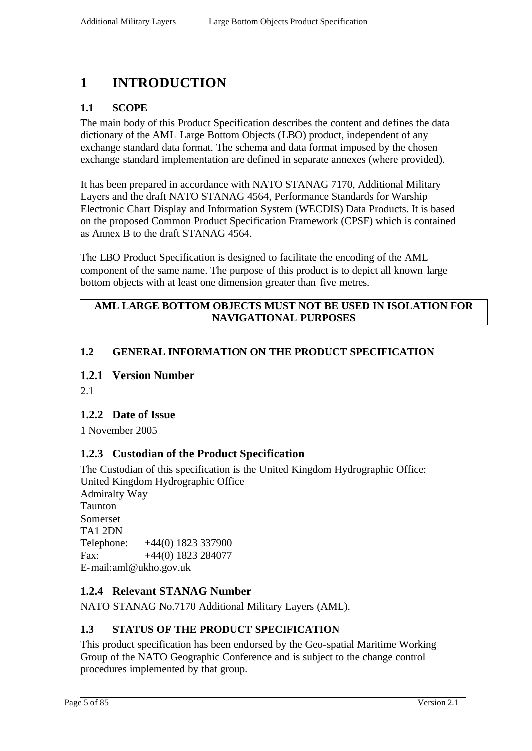## **1 INTRODUCTION**

#### **1.1 SCOPE**

The main body of this Product Specification describes the content and defines the data dictionary of the AML Large Bottom Objects (LBO) product, independent of any exchange standard data format. The schema and data format imposed by the chosen exchange standard implementation are defined in separate annexes (where provided).

It has been prepared in accordance with NATO STANAG 7170, Additional Military Layers and the draft NATO STANAG 4564, Performance Standards for Warship Electronic Chart Display and Information System (WECDIS) Data Products. It is based on the proposed Common Product Specification Framework (CPSF) which is contained as Annex B to the draft STANAG 4564.

The LBO Product Specification is designed to facilitate the encoding of the AML component of the same name. The purpose of this product is to depict all known large bottom objects with at least one dimension greater than five metres.

#### **AML LARGE BOTTOM OBJECTS MUST NOT BE USED IN ISOLATION FOR NAVIGATIONAL PURPOSES**

#### **1.2 GENERAL INFORMATION ON THE PRODUCT SPECIFICATION**

#### **1.2.1 Version Number**

2.1

#### **1.2.2 Date of Issue**

1 November 2005

#### **1.2.3 Custodian of the Product Specification**

The Custodian of this specification is the United Kingdom Hydrographic Office: United Kingdom Hydrographic Office Admiralty Way Taunton Somerset TA1 2DN Telephone: +44(0) 1823 337900 Fax:  $+44(0)$  1823 284077 E-mail:aml@ukho.gov.uk

#### **1.2.4 Relevant STANAG Number**

NATO STANAG No.7170 Additional Military Layers (AML).

#### **1.3 STATUS OF THE PRODUCT SPECIFICATION**

This product specification has been endorsed by the Geo-spatial Maritime Working Group of the NATO Geographic Conference and is subject to the change control procedures implemented by that group.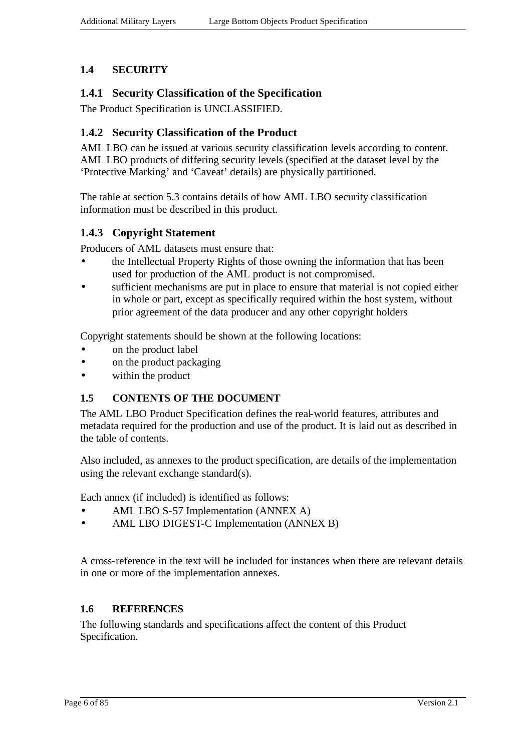#### **1.4 SECURITY**

#### **1.4.1 Security Classification of the Specification**

The Product Specification is UNCLASSIFIED.

#### **1.4.2 Security Classification of the Product**

AML LBO can be issued at various security classification levels according to content. AML LBO products of differing security levels (specified at the dataset level by the 'Protective Marking' and 'Caveat' details) are physically partitioned.

The table at section 5.3 contains details of how AML LBO security classification information must be described in this product.

#### **1.4.3 Copyright Statement**

Producers of AML datasets must ensure that:

- the Intellectual Property Rights of those owning the information that has been used for production of the AML product is not compromised.
- sufficient mechanisms are put in place to ensure that material is not copied either in whole or part, except as specifically required within the host system, without prior agreement of the data producer and any other copyright holders

Copyright statements should be shown at the following locations:

- on the product label
- on the product packaging
- within the product

#### **1.5 CONTENTS OF THE DOCUMENT**

The AML LBO Product Specification defines the real-world features, attributes and metadata required for the production and use of the product. It is laid out as described in the table of contents.

Also included, as annexes to the product specification, are details of the implementation using the relevant exchange standard(s).

Each annex (if included) is identified as follows:

- AML LBO S-57 Implementation (ANNEX A)
- AML LBO DIGEST-C Implementation (ANNEX B)

A cross-reference in the text will be included for instances when there are relevant details in one or more of the implementation annexes.

#### **1.6 REFERENCES**

The following standards and specifications affect the content of this Product Specification.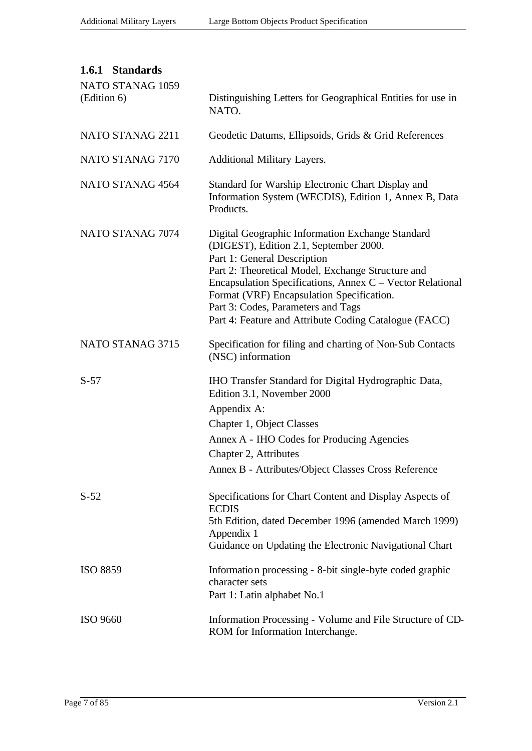| 1.6.1 Standards<br>NATO STANAG 1059 |                                                                                                                                                                                                                                                                                                                                                                                         |
|-------------------------------------|-----------------------------------------------------------------------------------------------------------------------------------------------------------------------------------------------------------------------------------------------------------------------------------------------------------------------------------------------------------------------------------------|
| (Edition 6)                         | Distinguishing Letters for Geographical Entities for use in<br>NATO.                                                                                                                                                                                                                                                                                                                    |
| NATO STANAG 2211                    | Geodetic Datums, Ellipsoids, Grids & Grid References                                                                                                                                                                                                                                                                                                                                    |
| NATO STANAG 7170                    | Additional Military Layers.                                                                                                                                                                                                                                                                                                                                                             |
| NATO STANAG 4564                    | Standard for Warship Electronic Chart Display and<br>Information System (WECDIS), Edition 1, Annex B, Data<br>Products.                                                                                                                                                                                                                                                                 |
| NATO STANAG 7074                    | Digital Geographic Information Exchange Standard<br>(DIGEST), Edition 2.1, September 2000.<br>Part 1: General Description<br>Part 2: Theoretical Model, Exchange Structure and<br>Encapsulation Specifications, Annex C – Vector Relational<br>Format (VRF) Encapsulation Specification.<br>Part 3: Codes, Parameters and Tags<br>Part 4: Feature and Attribute Coding Catalogue (FACC) |
| NATO STANAG 3715                    | Specification for filing and charting of Non-Sub Contacts<br>(NSC) information                                                                                                                                                                                                                                                                                                          |
| $S-57$                              | IHO Transfer Standard for Digital Hydrographic Data,<br>Edition 3.1, November 2000<br>Appendix A:<br>Chapter 1, Object Classes<br>Annex A - IHO Codes for Producing Agencies<br>Chapter 2, Attributes<br>Annex B - Attributes/Object Classes Cross Reference                                                                                                                            |
| $S-52$                              | Specifications for Chart Content and Display Aspects of<br><b>ECDIS</b><br>5th Edition, dated December 1996 (amended March 1999)<br>Appendix 1<br>Guidance on Updating the Electronic Navigational Chart                                                                                                                                                                                |
| <b>ISO 8859</b>                     | Information processing - 8-bit single-byte coded graphic<br>character sets<br>Part 1: Latin alphabet No.1                                                                                                                                                                                                                                                                               |
| <b>ISO 9660</b>                     | Information Processing - Volume and File Structure of CD-<br>ROM for Information Interchange.                                                                                                                                                                                                                                                                                           |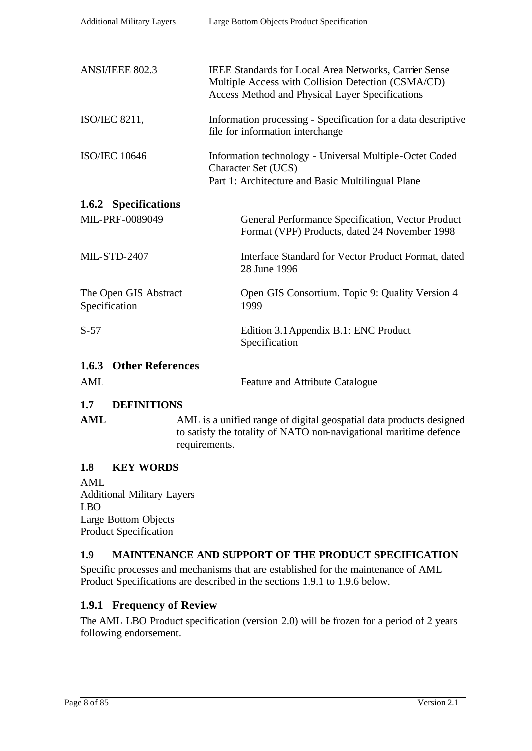| ANSI/IEEE 802.3                        | <b>IEEE Standards for Local Area Networks, Carrier Sense</b><br>Multiple Access with Collision Detection (CSMA/CD)<br>Access Method and Physical Layer Specifications |  |  |  |
|----------------------------------------|-----------------------------------------------------------------------------------------------------------------------------------------------------------------------|--|--|--|
| <b>ISO/IEC 8211,</b>                   | Information processing - Specification for a data descriptive<br>file for information interchange                                                                     |  |  |  |
| <b>ISO/IEC 10646</b>                   | Information technology - Universal Multiple-Octet Coded<br>Character Set (UCS)<br>Part 1: Architecture and Basic Multilingual Plane                                   |  |  |  |
| 1.6.2 Specifications                   |                                                                                                                                                                       |  |  |  |
| MIL-PRF-0089049                        | General Performance Specification, Vector Product<br>Format (VPF) Products, dated 24 November 1998                                                                    |  |  |  |
| <b>MIL-STD-2407</b>                    | Interface Standard for Vector Product Format, dated<br>28 June 1996                                                                                                   |  |  |  |
| The Open GIS Abstract<br>Specification | Open GIS Consortium. Topic 9: Quality Version 4<br>1999                                                                                                               |  |  |  |
| $S-57$                                 | Edition 3.1 Appendix B.1: ENC Product<br>Specification                                                                                                                |  |  |  |
| <b>1.6.3 Other References</b>          |                                                                                                                                                                       |  |  |  |
| AML                                    | Feature and Attribute Catalogue                                                                                                                                       |  |  |  |

#### **1.7 DEFINITIONS**

| AML | AML is a unified range of digital geospatial data products designed |
|-----|---------------------------------------------------------------------|
|     | to satisfy the totality of NATO non-navigational maritime defence   |
|     | requirements.                                                       |

#### **1.8 KEY WORDS**

AML Additional Military Layers LBO Large Bottom Objects Product Specification

#### **1.9 MAINTENANCE AND SUPPORT OF THE PRODUCT SPECIFICATION**

Specific processes and mechanisms that are established for the maintenance of AML Product Specifications are described in the sections 1.9.1 to 1.9.6 below.

#### **1.9.1 Frequency of Review**

The AML LBO Product specification (version 2.0) will be frozen for a period of 2 years following endorsement.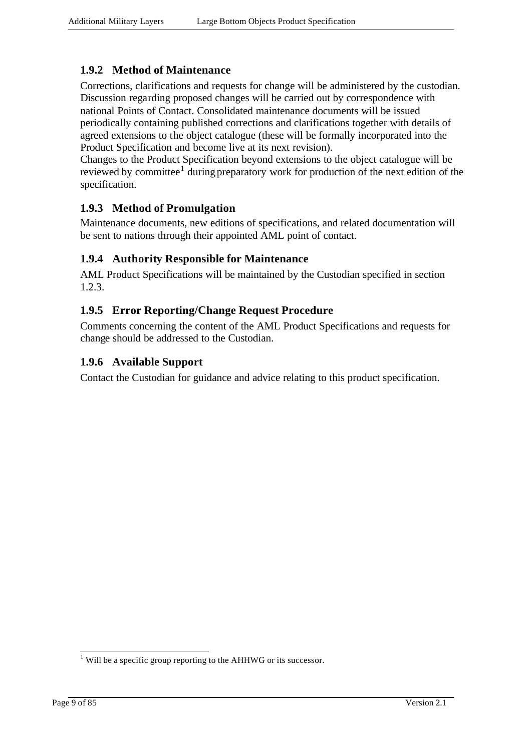#### **1.9.2 Method of Maintenance**

Corrections, clarifications and requests for change will be administered by the custodian. Discussion regarding proposed changes will be carried out by correspondence with national Points of Contact. Consolidated maintenance documents will be issued periodically containing published corrections and clarifications together with details of agreed extensions to the object catalogue (these will be formally incorporated into the Product Specification and become live at its next revision).

Changes to the Product Specification beyond extensions to the object catalogue will be reviewed by committee<sup>1</sup> during preparatory work for production of the next edition of the specification.

#### **1.9.3 Method of Promulgation**

Maintenance documents, new editions of specifications, and related documentation will be sent to nations through their appointed AML point of contact.

#### **1.9.4 Authority Responsible for Maintenance**

AML Product Specifications will be maintained by the Custodian specified in section 1.2.3.

#### **1.9.5 Error Reporting/Change Request Procedure**

Comments concerning the content of the AML Product Specifications and requests for change should be addressed to the Custodian.

#### **1.9.6 Available Support**

Contact the Custodian for guidance and advice relating to this product specification.

l

 $<sup>1</sup>$  Will be a specific group reporting to the AHHWG or its successor.</sup>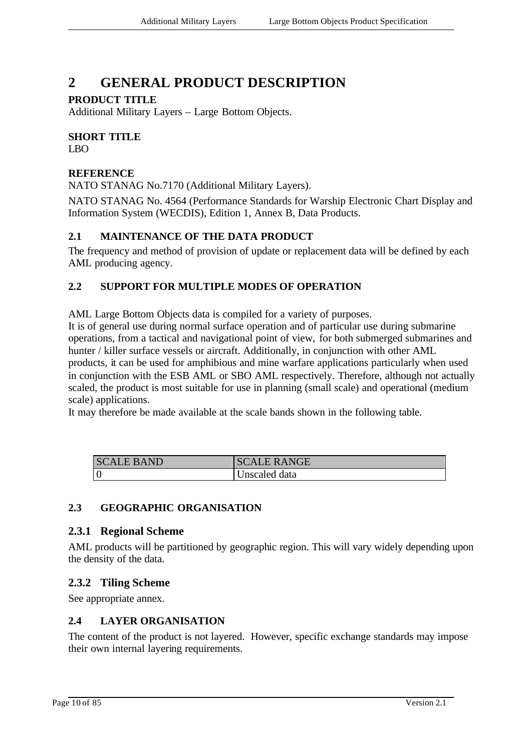## **2 GENERAL PRODUCT DESCRIPTION**

#### **PRODUCT TITLE**

Additional Military Layers – Large Bottom Objects.

## **SHORT TITLE**

LBO

#### **REFERENCE**

NATO STANAG No.7170 (Additional Military Layers).

NATO STANAG No. 4564 (Performance Standards for Warship Electronic Chart Display and Information System (WECDIS), Edition 1, Annex B, Data Products.

#### **2.1 MAINTENANCE OF THE DATA PRODUCT**

The frequency and method of provision of update or replacement data will be defined by each AML producing agency.

#### **2.2 SUPPORT FOR MULTIPLE MODES OF OPERATION**

AML Large Bottom Objects data is compiled for a variety of purposes.

It is of general use during normal surface operation and of particular use during submarine operations, from a tactical and navigational point of view, for both submerged submarines and hunter / killer surface vessels or aircraft. Additionally, in conjunction with other AML products, it can be used for amphibious and mine warfare applications particularly when used in conjunction with the ESB AML or SBO AML respectively. Therefore, although not actually scaled, the product is most suitable for use in planning (small scale) and operational (medium scale) applications.

It may therefore be made available at the scale bands shown in the following table.

| <b>SCALE BAND</b> | <b>CALE RANGE</b><br>$\mathcal{S}$ . |
|-------------------|--------------------------------------|
|                   | Unscaled data                        |

#### **2.3 GEOGRAPHIC ORGANISATION**

#### **2.3.1 Regional Scheme**

AML products will be partitioned by geographic region. This will vary widely depending upon the density of the data.

#### **2.3.2 Tiling Scheme**

See appropriate annex.

#### **2.4 LAYER ORGANISATION**

The content of the product is not layered. However, specific exchange standards may impose their own internal layering requirements.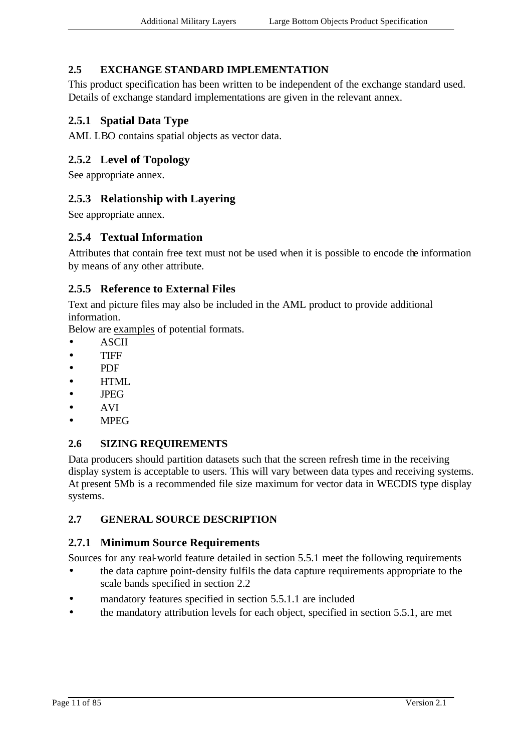#### **2.5 EXCHANGE STANDARD IMPLEMENTATION**

This product specification has been written to be independent of the exchange standard used. Details of exchange standard implementations are given in the relevant annex.

#### **2.5.1 Spatial Data Type**

AML LBO contains spatial objects as vector data.

#### **2.5.2 Level of Topology**

See appropriate annex.

#### **2.5.3 Relationship with Layering**

See appropriate annex.

#### **2.5.4 Textual Information**

Attributes that contain free text must not be used when it is possible to encode the information by means of any other attribute.

#### **2.5.5 Reference to External Files**

Text and picture files may also be included in the AML product to provide additional information.

Below are examples of potential formats.

- ASCII
- TIFF
- PDF
- HTML
- JPEG
- AVI
- MPEG

#### **2.6 SIZING REQUIREMENTS**

Data producers should partition datasets such that the screen refresh time in the receiving display system is acceptable to users. This will vary between data types and receiving systems. At present 5Mb is a recommended file size maximum for vector data in WECDIS type display systems.

#### **2.7 GENERAL SOURCE DESCRIPTION**

#### **2.7.1 Minimum Source Requirements**

Sources for any real-world feature detailed in section 5.5.1 meet the following requirements

- the data capture point-density fulfils the data capture requirements appropriate to the scale bands specified in section 2.2
- mandatory features specified in section 5.5.1.1 are included
- the mandatory attribution levels for each object, specified in section 5.5.1, are met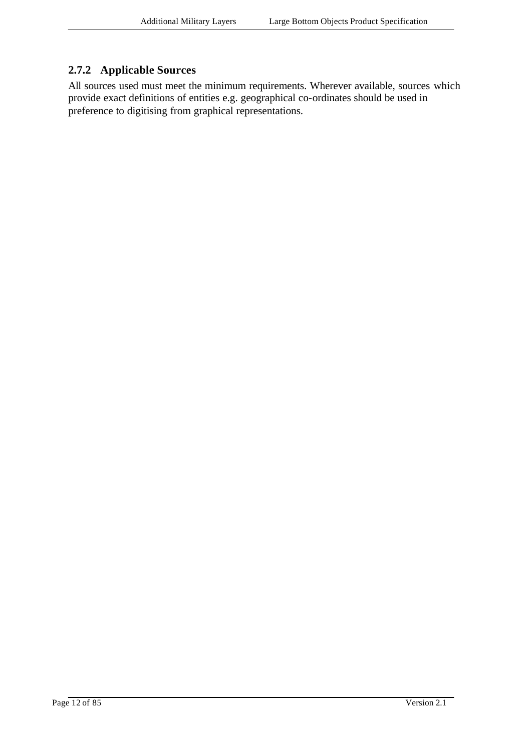#### **2.7.2 Applicable Sources**

All sources used must meet the minimum requirements. Wherever available, sources which provide exact definitions of entities e.g. geographical co-ordinates should be used in preference to digitising from graphical representations.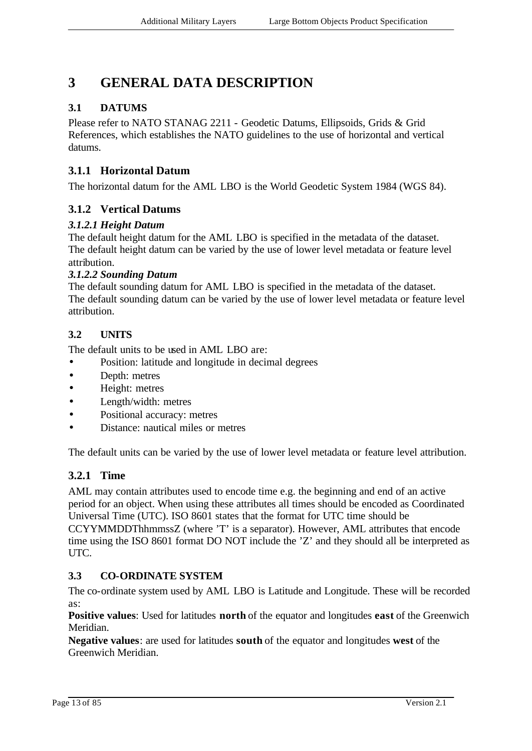## **3 GENERAL DATA DESCRIPTION**

#### **3.1 DATUMS**

Please refer to NATO STANAG 2211 - Geodetic Datums, Ellipsoids, Grids & Grid References, which establishes the NATO guidelines to the use of horizontal and vertical datums.

#### **3.1.1 Horizontal Datum**

The horizontal datum for the AML LBO is the World Geodetic System 1984 (WGS 84).

#### **3.1.2 Vertical Datums**

#### *3.1.2.1 Height Datum*

The default height datum for the AML LBO is specified in the metadata of the dataset. The default height datum can be varied by the use of lower level metadata or feature level attribution.

#### *3.1.2.2 Sounding Datum*

The default sounding datum for AML LBO is specified in the metadata of the dataset. The default sounding datum can be varied by the use of lower level metadata or feature level attribution.

#### **3.2 UNITS**

The default units to be used in AML LBO are:

- Position: latitude and longitude in decimal degrees
- Depth: metres
- Height: metres
- Length/width: metres
- Positional accuracy: metres
- Distance: nautical miles or metres

The default units can be varied by the use of lower level metadata or feature level attribution.

#### **3.2.1 Time**

AML may contain attributes used to encode time e.g. the beginning and end of an active period for an object. When using these attributes all times should be encoded as Coordinated Universal Time (UTC). ISO 8601 states that the format for UTC time should be CCYYMMDDThhmmssZ (where 'T' is a separator). However, AML attributes that encode time using the ISO 8601 format DO NOT include the 'Z' and they should all be interpreted as UTC.

#### **3.3 CO-ORDINATE SYSTEM**

The co-ordinate system used by AML LBO is Latitude and Longitude. These will be recorded as:

**Positive values**: Used for latitudes **north** of the equator and longitudes **east** of the Greenwich Meridian.

**Negative values**: are used for latitudes **south** of the equator and longitudes **west** of the Greenwich Meridian.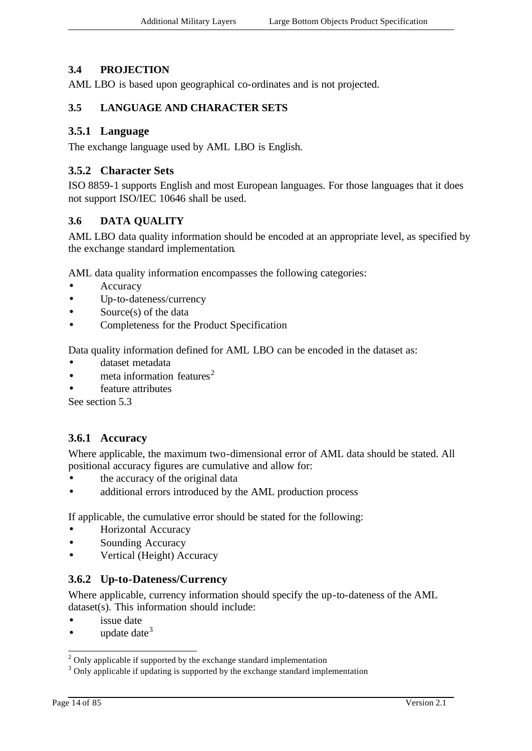#### **3.4 PROJECTION**

AML LBO is based upon geographical co-ordinates and is not projected.

#### **3.5 LANGUAGE AND CHARACTER SETS**

#### **3.5.1 Language**

The exchange language used by AML LBO is English.

#### **3.5.2 Character Sets**

ISO 8859-1 supports English and most European languages. For those languages that it does not support ISO/IEC 10646 shall be used.

#### **3.6 DATA QUALITY**

AML LBO data quality information should be encoded at an appropriate level, as specified by the exchange standard implementation.

AML data quality information encompasses the following categories:

- **Accuracy**
- Up-to-dateness/currency
- Source(s) of the data
- Completeness for the Product Specification

Data quality information defined for AML LBO can be encoded in the dataset as:

- dataset metadata
- meta information features<sup>2</sup>
- feature attributes

See section 5.3

#### **3.6.1 Accuracy**

Where applicable, the maximum two-dimensional error of AML data should be stated. All positional accuracy figures are cumulative and allow for:

- the accuracy of the original data
- additional errors introduced by the AML production process

If applicable, the cumulative error should be stated for the following:

- Horizontal Accuracy
- Sounding Accuracy
- Vertical (Height) Accuracy

#### **3.6.2 Up-to-Dateness/Currency**

Where applicable, currency information should specify the up-to-dateness of the AML dataset(s). This information should include:

- issue date
- update date  $3$

l

 $2$  Only applicable if supported by the exchange standard implementation

<sup>&</sup>lt;sup>3</sup> Only applicable if updating is supported by the exchange standard implementation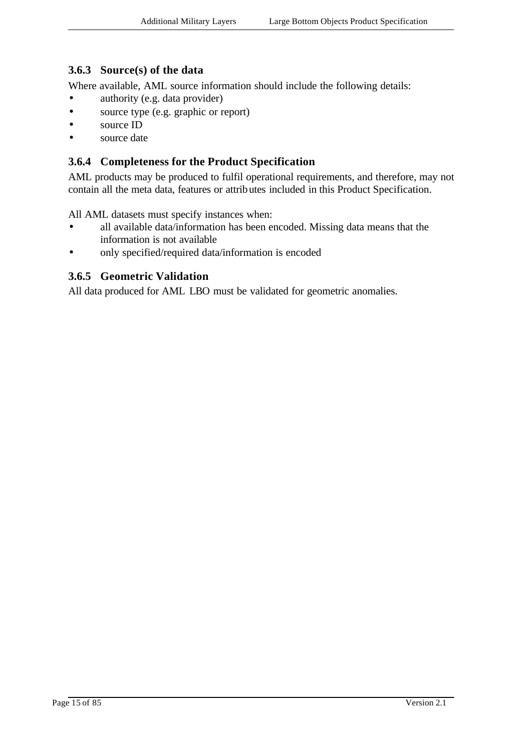#### **3.6.3 Source(s) of the data**

Where available, AML source information should include the following details:

- authority (e.g. data provider)
- source type (e.g. graphic or report)
- source ID
- source date

#### **3.6.4 Completeness for the Product Specification**

AML products may be produced to fulfil operational requirements, and therefore, may not contain all the meta data, features or attributes included in this Product Specification.

All AML datasets must specify instances when:

- all available data/information has been encoded. Missing data means that the information is not available
- only specified/required data/information is encoded

#### **3.6.5 Geometric Validation**

All data produced for AML LBO must be validated for geometric anomalies.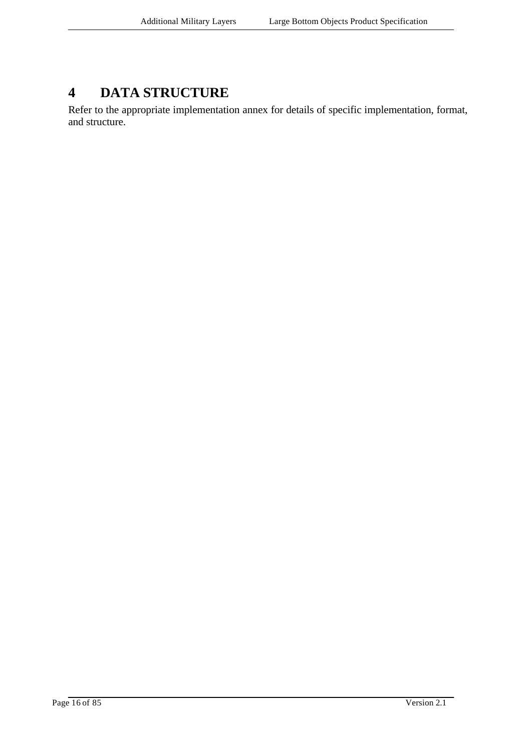## **4 DATA STRUCTURE**

Refer to the appropriate implementation annex for details of specific implementation, format, and structure.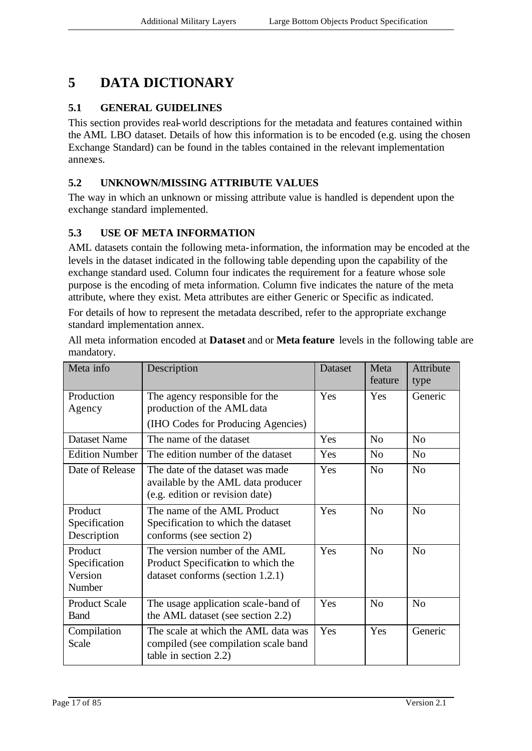## **5 DATA DICTIONARY**

#### **5.1 GENERAL GUIDELINES**

This section provides real-world descriptions for the metadata and features contained within the AML LBO dataset. Details of how this information is to be encoded (e.g. using the chosen Exchange Standard) can be found in the tables contained in the relevant implementation annexes.

#### **5.2 UNKNOWN/MISSING ATTRIBUTE VALUES**

The way in which an unknown or missing attribute value is handled is dependent upon the exchange standard implemented.

#### **5.3 USE OF META INFORMATION**

AML datasets contain the following meta-information, the information may be encoded at the levels in the dataset indicated in the following table depending upon the capability of the exchange standard used. Column four indicates the requirement for a feature whose sole purpose is the encoding of meta information. Column five indicates the nature of the meta attribute, where they exist. Meta attributes are either Generic or Specific as indicated.

For details of how to represent the metadata described, refer to the appropriate exchange standard implementation annex.

All meta information encoded at **Dataset** and or **Meta feature** levels in the following table are mandatory.

| Meta info                                     | Description                                                                                               | Dataset | Meta<br>feature | Attribute<br>type |
|-----------------------------------------------|-----------------------------------------------------------------------------------------------------------|---------|-----------------|-------------------|
| Production<br>Agency                          | The agency responsible for the<br>production of the AML data<br>(IHO Codes for Producing Agencies)        | Yes     | Yes             | Generic           |
| <b>Dataset Name</b>                           | The name of the dataset                                                                                   | Yes     | N <sub>o</sub>  | N <sub>o</sub>    |
| Edition Number                                | The edition number of the dataset                                                                         | Yes     | N <sub>o</sub>  | N <sub>o</sub>    |
| Date of Release                               | The date of the dataset was made<br>available by the AML data producer<br>(e.g. edition or revision date) | Yes     | N <sub>o</sub>  | N <sub>0</sub>    |
| Product<br>Specification<br>Description       | The name of the AML Product<br>Specification to which the dataset<br>conforms (see section 2)             | Yes     | N <sub>o</sub>  | N <sub>0</sub>    |
| Product<br>Specification<br>Version<br>Number | The version number of the AML<br>Product Specification to which the<br>dataset conforms (section 1.2.1)   | Yes     | N <sub>o</sub>  | N <sub>0</sub>    |
| <b>Product Scale</b><br><b>Band</b>           | The usage application scale-band of<br>the AML dataset (see section 2.2)                                  | Yes     | N <sub>o</sub>  | N <sub>0</sub>    |
| Compilation<br>Scale                          | The scale at which the AML data was<br>compiled (see compilation scale band<br>table in section 2.2)      | Yes     | Yes             | Generic           |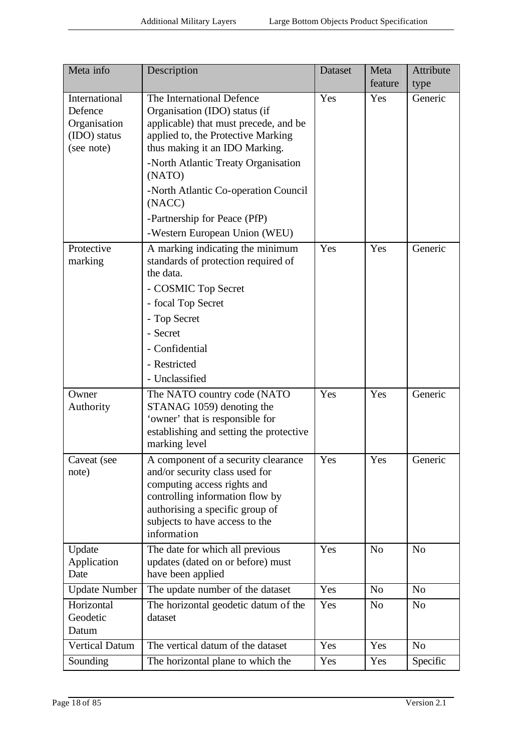| Meta info                                                              | Description                                                                                                                                                                                                                                                                                                                                     | Dataset | Meta<br>feature | Attribute<br>type |
|------------------------------------------------------------------------|-------------------------------------------------------------------------------------------------------------------------------------------------------------------------------------------------------------------------------------------------------------------------------------------------------------------------------------------------|---------|-----------------|-------------------|
| International<br>Defence<br>Organisation<br>(IDO) status<br>(see note) | The International Defence<br>Organisation (IDO) status (if<br>applicable) that must precede, and be<br>applied to, the Protective Marking<br>thus making it an IDO Marking.<br>-North Atlantic Treaty Organisation<br>(NATO)<br>-North Atlantic Co-operation Council<br>(NACC)<br>-Partnership for Peace (PfP)<br>-Western European Union (WEU) | Yes     | Yes             | Generic           |
| Protective<br>marking                                                  | A marking indicating the minimum<br>standards of protection required of<br>the data.<br>- COSMIC Top Secret<br>- focal Top Secret<br>- Top Secret<br>- Secret<br>- Confidential<br>- Restricted<br>- Unclassified                                                                                                                               | Yes     | Yes             | Generic           |
| Owner<br>Authority                                                     | The NATO country code (NATO<br>STANAG 1059) denoting the<br>'owner' that is responsible for<br>establishing and setting the protective<br>marking level                                                                                                                                                                                         | Yes     | Yes             | Generic           |
| Caveat (see<br>note)                                                   | A component of a security clearance<br>and/or security class used for<br>computing access rights and<br>controlling information flow by<br>authorising a specific group of<br>subjects to have access to the<br>information                                                                                                                     | Yes     | Yes             | Generic           |
| Update<br>Application<br>Date                                          | The date for which all previous<br>updates (dated on or before) must<br>have been applied                                                                                                                                                                                                                                                       | Yes     | N <sub>o</sub>  | N <sub>o</sub>    |
| Update Number                                                          | The update number of the dataset                                                                                                                                                                                                                                                                                                                | Yes     | N <sub>o</sub>  | N <sub>o</sub>    |
| Horizontal<br>Geodetic<br>Datum                                        | The horizontal geodetic datum of the<br>dataset                                                                                                                                                                                                                                                                                                 | Yes     | N <sub>o</sub>  | N <sub>o</sub>    |
| <b>Vertical Datum</b>                                                  | The vertical datum of the dataset                                                                                                                                                                                                                                                                                                               | Yes     | Yes             | N <sub>o</sub>    |
| Sounding                                                               | The horizontal plane to which the                                                                                                                                                                                                                                                                                                               | Yes     | Yes             | Specific          |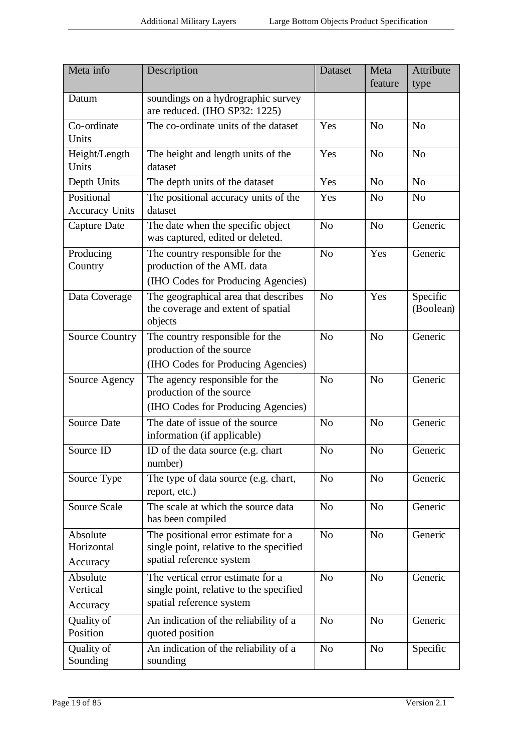| Meta info                           | Description                                                                                                | <b>Dataset</b> | Meta<br>feature | Attribute<br>type     |
|-------------------------------------|------------------------------------------------------------------------------------------------------------|----------------|-----------------|-----------------------|
| Datum                               | soundings on a hydrographic survey<br>are reduced. (IHO SP32: 1225)                                        |                |                 |                       |
| Co-ordinate<br>Units                | The co-ordinate units of the dataset                                                                       | Yes            | N <sub>o</sub>  | N <sub>o</sub>        |
| Height/Length<br>Units              | The height and length units of the<br>dataset                                                              | Yes            | N <sub>o</sub>  | N <sub>o</sub>        |
| Depth Units                         | The depth units of the dataset                                                                             | Yes            | N <sub>o</sub>  | N <sub>o</sub>        |
| Positional<br><b>Accuracy Units</b> | The positional accuracy units of the<br>dataset                                                            | Yes            | N <sub>o</sub>  | N <sub>o</sub>        |
| <b>Capture Date</b>                 | The date when the specific object<br>was captured, edited or deleted.                                      | N <sub>o</sub> | N <sub>o</sub>  | Generic               |
| Producing<br>Country                | The country responsible for the<br>production of the AML data<br>(IHO Codes for Producing Agencies)        | N <sub>o</sub> | Yes             | Generic               |
| Data Coverage                       | The geographical area that describes<br>the coverage and extent of spatial<br>objects                      | N <sub>0</sub> | Yes             | Specific<br>(Boolean) |
| <b>Source Country</b>               | The country responsible for the<br>production of the source<br>(IHO Codes for Producing Agencies)          | N <sub>o</sub> | N <sub>o</sub>  | Generic               |
| Source Agency                       | The agency responsible for the<br>production of the source<br>(IHO Codes for Producing Agencies)           | N <sub>o</sub> | N <sub>o</sub>  | Generic               |
| <b>Source Date</b>                  | The date of issue of the source<br>information (if applicable)                                             | N <sub>o</sub> | N <sub>o</sub>  | Generic               |
| Source ID                           | ID of the data source (e.g. chart<br>number)                                                               | N <sub>o</sub> | N <sub>o</sub>  | Generic               |
| Source Type                         | The type of data source (e.g. chart,<br>report, etc.)                                                      | N <sub>0</sub> | N <sub>o</sub>  | Generic               |
| <b>Source Scale</b>                 | The scale at which the source data<br>has been compiled                                                    | N <sub>o</sub> | N <sub>o</sub>  | Generic               |
| Absolute<br>Horizontal<br>Accuracy  | The positional error estimate for a<br>single point, relative to the specified<br>spatial reference system | N <sub>o</sub> | N <sub>o</sub>  | Generic               |
| Absolute<br>Vertical<br>Accuracy    | The vertical error estimate for a<br>single point, relative to the specified<br>spatial reference system   | N <sub>o</sub> | N <sub>o</sub>  | Generic               |
| Quality of<br>Position              | An indication of the reliability of a<br>quoted position                                                   | N <sub>o</sub> | N <sub>o</sub>  | Generic               |
| Quality of<br>Sounding              | An indication of the reliability of a<br>sounding                                                          | N <sub>o</sub> | N <sub>o</sub>  | Specific              |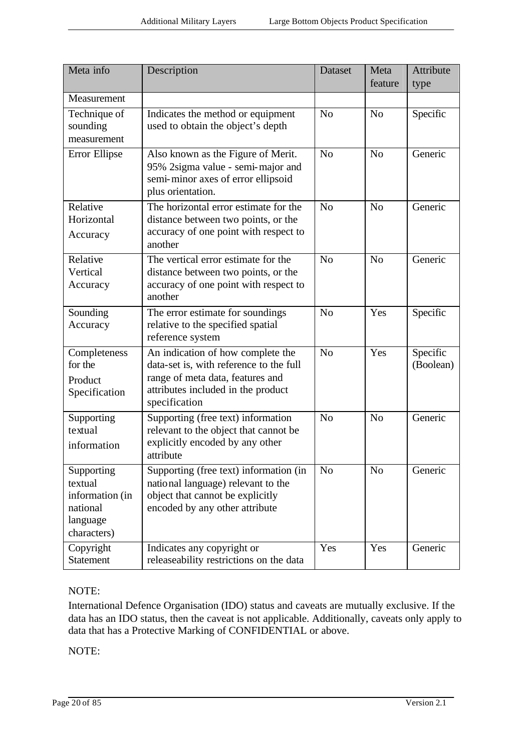| Meta info                                                                       | Description                                                                                                                                                             | Dataset        | Meta           | Attribute             |
|---------------------------------------------------------------------------------|-------------------------------------------------------------------------------------------------------------------------------------------------------------------------|----------------|----------------|-----------------------|
|                                                                                 |                                                                                                                                                                         |                | feature        | type                  |
| Measurement                                                                     |                                                                                                                                                                         |                |                |                       |
| Technique of<br>sounding<br>measurement                                         | Indicates the method or equipment<br>used to obtain the object's depth                                                                                                  | N <sub>o</sub> | N <sub>o</sub> | Specific              |
| Error Ellipse                                                                   | Also known as the Figure of Merit.<br>95% 2sigma value - semi-major and<br>semi-minor axes of error ellipsoid<br>plus orientation.                                      | N <sub>0</sub> | N <sub>o</sub> | Generic               |
| Relative<br>Horizontal<br>Accuracy                                              | The horizontal error estimate for the<br>distance between two points, or the<br>accuracy of one point with respect to<br>another                                        | N <sub>o</sub> | N <sub>o</sub> | Generic               |
| Relative<br>Vertical<br>Accuracy                                                | The vertical error estimate for the<br>distance between two points, or the<br>accuracy of one point with respect to<br>another                                          | N <sub>0</sub> | N <sub>o</sub> | Generic               |
| Sounding<br>Accuracy                                                            | The error estimate for soundings<br>relative to the specified spatial<br>reference system                                                                               | N <sub>o</sub> | Yes            | Specific              |
| Completeness<br>for the<br>Product<br>Specification                             | An indication of how complete the<br>data-set is, with reference to the full<br>range of meta data, features and<br>attributes included in the product<br>specification | N <sub>o</sub> | Yes            | Specific<br>(Boolean) |
| Supporting<br>textual<br>information                                            | Supporting (free text) information<br>relevant to the object that cannot be<br>explicitly encoded by any other<br>attribute                                             | N <sub>o</sub> | N <sub>o</sub> | Generic               |
| Supporting<br>textual<br>information (in<br>national<br>language<br>characters) | Supporting (free text) information (in<br>national language) relevant to the<br>object that cannot be explicitly<br>encoded by any other attribute                      | N <sub>o</sub> | N <sub>o</sub> | Generic               |
| Copyright<br><b>Statement</b>                                                   | Indicates any copyright or<br>releaseability restrictions on the data                                                                                                   | Yes            | Yes            | Generic               |

#### NOTE:

International Defence Organisation (IDO) status and caveats are mutually exclusive. If the data has an IDO status, then the caveat is not applicable. Additionally, caveats only apply to data that has a Protective Marking of CONFIDENTIAL or above.

NOTE: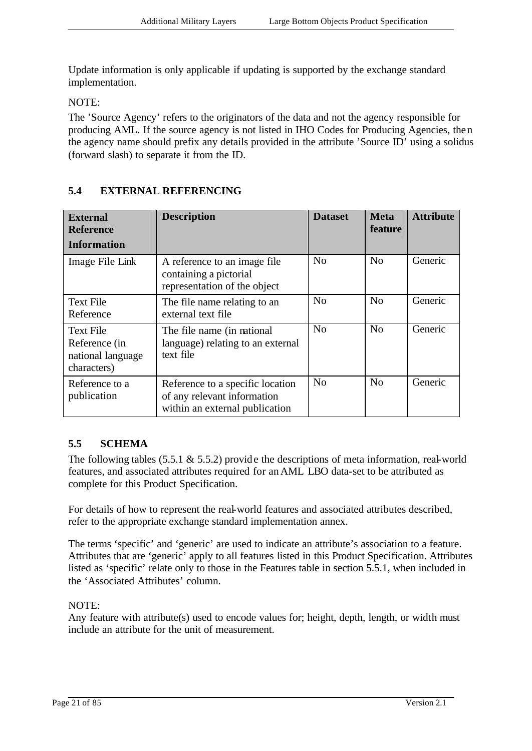Update information is only applicable if updating is supported by the exchange standard implementation.

NOTE:

The 'Source Agency' refers to the originators of the data and not the agency responsible for producing AML. If the source agency is not listed in IHO Codes for Producing Agencies, then the agency name should prefix any details provided in the attribute 'Source ID' using a solidus (forward slash) to separate it from the ID.

| <b>External</b><br><b>Reference</b><br>Information                    | <b>Description</b>                                                                                | <b>Dataset</b> | <b>Meta</b><br>feature | <b>Attribute</b> |
|-----------------------------------------------------------------------|---------------------------------------------------------------------------------------------------|----------------|------------------------|------------------|
| Image File Link                                                       | A reference to an image file.<br>containing a pictorial<br>representation of the object           | N <sub>o</sub> | No                     | Generic          |
| <b>Text File</b><br>Reference                                         | The file name relating to an<br>external text file                                                | N <sub>0</sub> | N <sub>0</sub>         | Generic          |
| <b>Text File</b><br>Reference (in<br>national language<br>characters) | The file name (in national<br>language) relating to an external<br>text file                      | N <sub>o</sub> | No                     | Generic          |
| Reference to a<br>publication                                         | Reference to a specific location<br>of any relevant information<br>within an external publication | N <sub>0</sub> | N <sub>o</sub>         | Generic          |

#### **5.4 EXTERNAL REFERENCING**

#### **5.5 SCHEMA**

The following tables  $(5.5.1 \& 5.5.2)$  provide the descriptions of meta information, real-world features, and associated attributes required for an AML LBO data-set to be attributed as complete for this Product Specification.

For details of how to represent the real-world features and associated attributes described, refer to the appropriate exchange standard implementation annex.

The terms 'specific' and 'generic' are used to indicate an attribute's association to a feature. Attributes that are 'generic' apply to all features listed in this Product Specification. Attributes listed as 'specific' relate only to those in the Features table in section 5.5.1, when included in the 'Associated Attributes' column.

#### NOTE:

Any feature with attribute(s) used to encode values for; height, depth, length, or width must include an attribute for the unit of measurement.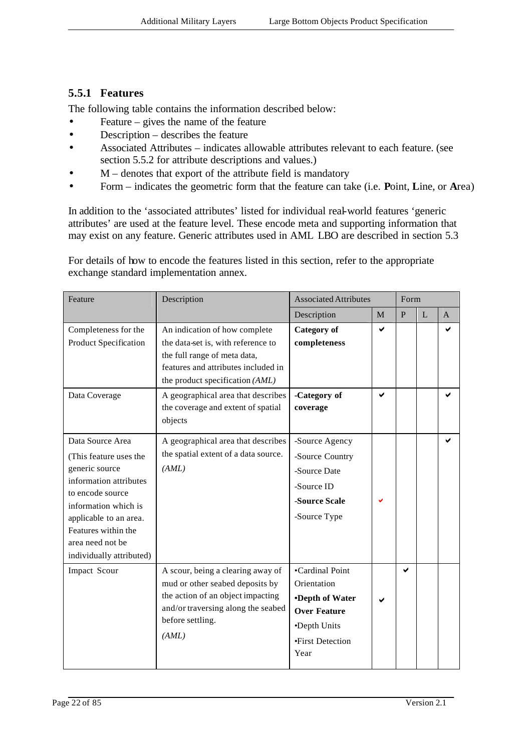#### **5.5.1 Features**

The following table contains the information described below:

- Feature gives the name of the feature
- Description describes the feature
- Associated Attributes indicates allowable attributes relevant to each feature. (see section 5.5.2 for attribute descriptions and values.)
- $M$  denotes that export of the attribute field is mandatory
- Form indicates the geometric form that the feature can take (i.e. **P**oint, **L**ine, or **A**rea)

In addition to the 'associated attributes' listed for individual real-world features 'generic attributes' are used at the feature level. These encode meta and supporting information that may exist on any feature. Generic attributes used in AML LBO are described in section 5.3

For details of how to encode the features listed in this section, refer to the appropriate exchange standard implementation annex.

| Feature                                                                                                                                                                                                                             | Description                                                                                                                                                                   | <b>Associated Attributes</b>                                                                                         |   | Form         |   |              |
|-------------------------------------------------------------------------------------------------------------------------------------------------------------------------------------------------------------------------------------|-------------------------------------------------------------------------------------------------------------------------------------------------------------------------------|----------------------------------------------------------------------------------------------------------------------|---|--------------|---|--------------|
|                                                                                                                                                                                                                                     |                                                                                                                                                                               | Description                                                                                                          | M | $\mathbf{P}$ | L | $\mathsf{A}$ |
| Completeness for the<br>Product Specification                                                                                                                                                                                       | An indication of how complete<br>the data-set is, with reference to<br>the full range of meta data,<br>features and attributes included in<br>the product specification (AML) | <b>Category</b> of<br>completeness                                                                                   | ✔ |              |   |              |
| Data Coverage                                                                                                                                                                                                                       | A geographical area that describes<br>the coverage and extent of spatial<br>objects                                                                                           | -Category of<br>coverage                                                                                             | ✔ |              |   | ✔            |
| Data Source Area<br>(This feature uses the<br>generic source<br>information attributes<br>to encode source<br>information which is<br>applicable to an area.<br>Features within the<br>area need not be<br>individually attributed) | A geographical area that describes<br>the spatial extent of a data source.<br>(AML)                                                                                           | -Source Agency<br>-Source Country<br>-Source Date<br>-Source ID<br>-Source Scale<br>-Source Type                     |   |              |   | ✔            |
| Impact Scour                                                                                                                                                                                                                        | A scour, being a clearing away of<br>mud or other seabed deposits by<br>the action of an object impacting<br>and/or traversing along the seabed<br>before settling.<br>(AML)  | •Cardinal Point<br>Orientation<br>•Depth of Water<br><b>Over Feature</b><br>•Depth Units<br>•First Detection<br>Year |   | ✔            |   |              |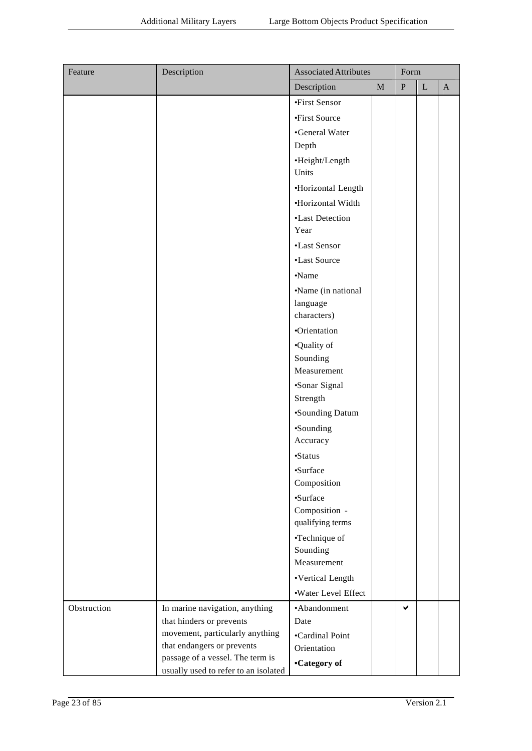| Feature     | Description                                                    | <b>Associated Attributes</b> |             | Form         |             |              |
|-------------|----------------------------------------------------------------|------------------------------|-------------|--------------|-------------|--------------|
|             |                                                                | Description                  | $\mathbf M$ | $\, {\bf P}$ | $\mathbf L$ | $\mathbf{A}$ |
|             |                                                                | •First Sensor                |             |              |             |              |
|             |                                                                | •First Source                |             |              |             |              |
|             |                                                                | •General Water               |             |              |             |              |
|             |                                                                | Depth                        |             |              |             |              |
|             |                                                                | ·Height/Length               |             |              |             |              |
|             |                                                                | Units                        |             |              |             |              |
|             |                                                                | ·Horizontal Length           |             |              |             |              |
|             |                                                                | ·Horizontal Width            |             |              |             |              |
|             |                                                                | •Last Detection              |             |              |             |              |
|             |                                                                | Year                         |             |              |             |              |
|             |                                                                | •Last Sensor                 |             |              |             |              |
|             |                                                                | •Last Source                 |             |              |             |              |
|             |                                                                | •Name                        |             |              |             |              |
|             |                                                                | •Name (in national           |             |              |             |              |
|             |                                                                | language                     |             |              |             |              |
|             |                                                                | characters)                  |             |              |             |              |
|             |                                                                | •Orientation                 |             |              |             |              |
|             |                                                                | •Quality of                  |             |              |             |              |
|             |                                                                | Sounding                     |             |              |             |              |
|             |                                                                | Measurement                  |             |              |             |              |
|             |                                                                | •Sonar Signal                |             |              |             |              |
|             |                                                                | Strength                     |             |              |             |              |
|             |                                                                | •Sounding Datum              |             |              |             |              |
|             |                                                                | •Sounding                    |             |              |             |              |
|             |                                                                | Accuracy                     |             |              |             |              |
|             |                                                                | •Status                      |             |              |             |              |
|             |                                                                | ·Surface                     |             |              |             |              |
|             |                                                                | Composition                  |             |              |             |              |
|             |                                                                | •Surface                     |             |              |             |              |
|             |                                                                | Composition -                |             |              |             |              |
|             |                                                                | qualifying terms             |             |              |             |              |
|             |                                                                | •Technique of                |             |              |             |              |
|             |                                                                | Sounding                     |             |              |             |              |
|             |                                                                | Measurement                  |             |              |             |              |
|             |                                                                | •Vertical Length             |             |              |             |              |
|             |                                                                | ·Water Level Effect          |             |              |             |              |
| Obstruction | In marine navigation, anything                                 | •Abandonment                 |             | ✔            |             |              |
|             | that hinders or prevents                                       | Date                         |             |              |             |              |
|             | movement, particularly anything                                | •Cardinal Point              |             |              |             |              |
|             | that endangers or prevents<br>passage of a vessel. The term is | Orientation                  |             |              |             |              |
|             | usually used to refer to an isolated                           | •Category of                 |             |              |             |              |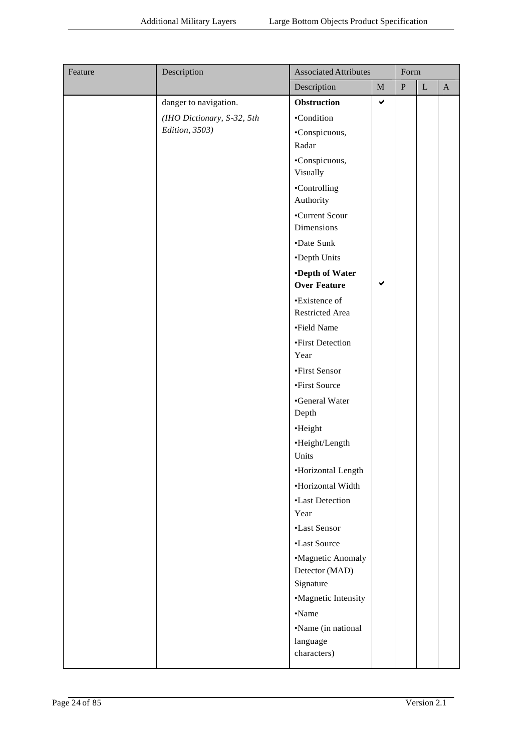| Feature | Description                | <b>Associated Attributes</b> |              | Form      |             |              |
|---------|----------------------------|------------------------------|--------------|-----------|-------------|--------------|
|         |                            | Description                  | $\mathbf M$  | ${\bf P}$ | $\mathbf L$ | $\mathbf{A}$ |
|         | danger to navigation.      | Obstruction                  | $\checkmark$ |           |             |              |
|         | (IHO Dictionary, S-32, 5th | •Condition                   |              |           |             |              |
|         | Edition, 3503)             | •Conspicuous,                |              |           |             |              |
|         |                            | Radar                        |              |           |             |              |
|         |                            | •Conspicuous,<br>Visually    |              |           |             |              |
|         |                            | •Controlling<br>Authority    |              |           |             |              |
|         |                            | •Current Scour<br>Dimensions |              |           |             |              |
|         |                            | •Date Sunk                   |              |           |             |              |
|         |                            | •Depth Units                 |              |           |             |              |
|         |                            | <b>•Depth of Water</b>       |              |           |             |              |
|         |                            | <b>Over Feature</b>          | $\checkmark$ |           |             |              |
|         |                            | •Existence of                |              |           |             |              |
|         |                            | Restricted Area              |              |           |             |              |
|         |                            | •Field Name                  |              |           |             |              |
|         |                            | •First Detection             |              |           |             |              |
|         |                            | Year                         |              |           |             |              |
|         |                            | •First Sensor                |              |           |             |              |
|         |                            | •First Source                |              |           |             |              |
|         |                            | •General Water<br>Depth      |              |           |             |              |
|         |                            | •Height                      |              |           |             |              |
|         |                            | •Height/Length<br>Units      |              |           |             |              |
|         |                            | ·Horizontal Length           |              |           |             |              |
|         |                            | •Horizontal Width            |              |           |             |              |
|         |                            | •Last Detection              |              |           |             |              |
|         |                            | Year                         |              |           |             |              |
|         |                            | •Last Sensor                 |              |           |             |              |
|         |                            | •Last Source                 |              |           |             |              |
|         |                            | •Magnetic Anomaly            |              |           |             |              |
|         |                            | Detector (MAD)               |              |           |             |              |
|         |                            | Signature                    |              |           |             |              |
|         |                            | •Magnetic Intensity          |              |           |             |              |
|         |                            | •Name                        |              |           |             |              |
|         |                            | •Name (in national           |              |           |             |              |
|         |                            | language                     |              |           |             |              |
|         |                            | characters)                  |              |           |             |              |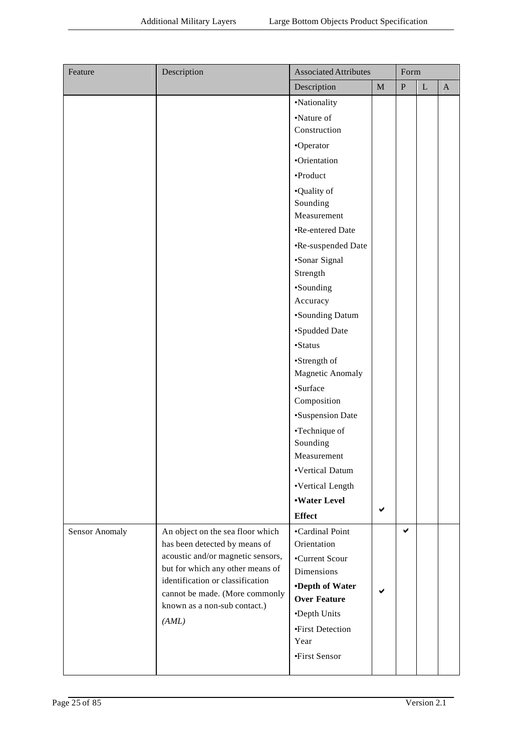| Feature                                                              | Description                       | <b>Associated Attributes</b> |             | Form      |             |              |
|----------------------------------------------------------------------|-----------------------------------|------------------------------|-------------|-----------|-------------|--------------|
|                                                                      |                                   | Description                  | $\mathbf M$ | ${\bf P}$ | $\mathbf L$ | $\mathbf{A}$ |
|                                                                      |                                   | •Nationality                 |             |           |             |              |
|                                                                      |                                   | •Nature of                   |             |           |             |              |
|                                                                      |                                   | Construction                 |             |           |             |              |
|                                                                      |                                   | •Operator                    |             |           |             |              |
|                                                                      |                                   | •Orientation                 |             |           |             |              |
|                                                                      |                                   | •Product                     |             |           |             |              |
|                                                                      |                                   | •Quality of                  |             |           |             |              |
|                                                                      |                                   | Sounding                     |             |           |             |              |
|                                                                      |                                   | Measurement                  |             |           |             |              |
|                                                                      |                                   | •Re-entered Date             |             |           |             |              |
|                                                                      |                                   | •Re-suspended Date           |             |           |             |              |
|                                                                      |                                   | •Sonar Signal                |             |           |             |              |
|                                                                      |                                   | Strength                     |             |           |             |              |
|                                                                      |                                   | •Sounding                    |             |           |             |              |
|                                                                      |                                   | Accuracy                     |             |           |             |              |
|                                                                      |                                   | •Sounding Datum              |             |           |             |              |
|                                                                      |                                   | •Spudded Date                |             |           |             |              |
|                                                                      |                                   | •Status                      |             |           |             |              |
|                                                                      |                                   | •Strength of                 |             |           |             |              |
|                                                                      |                                   | <b>Magnetic Anomaly</b>      |             |           |             |              |
|                                                                      |                                   | •Surface                     |             |           |             |              |
|                                                                      |                                   | Composition                  |             |           |             |              |
|                                                                      |                                   | •Suspension Date             |             |           |             |              |
|                                                                      |                                   | •Technique of<br>Sounding    |             |           |             |              |
|                                                                      |                                   | Measurement                  |             |           |             |              |
|                                                                      |                                   | •Vertical Datum              |             |           |             |              |
|                                                                      |                                   | •Vertical Length             |             |           |             |              |
|                                                                      |                                   | <b>.Water Level</b>          |             |           |             |              |
|                                                                      |                                   | <b>Effect</b>                | ✔           |           |             |              |
|                                                                      | An object on the sea floor which  | •Cardinal Point              |             | ✔         |             |              |
| Sensor Anomaly                                                       | has been detected by means of     | Orientation                  |             |           |             |              |
|                                                                      | acoustic and/or magnetic sensors, | •Current Scour               |             |           |             |              |
| but for which any other means of<br>identification or classification | Dimensions                        |                              |             |           |             |              |
|                                                                      | •Depth of Water                   |                              |             |           |             |              |
|                                                                      | cannot be made. (More commonly    | <b>Over Feature</b>          | ✔           |           |             |              |
| known as a non-sub contact.)<br>(AML)                                | •Depth Units                      |                              |             |           |             |              |
|                                                                      | •First Detection                  |                              |             |           |             |              |
|                                                                      |                                   | Year                         |             |           |             |              |
|                                                                      |                                   | •First Sensor                |             |           |             |              |
|                                                                      |                                   |                              |             |           |             |              |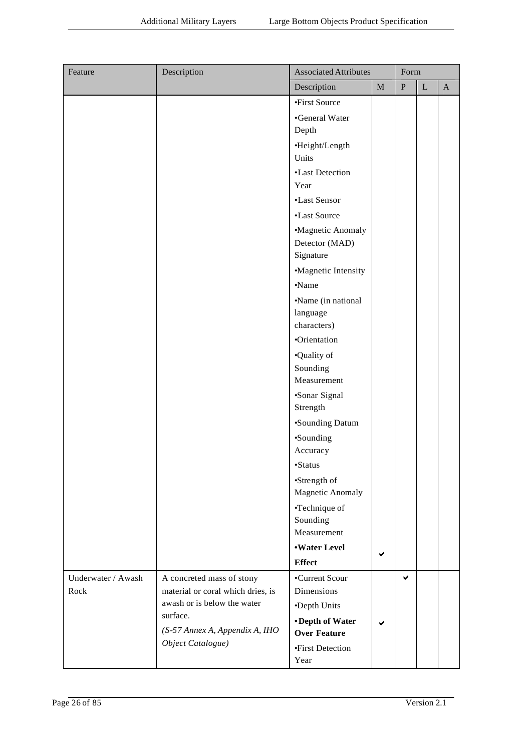| Feature            | Description                                                      | <b>Associated Attributes</b> |             | Form      |         |              |
|--------------------|------------------------------------------------------------------|------------------------------|-------------|-----------|---------|--------------|
|                    |                                                                  | Description                  | $\mathbf M$ | ${\bf P}$ | $\bf L$ | $\mathbf{A}$ |
|                    |                                                                  | •First Source                |             |           |         |              |
|                    |                                                                  | •General Water               |             |           |         |              |
|                    |                                                                  | Depth                        |             |           |         |              |
|                    |                                                                  | ·Height/Length               |             |           |         |              |
|                    |                                                                  | Units                        |             |           |         |              |
|                    |                                                                  | •Last Detection              |             |           |         |              |
|                    |                                                                  | Year                         |             |           |         |              |
|                    |                                                                  | •Last Sensor                 |             |           |         |              |
|                    |                                                                  | •Last Source                 |             |           |         |              |
|                    |                                                                  | •Magnetic Anomaly            |             |           |         |              |
|                    |                                                                  | Detector (MAD)               |             |           |         |              |
|                    |                                                                  | Signature                    |             |           |         |              |
|                    |                                                                  | •Magnetic Intensity          |             |           |         |              |
|                    |                                                                  | •Name                        |             |           |         |              |
|                    |                                                                  | •Name (in national           |             |           |         |              |
|                    |                                                                  | language                     |             |           |         |              |
|                    |                                                                  | characters)                  |             |           |         |              |
|                    |                                                                  | •Orientation                 |             |           |         |              |
|                    |                                                                  | •Quality of                  |             |           |         |              |
|                    |                                                                  | Sounding                     |             |           |         |              |
|                    |                                                                  | Measurement                  |             |           |         |              |
|                    |                                                                  | •Sonar Signal                |             |           |         |              |
|                    |                                                                  | Strength                     |             |           |         |              |
|                    |                                                                  | •Sounding Datum              |             |           |         |              |
|                    |                                                                  | •Sounding                    |             |           |         |              |
|                    |                                                                  | Accuracy                     |             |           |         |              |
|                    |                                                                  | $\mbox{\bf -Status}$         |             |           |         |              |
|                    |                                                                  | •Strength of                 |             |           |         |              |
|                    |                                                                  | <b>Magnetic Anomaly</b>      |             |           |         |              |
|                    |                                                                  | •Technique of                |             |           |         |              |
|                    |                                                                  | Sounding                     |             |           |         |              |
|                    |                                                                  | Measurement                  |             |           |         |              |
|                    |                                                                  | <b>.Water Level</b>          | ✔           |           |         |              |
|                    |                                                                  | <b>Effect</b>                |             |           |         |              |
| Underwater / Awash | A concreted mass of stony                                        | •Current Scour               |             | ✔         |         |              |
| Rock               | material or coral which dries, is<br>awash or is below the water | Dimensions                   |             |           |         |              |
|                    | surface.                                                         | •Depth Units                 |             |           |         |              |
|                    | (S-57 Annex A, Appendix A, IHO                                   | •Depth of Water              | ✔           |           |         |              |
|                    | Object Catalogue)                                                | <b>Over Feature</b>          |             |           |         |              |
|                    |                                                                  | •First Detection             |             |           |         |              |
|                    |                                                                  | Year                         |             |           |         |              |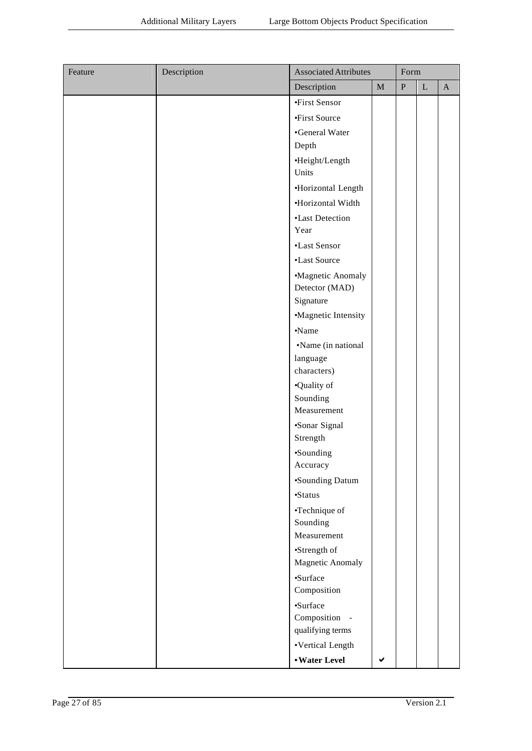| Feature | Description | <b>Associated Attributes</b>     |             | Form      |             |              |
|---------|-------------|----------------------------------|-------------|-----------|-------------|--------------|
|         |             | Description                      | $\mathbf M$ | ${\bf P}$ | $\mathbf L$ | $\mathbf{A}$ |
|         |             | •First Sensor                    |             |           |             |              |
|         |             | •First Source                    |             |           |             |              |
|         |             | •General Water                   |             |           |             |              |
|         |             | Depth                            |             |           |             |              |
|         |             | ·Height/Length                   |             |           |             |              |
|         |             | Units                            |             |           |             |              |
|         |             | ·Horizontal Length               |             |           |             |              |
|         |             | •Horizontal Width                |             |           |             |              |
|         |             | •Last Detection<br>Year          |             |           |             |              |
|         |             | •Last Sensor                     |             |           |             |              |
|         |             | •Last Source                     |             |           |             |              |
|         |             | •Magnetic Anomaly                |             |           |             |              |
|         |             | Detector (MAD)                   |             |           |             |              |
|         |             | Signature                        |             |           |             |              |
|         |             | •Magnetic Intensity              |             |           |             |              |
|         |             | •Name                            |             |           |             |              |
|         |             | •Name (in national               |             |           |             |              |
|         |             | language                         |             |           |             |              |
|         |             | characters)                      |             |           |             |              |
|         |             | •Quality of                      |             |           |             |              |
|         |             | Sounding<br>Measurement          |             |           |             |              |
|         |             | ·Sonar Signal                    |             |           |             |              |
|         |             | Strength                         |             |           |             |              |
|         |             | •Sounding                        |             |           |             |              |
|         |             | Accuracy                         |             |           |             |              |
|         |             | •Sounding Datum                  |             |           |             |              |
|         |             | •Status                          |             |           |             |              |
|         |             | •Technique of                    |             |           |             |              |
|         |             | Sounding<br>Measurement          |             |           |             |              |
|         |             |                                  |             |           |             |              |
|         |             | •Strength of<br>Magnetic Anomaly |             |           |             |              |
|         |             | ·Surface<br>Composition          |             |           |             |              |
|         |             | •Surface                         |             |           |             |              |
|         |             | Composition -                    |             |           |             |              |
|         |             | qualifying terms                 |             |           |             |              |
|         |             | •Vertical Length                 |             |           |             |              |
|         |             | • Water Level                    |             |           |             |              |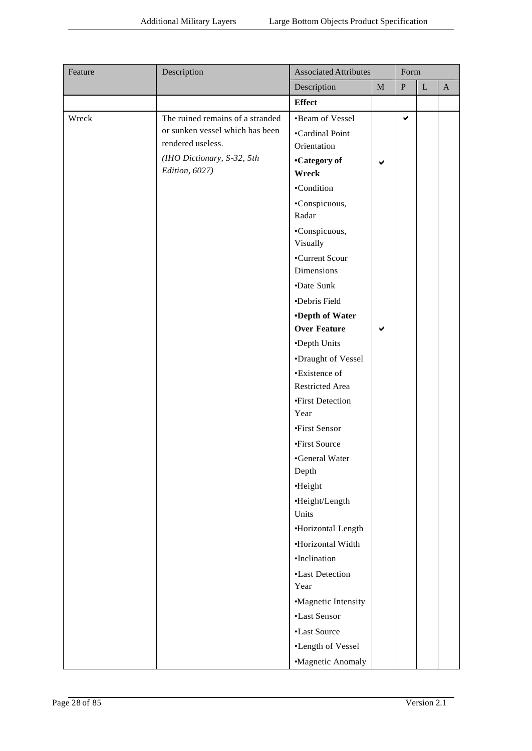| Description<br>$\mathbf M$<br>${\bf P}$<br>$\mathbf{L}$<br>$\mathbf{A}$<br><b>Effect</b><br>$\checkmark$<br>The ruined remains of a stranded<br>•Beam of Vessel<br>Wreck<br>or sunken vessel which has been<br>•Cardinal Point<br>rendered useless.<br>Orientation<br>(IHO Dictionary, S-32, 5th<br>•Category of<br>$\checkmark$<br>Edition, 6027)<br>Wreck<br>•Condition<br>•Conspicuous,<br>Radar<br>•Conspicuous,<br>Visually<br>•Current Scour<br>Dimensions<br>•Date Sunk<br>•Debris Field<br>•Depth of Water<br><b>Over Feature</b><br>✔<br>•Depth Units<br>•Draught of Vessel<br>•Existence of<br>Restricted Area<br>•First Detection<br>Year<br>•First Sensor<br>•First Source<br>•General Water<br>Depth<br>·Height<br>•Height/Length<br>Units<br>·Horizontal Length<br>•Horizontal Width<br>•Inclination<br>•Last Detection | Feature | Description | <b>Associated Attributes</b> | Form |  |
|---------------------------------------------------------------------------------------------------------------------------------------------------------------------------------------------------------------------------------------------------------------------------------------------------------------------------------------------------------------------------------------------------------------------------------------------------------------------------------------------------------------------------------------------------------------------------------------------------------------------------------------------------------------------------------------------------------------------------------------------------------------------------------------------------------------------------------------|---------|-------------|------------------------------|------|--|
|                                                                                                                                                                                                                                                                                                                                                                                                                                                                                                                                                                                                                                                                                                                                                                                                                                       |         |             |                              |      |  |
|                                                                                                                                                                                                                                                                                                                                                                                                                                                                                                                                                                                                                                                                                                                                                                                                                                       |         |             |                              |      |  |
|                                                                                                                                                                                                                                                                                                                                                                                                                                                                                                                                                                                                                                                                                                                                                                                                                                       |         |             |                              |      |  |
| •Magnetic Intensity<br>•Last Sensor<br>•Last Source<br>•Length of Vessel                                                                                                                                                                                                                                                                                                                                                                                                                                                                                                                                                                                                                                                                                                                                                              |         |             | Year                         |      |  |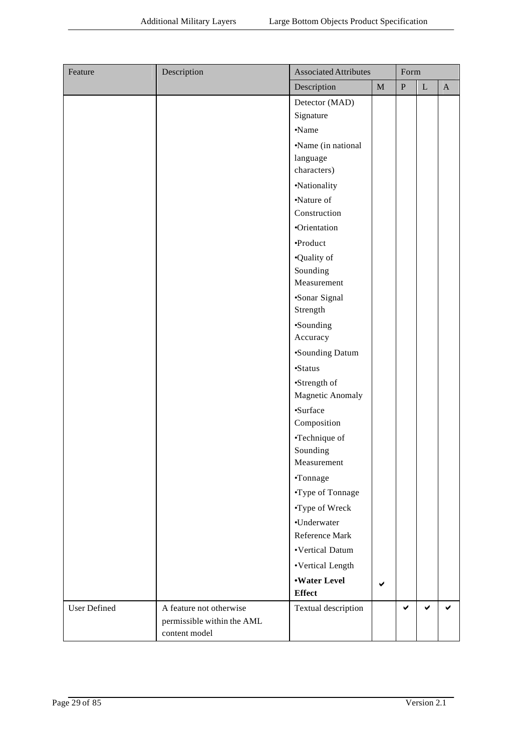| Feature      | Description                | <b>Associated Attributes</b>         |              | Form         |              |              |
|--------------|----------------------------|--------------------------------------|--------------|--------------|--------------|--------------|
|              |                            | Description                          | $\mathbf M$  | $\, {\bf P}$ | $\bf L$      | $\mathbf{A}$ |
|              |                            | Detector (MAD)                       |              |              |              |              |
|              |                            | Signature                            |              |              |              |              |
|              |                            | •Name                                |              |              |              |              |
|              |                            | •Name (in national                   |              |              |              |              |
|              |                            | language                             |              |              |              |              |
|              |                            | characters)                          |              |              |              |              |
|              |                            | •Nationality                         |              |              |              |              |
|              |                            | •Nature of                           |              |              |              |              |
|              |                            | Construction                         |              |              |              |              |
|              |                            | •Orientation                         |              |              |              |              |
|              |                            | ·Product                             |              |              |              |              |
|              |                            | •Quality of                          |              |              |              |              |
|              |                            | Sounding                             |              |              |              |              |
|              |                            | Measurement                          |              |              |              |              |
|              |                            | ·Sonar Signal                        |              |              |              |              |
|              |                            | Strength                             |              |              |              |              |
|              |                            | •Sounding                            |              |              |              |              |
|              |                            | Accuracy                             |              |              |              |              |
|              |                            | •Sounding Datum                      |              |              |              |              |
|              |                            | •Status                              |              |              |              |              |
|              |                            | •Strength of                         |              |              |              |              |
|              |                            | Magnetic Anomaly                     |              |              |              |              |
|              |                            | ·Surface                             |              |              |              |              |
|              |                            | Composition                          |              |              |              |              |
|              |                            | •Technique of                        |              |              |              |              |
|              |                            | Sounding<br>Measurement              |              |              |              |              |
|              |                            | •Tonnage                             |              |              |              |              |
|              |                            |                                      |              |              |              |              |
|              |                            | •Type of Tonnage                     |              |              |              |              |
|              |                            | •Type of Wreck                       |              |              |              |              |
|              |                            | •Underwater                          |              |              |              |              |
|              |                            | Reference Mark                       |              |              |              |              |
|              |                            | •Vertical Datum                      |              |              |              |              |
|              |                            | •Vertical Length                     |              |              |              |              |
|              |                            | <b>.Water Level</b><br><b>Effect</b> | $\checkmark$ |              |              |              |
| User Defined | A feature not otherwise    | Textual description                  |              | $\checkmark$ | $\checkmark$ | ✔            |
|              | permissible within the AML |                                      |              |              |              |              |
|              | content model              |                                      |              |              |              |              |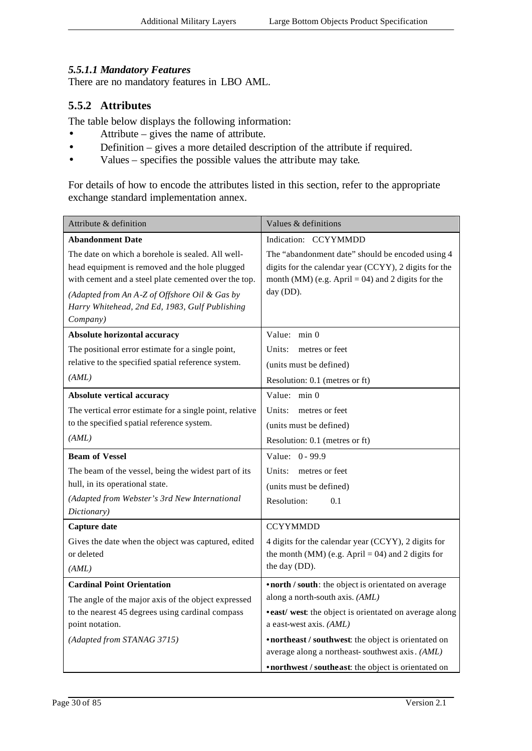#### *5.5.1.1 Mandatory Features*

There are no mandatory features in LBO AML.

#### **5.5.2 Attributes**

The table below displays the following information:

- Attribute gives the name of attribute.
- Definition gives a more detailed description of the attribute if required.
- Values specifies the possible values the attribute may take.

For details of how to encode the attributes listed in this section, refer to the appropriate exchange standard implementation annex.

| Attribute & definition                                                                                                                                                                                                                                                     | Values & definitions                                                                                                                                                          |
|----------------------------------------------------------------------------------------------------------------------------------------------------------------------------------------------------------------------------------------------------------------------------|-------------------------------------------------------------------------------------------------------------------------------------------------------------------------------|
| <b>Abandonment Date</b>                                                                                                                                                                                                                                                    | Indication: CCYYMMDD                                                                                                                                                          |
| The date on which a borehole is sealed. All well-<br>head equipment is removed and the hole plugged<br>with cement and a steel plate cemented over the top.<br>(Adapted from An A-Z of Offshore Oil & Gas by<br>Harry Whitehead, 2nd Ed, 1983, Gulf Publishing<br>Company) | The "abandonment date" should be encoded using 4<br>digits for the calendar year (CCYY), 2 digits for the<br>month (MM) (e.g. April = 04) and 2 digits for the<br>day (DD).   |
| Absolute horizontal accuracy                                                                                                                                                                                                                                               | Value: min 0                                                                                                                                                                  |
| The positional error estimate for a single point,<br>relative to the specified spatial reference system.<br>(AML)                                                                                                                                                          | Units:<br>metres or feet<br>(units must be defined)<br>Resolution: 0.1 (metres or ft)                                                                                         |
| Absolute vertical accuracy                                                                                                                                                                                                                                                 | Value: min 0                                                                                                                                                                  |
| The vertical error estimate for a single point, relative<br>to the specified spatial reference system.<br>(AML)                                                                                                                                                            | Units:<br>metres or feet<br>(units must be defined)<br>Resolution: 0.1 (metres or ft)                                                                                         |
| <b>Beam of Vessel</b>                                                                                                                                                                                                                                                      | Value: 0 - 99.9                                                                                                                                                               |
| The beam of the vessel, being the widest part of its<br>hull, in its operational state.<br>(Adapted from Webster's 3rd New International<br>Dictionary)                                                                                                                    | Units:<br>metres or feet<br>(units must be defined)<br>Resolution:<br>0.1                                                                                                     |
| Capture date                                                                                                                                                                                                                                                               | <b>CCYYMMDD</b>                                                                                                                                                               |
| Gives the date when the object was captured, edited<br>or deleted<br>(AML)                                                                                                                                                                                                 | 4 digits for the calendar year (CCYY), 2 digits for<br>the month (MM) (e.g. April = 04) and 2 digits for<br>the day (DD).                                                     |
| <b>Cardinal Point Orientation</b>                                                                                                                                                                                                                                          | • north / south: the object is orientated on average                                                                                                                          |
| The angle of the major axis of the object expressed<br>to the nearest 45 degrees using cardinal compass<br>point notation.<br>(Adapted from STANAG 3715)                                                                                                                   | along a north-south axis. (AML)<br>• east/ west: the object is orientated on average along<br>a east-west axis. (AML)<br>• northeast / southwest: the object is orientated on |
|                                                                                                                                                                                                                                                                            | average along a northeast-southwest axis. (AML)<br>•northwest / southeast: the object is orientated on                                                                        |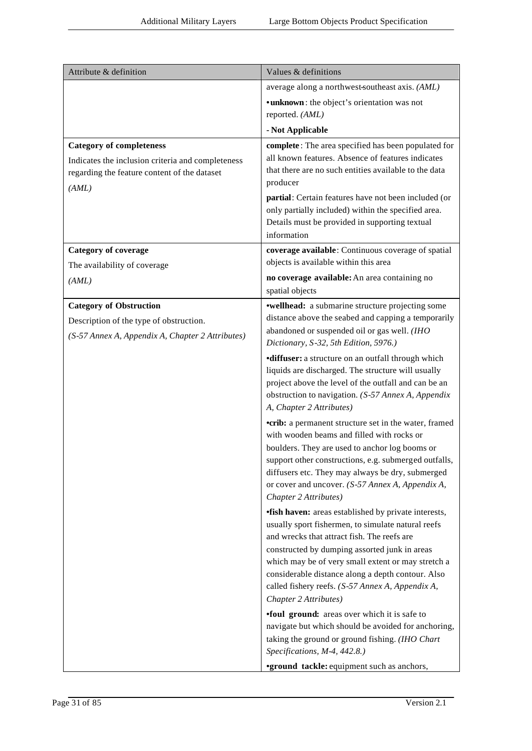| Attribute & definition                                      | Values & definitions                                                                                       |
|-------------------------------------------------------------|------------------------------------------------------------------------------------------------------------|
|                                                             | average along a northwest-southeast axis. (AML)                                                            |
|                                                             | • unknown: the object's orientation was not                                                                |
|                                                             | reported. (AML)                                                                                            |
|                                                             | - Not Applicable                                                                                           |
| <b>Category of completeness</b>                             | complete: The area specified has been populated for                                                        |
| Indicates the inclusion criteria and completeness           | all known features. Absence of features indicates<br>that there are no such entities available to the data |
| regarding the feature content of the dataset                | producer                                                                                                   |
| (AML)                                                       | partial: Certain features have not been included (or                                                       |
|                                                             | only partially included) within the specified area.                                                        |
|                                                             | Details must be provided in supporting textual                                                             |
|                                                             | information                                                                                                |
| <b>Category of coverage</b><br>The availability of coverage | coverage available: Continuous coverage of spatial<br>objects is available within this area                |
| (AML)                                                       | no coverage available: An area containing no                                                               |
|                                                             | spatial objects                                                                                            |
| <b>Category of Obstruction</b>                              | <b>•wellhead:</b> a submarine structure projecting some                                                    |
| Description of the type of obstruction.                     | distance above the seabed and capping a temporarily                                                        |
| (S-57 Annex A, Appendix A, Chapter 2 Attributes)            | abandoned or suspended oil or gas well. (IHO<br>Dictionary, S-32, 5th Edition, 5976.)                      |
|                                                             | <b>diffuser:</b> a structure on an outfall through which                                                   |
|                                                             | liquids are discharged. The structure will usually<br>project above the level of the outfall and can be an |
|                                                             | obstruction to navigation. (S-57 Annex A, Appendix                                                         |
|                                                             | A, Chapter 2 Attributes)                                                                                   |
|                                                             | <b>•crib:</b> a permanent structure set in the water, framed<br>with wooden beams and filled with rocks or |
|                                                             | boulders. They are used to anchor log booms or                                                             |
|                                                             | support other constructions, e.g. submerged outfalls,<br>diffusers etc. They may always be dry, submerged  |
|                                                             | or cover and uncover. (S-57 Annex A, Appendix A,                                                           |
|                                                             | Chapter 2 Attributes)                                                                                      |
|                                                             | <i><b>fish haven:</b></i> areas established by private interests,                                          |
|                                                             | usually sport fishermen, to simulate natural reefs<br>and wrecks that attract fish. The reefs are          |
|                                                             | constructed by dumping assorted junk in areas                                                              |
|                                                             | which may be of very small extent or may stretch a                                                         |
|                                                             | considerable distance along a depth contour. Also<br>called fishery reefs. (S-57 Annex A, Appendix A,      |
|                                                             | Chapter 2 Attributes)                                                                                      |
|                                                             | <b>foul ground:</b> areas over which it is safe to                                                         |
|                                                             | navigate but which should be avoided for anchoring,                                                        |
|                                                             | taking the ground or ground fishing. (IHO Chart<br>Specifications, M-4, 442.8.)                            |
|                                                             | <b>•ground tackle:</b> equipment such as anchors,                                                          |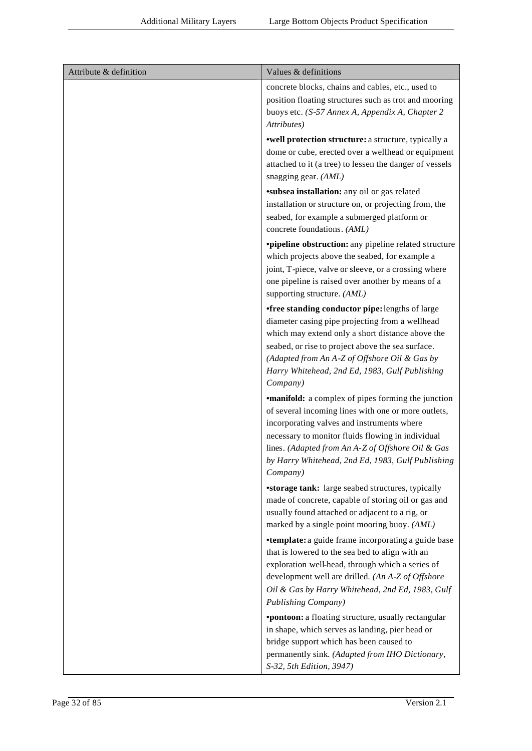| Attribute & definition | Values & definitions                                                                                                                                                                                                                                                                                                                      |
|------------------------|-------------------------------------------------------------------------------------------------------------------------------------------------------------------------------------------------------------------------------------------------------------------------------------------------------------------------------------------|
|                        | concrete blocks, chains and cables, etc., used to<br>position floating structures such as trot and mooring<br>buoys etc. (S-57 Annex A, Appendix A, Chapter 2<br>Attributes)                                                                                                                                                              |
|                        | <b>•well protection structure:</b> a structure, typically a<br>dome or cube, erected over a wellhead or equipment<br>attached to it (a tree) to lessen the danger of vessels<br>snagging gear. (AML)                                                                                                                                      |
|                        | <b>*subsea installation:</b> any oil or gas related<br>installation or structure on, or projecting from, the<br>seabed, for example a submerged platform or<br>concrete foundations. (AML)                                                                                                                                                |
|                        | <b>•pipeline obstruction:</b> any pipeline related structure<br>which projects above the seabed, for example a<br>joint, T-piece, valve or sleeve, or a crossing where<br>one pipeline is raised over another by means of a<br>supporting structure. (AML)                                                                                |
|                        | •free standing conductor pipe: lengths of large<br>diameter casing pipe projecting from a wellhead<br>which may extend only a short distance above the<br>seabed, or rise to project above the sea surface.<br>(Adapted from An A-Z of Offshore Oil & Gas by<br>Harry Whitehead, 2nd Ed, 1983, Gulf Publishing<br>Company)                |
|                        | <b>•manifold:</b> a complex of pipes forming the junction<br>of several incoming lines with one or more outlets,<br>incorporating valves and instruments where<br>necessary to monitor fluids flowing in individual<br>lines. (Adapted from An A-Z of Offshore Oil & Gas<br>by Harry Whitehead, 2nd Ed, 1983, Gulf Publishing<br>Company) |
|                        | <b>*storage tank:</b> large seabed structures, typically<br>made of concrete, capable of storing oil or gas and<br>usually found attached or adjacent to a rig, or<br>marked by a single point mooring buoy. (AML)                                                                                                                        |
|                        | <b>•template:</b> a guide frame incorporating a guide base<br>that is lowered to the sea bed to align with an<br>exploration well-head, through which a series of<br>development well are drilled. (An A-Z of Offshore<br>Oil & Gas by Harry Whitehead, 2nd Ed, 1983, Gulf<br>Publishing Company)                                         |
|                        | *pontoon: a floating structure, usually rectangular<br>in shape, which serves as landing, pier head or<br>bridge support which has been caused to<br>permanently sink. (Adapted from IHO Dictionary,<br>S-32, 5th Edition, 3947)                                                                                                          |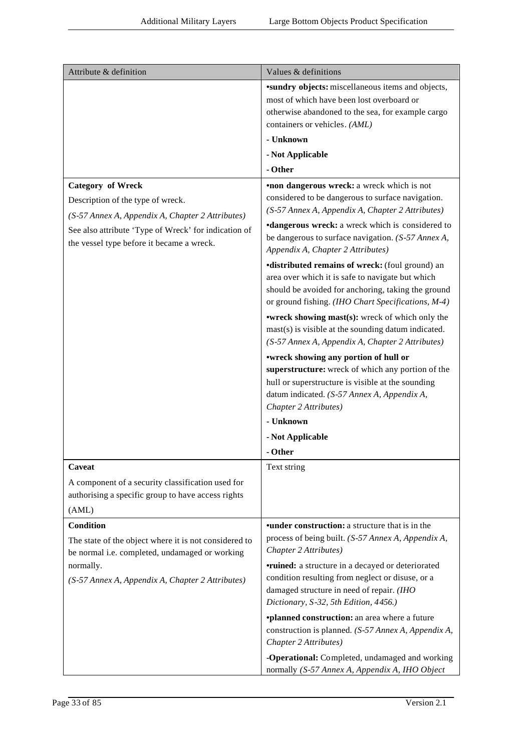| Attribute & definition                                | Values & definitions                                     |
|-------------------------------------------------------|----------------------------------------------------------|
|                                                       | <b>*sundry</b> objects: miscellaneous items and objects, |
|                                                       | most of which have been lost overboard or                |
|                                                       | otherwise abandoned to the sea, for example cargo        |
|                                                       | containers or vehicles. (AML)                            |
|                                                       | - Unknown                                                |
|                                                       | - Not Applicable                                         |
|                                                       | - Other                                                  |
| <b>Category of Wreck</b>                              | •non dangerous wreck: a wreck which is not               |
| Description of the type of wreck.                     | considered to be dangerous to surface navigation.        |
| (S-57 Annex A, Appendix A, Chapter 2 Attributes)      | (S-57 Annex A, Appendix A, Chapter 2 Attributes)         |
|                                                       | <b>•dangerous wreck:</b> a wreck which is considered to  |
| See also attribute 'Type of Wreck' for indication of  | be dangerous to surface navigation. (S-57 Annex A,       |
| the vessel type before it became a wreck.             | Appendix A, Chapter 2 Attributes)                        |
|                                                       | <b>•distributed remains of wreck:</b> (foul ground) an   |
|                                                       | area over which it is safe to navigate but which         |
|                                                       | should be avoided for anchoring, taking the ground       |
|                                                       | or ground fishing. (IHO Chart Specifications, M-4)       |
|                                                       | <b>•wreck showing mast(s):</b> wreck of which only the   |
|                                                       | $mast(s)$ is visible at the sounding datum indicated.    |
|                                                       | (S-57 Annex A, Appendix A, Chapter 2 Attributes)         |
|                                                       | *wreck showing any portion of hull or                    |
|                                                       | superstructure: wreck of which any portion of the        |
|                                                       | hull or superstructure is visible at the sounding        |
|                                                       | datum indicated. (S-57 Annex A, Appendix A,              |
|                                                       | Chapter 2 Attributes)                                    |
|                                                       | - Unknown                                                |
|                                                       | - Not Applicable                                         |
|                                                       | - Other                                                  |
| Caveat                                                | Text string                                              |
| A component of a security classification used for     |                                                          |
| authorising a specific group to have access rights    |                                                          |
| (AML)                                                 |                                                          |
| <b>Condition</b>                                      | <b>•under construction:</b> a structure that is in the   |
| The state of the object where it is not considered to | process of being built. (S-57 Annex A, Appendix A,       |
| be normal i.e. completed, undamaged or working        | Chapter 2 Attributes)                                    |
| normally.                                             | <b>•ruined:</b> a structure in a decayed or deteriorated |
| (S-57 Annex A, Appendix A, Chapter 2 Attributes)      | condition resulting from neglect or disuse, or a         |
|                                                       | damaged structure in need of repair. (IHO                |
|                                                       | Dictionary, S-32, 5th Edition, 4456.)                    |
|                                                       | <i>*planned construction: an area where a future</i>     |
|                                                       | construction is planned. (S-57 Annex A, Appendix A,      |
|                                                       | Chapter 2 Attributes)                                    |
|                                                       | -Operational: Completed, undamaged and working           |
|                                                       | normally (S-57 Annex A, Appendix A, IHO Object           |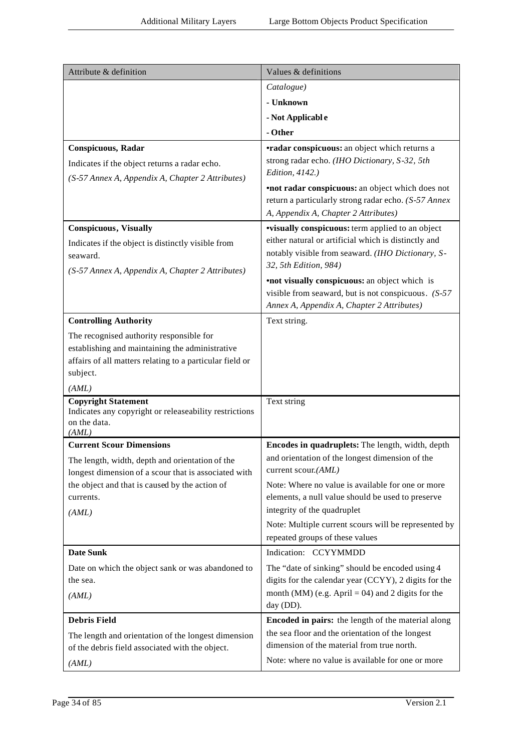| Attribute & definition                                                                                 | Values & definitions                                                                         |
|--------------------------------------------------------------------------------------------------------|----------------------------------------------------------------------------------------------|
|                                                                                                        | Catalogue)                                                                                   |
|                                                                                                        | - Unknown                                                                                    |
|                                                                                                        | - Not Applicable                                                                             |
|                                                                                                        | - Other                                                                                      |
| <b>Conspicuous, Radar</b>                                                                              | <b>•radar conspicuous:</b> an object which returns a                                         |
| Indicates if the object returns a radar echo.                                                          | strong radar echo. (IHO Dictionary, S-32, 5th                                                |
| (S-57 Annex A, Appendix A, Chapter 2 Attributes)                                                       | Edition, 4142.)                                                                              |
|                                                                                                        | <b>•not radar conspicuous:</b> an object which does not                                      |
|                                                                                                        | return a particularly strong radar echo. (S-57 Annex<br>A, Appendix A, Chapter 2 Attributes) |
| <b>Conspicuous</b> , Visually                                                                          | <b>visually conspicuous:</b> term applied to an object                                       |
| Indicates if the object is distinctly visible from                                                     | either natural or artificial which is distinctly and                                         |
| seaward.                                                                                               | notably visible from seaward. (IHO Dictionary, S-                                            |
| (S-57 Annex A, Appendix A, Chapter 2 Attributes)                                                       | 32, 5th Edition, 984)                                                                        |
|                                                                                                        | •not visually conspicuous: an object which is                                                |
|                                                                                                        | visible from seaward, but is not conspicuous. $(S-57)$                                       |
|                                                                                                        | Annex A, Appendix A, Chapter 2 Attributes)                                                   |
| <b>Controlling Authority</b>                                                                           | Text string.                                                                                 |
| The recognised authority responsible for<br>establishing and maintaining the administrative            |                                                                                              |
| affairs of all matters relating to a particular field or                                               |                                                                                              |
| subject.                                                                                               |                                                                                              |
| (AML)                                                                                                  |                                                                                              |
| <b>Copyright Statement</b>                                                                             | Text string                                                                                  |
| Indicates any copyright or releaseability restrictions<br>on the data.                                 |                                                                                              |
| (AML)                                                                                                  |                                                                                              |
| <b>Current Scour Dimensions</b>                                                                        | Encodes in quadruplets: The length, width, depth                                             |
| The length, width, depth and orientation of the                                                        | and orientation of the longest dimension of the<br>current scour.(AML)                       |
| longest dimension of a scour that is associated with<br>the object and that is caused by the action of | Note: Where no value is available for one or more                                            |
| currents.                                                                                              | elements, a null value should be used to preserve                                            |
| (AML)                                                                                                  | integrity of the quadruplet                                                                  |
|                                                                                                        | Note: Multiple current scours will be represented by                                         |
|                                                                                                        | repeated groups of these values                                                              |
| <b>Date Sunk</b>                                                                                       | Indication: CCYYMMDD                                                                         |
| Date on which the object sank or was abandoned to                                                      | The "date of sinking" should be encoded using 4                                              |
| the sea.                                                                                               | digits for the calendar year (CCYY), 2 digits for the                                        |
| (AML)                                                                                                  | month (MM) (e.g. April = 04) and 2 digits for the<br>day (DD).                               |
| <b>Debris Field</b>                                                                                    | Encoded in pairs: the length of the material along                                           |
| The length and orientation of the longest dimension                                                    | the sea floor and the orientation of the longest                                             |
| of the debris field associated with the object.                                                        | dimension of the material from true north.                                                   |
| (AML)                                                                                                  | Note: where no value is available for one or more                                            |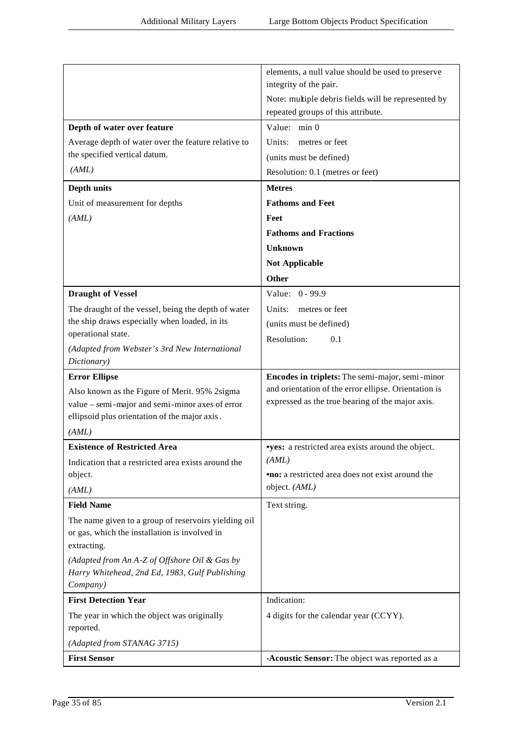|                                                            | elements, a null value should be used to preserve        |
|------------------------------------------------------------|----------------------------------------------------------|
|                                                            | integrity of the pair.                                   |
|                                                            | Note: multiple debris fields will be represented by      |
|                                                            | repeated groups of this attribute.                       |
| Depth of water over feature                                | Value: min 0                                             |
| Average depth of water over the feature relative to        | Units:<br>metres or feet                                 |
| the specified vertical datum.                              | (units must be defined)                                  |
| (AML)                                                      | Resolution: 0.1 (metres or feet)                         |
| Depth units                                                | <b>Metres</b>                                            |
| Unit of measurement for depths                             | <b>Fathoms and Feet</b>                                  |
| (AML)                                                      | Feet                                                     |
|                                                            | <b>Fathoms and Fractions</b>                             |
|                                                            | <b>Unknown</b>                                           |
|                                                            | <b>Not Applicable</b>                                    |
|                                                            | Other                                                    |
| <b>Draught of Vessel</b>                                   | Value: 0 - 99.9                                          |
| The draught of the vessel, being the depth of water        | Units:<br>metres or feet                                 |
| the ship draws especially when loaded, in its              | (units must be defined)                                  |
| operational state.                                         | Resolution:<br>0.1                                       |
| (Adapted from Webster's 3rd New International              |                                                          |
| Dictionary)                                                |                                                          |
| <b>Error Ellipse</b>                                       | Encodes in triplets: The semi-major, semi-minor          |
| Also known as the Figure of Merit. 95% 2sigma              | and orientation of the error ellipse. Orientation is     |
| value - semi-major and semi-minor axes of error            | expressed as the true bearing of the major axis.         |
| ellipsoid plus orientation of the major axis.              |                                                          |
| (AML)                                                      |                                                          |
| <b>Existence of Restricted Area</b>                        | <b>vyes:</b> a restricted area exists around the object. |
| Indication that a restricted area exists around the        | (AML)                                                    |
| object.                                                    | <b>no:</b> a restricted area does not exist around the   |
| (AML)                                                      | object. (AML)                                            |
| <b>Field Name</b>                                          | Text string.                                             |
| The name given to a group of reservoirs yielding oil       |                                                          |
| or gas, which the installation is involved in              |                                                          |
| extracting.                                                |                                                          |
| (Adapted from An A-Z of Offshore Oil & Gas by              |                                                          |
| Harry Whitehead, 2nd Ed, 1983, Gulf Publishing<br>Company) |                                                          |
| <b>First Detection Year</b>                                | Indication:                                              |
|                                                            |                                                          |
| The year in which the object was originally<br>reported.   | 4 digits for the calendar year (CCYY).                   |
| (Adapted from STANAG 3715)                                 |                                                          |
| <b>First Sensor</b>                                        | -Acoustic Sensor: The object was reported as a           |
|                                                            |                                                          |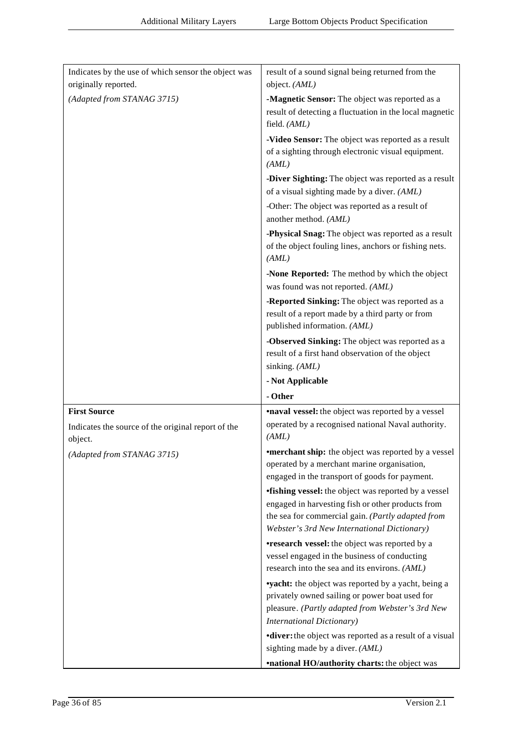| Indicates by the use of which sensor the object was           | result of a sound signal being returned from the                                                                                                                                                                     |
|---------------------------------------------------------------|----------------------------------------------------------------------------------------------------------------------------------------------------------------------------------------------------------------------|
| originally reported.                                          | object. (AML)                                                                                                                                                                                                        |
| (Adapted from STANAG 3715)                                    | -Magnetic Sensor: The object was reported as a                                                                                                                                                                       |
|                                                               | result of detecting a fluctuation in the local magnetic<br>field. (AML)                                                                                                                                              |
|                                                               | -Video Sensor: The object was reported as a result<br>of a sighting through electronic visual equipment.<br>(AML)                                                                                                    |
|                                                               | -Diver Sighting: The object was reported as a result                                                                                                                                                                 |
|                                                               | of a visual sighting made by a diver. (AML)                                                                                                                                                                          |
|                                                               | -Other: The object was reported as a result of<br>another method. (AML)                                                                                                                                              |
|                                                               | -Physical Snag: The object was reported as a result<br>of the object fouling lines, anchors or fishing nets.<br>(AML)                                                                                                |
|                                                               | -None Reported: The method by which the object<br>was found was not reported. (AML)                                                                                                                                  |
|                                                               | -Reported Sinking: The object was reported as a                                                                                                                                                                      |
|                                                               | result of a report made by a third party or from<br>published information. (AML)                                                                                                                                     |
|                                                               | -Observed Sinking: The object was reported as a<br>result of a first hand observation of the object<br>sinking. (AML)                                                                                                |
|                                                               |                                                                                                                                                                                                                      |
|                                                               | - Not Applicable                                                                                                                                                                                                     |
|                                                               | - Other                                                                                                                                                                                                              |
| <b>First Source</b>                                           | <b>•naval vessel:</b> the object was reported by a vessel                                                                                                                                                            |
| Indicates the source of the original report of the<br>object. | operated by a recognised national Naval authority.<br>(AML)                                                                                                                                                          |
| (Adapted from STANAG 3715)                                    | <b>•merchant ship:</b> the object was reported by a vessel<br>operated by a merchant marine organisation,                                                                                                            |
|                                                               | engaged in the transport of goods for payment.                                                                                                                                                                       |
|                                                               | <b>•fishing vessel:</b> the object was reported by a vessel<br>engaged in harvesting fish or other products from<br>the sea for commercial gain. (Partly adapted from<br>Webster's 3rd New International Dictionary) |
|                                                               | <b>•research vessel:</b> the object was reported by a<br>vessel engaged in the business of conducting<br>research into the sea and its environs. (AML)                                                               |
|                                                               | <b>vyacht:</b> the object was reported by a yacht, being a<br>privately owned sailing or power boat used for<br>pleasure. (Partly adapted from Webster's 3rd New<br><b>International Dictionary)</b>                 |
|                                                               | <b>diver:</b> the object was reported as a result of a visual<br>sighting made by a diver. (AML)                                                                                                                     |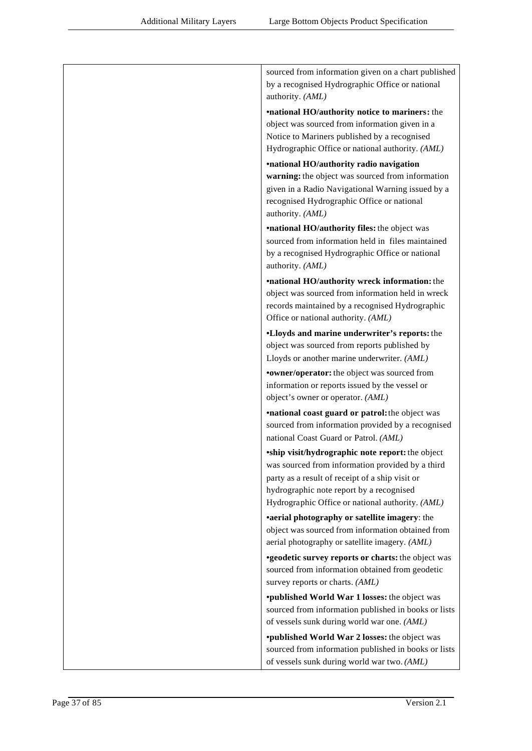| sourced from information given on a chart published<br>by a recognised Hydrographic Office or national<br>authority. (AML)                                                                                                                                     |
|----------------------------------------------------------------------------------------------------------------------------------------------------------------------------------------------------------------------------------------------------------------|
| <b>•national HO/authority notice to mariners:</b> the<br>object was sourced from information given in a<br>Notice to Mariners published by a recognised<br>Hydrographic Office or national authority. (AML)                                                    |
| <i><b>•national HO/authority radio navigation</b></i><br>warning: the object was sourced from information<br>given in a Radio Navigational Warning issued by a<br>recognised Hydrographic Office or national<br>authority. (AML)                               |
| <b>•national HO/authority files:</b> the object was<br>sourced from information held in files maintained<br>by a recognised Hydrographic Office or national<br>authority. (AML)                                                                                |
| <b>•national HO/authority wreck information:</b> the<br>object was sourced from information held in wreck<br>records maintained by a recognised Hydrographic<br>Office or national authority. (AML)                                                            |
| •Lloyds and marine underwriter's reports: the<br>object was sourced from reports published by<br>Lloyds or another marine underwriter. (AML)<br>• owner/operator: the object was sourced from                                                                  |
| information or reports issued by the vessel or<br>object's owner or operator. (AML)                                                                                                                                                                            |
| <b>•national coast guard or patrol:</b> the object was<br>sourced from information provided by a recognised<br>national Coast Guard or Patrol. (AML)                                                                                                           |
| <b>*ship visit/hydrographic note report:</b> the object<br>was sourced from information provided by a third<br>party as a result of receipt of a ship visit or<br>hydrographic note report by a recognised<br>Hydrographic Office or national authority. (AML) |
| •aerial photography or satellite imagery: the<br>object was sourced from information obtained from<br>aerial photography or satellite imagery. (AML)                                                                                                           |
| <b>*geodetic survey reports or charts:</b> the object was<br>sourced from information obtained from geodetic<br>survey reports or charts. (AML)                                                                                                                |
| <b>*published World War 1 losses:</b> the object was<br>sourced from information published in books or lists<br>of vessels sunk during world war one. (AML)                                                                                                    |
| <b>*published World War 2 losses:</b> the object was<br>sourced from information published in books or lists<br>of vessels sunk during world war two. (AML)                                                                                                    |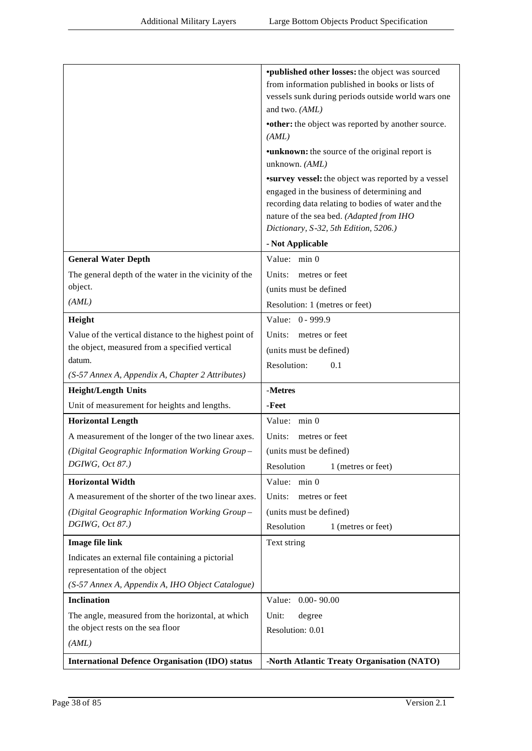|                                                        | <i>*published other losses: the object was sourced</i>     |
|--------------------------------------------------------|------------------------------------------------------------|
|                                                        | from information published in books or lists of            |
|                                                        | vessels sunk during periods outside world wars one         |
|                                                        | and two. (AML)                                             |
|                                                        | •other: the object was reported by another source.         |
|                                                        | (AML)                                                      |
|                                                        | <b>•unknown:</b> the source of the original report is      |
|                                                        | unknown. (AML)                                             |
|                                                        | <b>*survey vessel:</b> the object was reported by a vessel |
|                                                        | engaged in the business of determining and                 |
|                                                        | recording data relating to bodies of water and the         |
|                                                        | nature of the sea bed. (Adapted from IHO                   |
|                                                        | Dictionary, S-32, 5th Edition, 5206.)                      |
|                                                        | - Not Applicable                                           |
| <b>General Water Depth</b>                             | Value: min 0                                               |
| The general depth of the water in the vicinity of the  | Units:<br>metres or feet                                   |
| object.                                                | (units must be defined                                     |
| (AML)                                                  | Resolution: 1 (metres or feet)                             |
| Height                                                 | Value: 0 - 999.9                                           |
| Value of the vertical distance to the highest point of | Units:<br>metres or feet                                   |
| the object, measured from a specified vertical         | (units must be defined)                                    |
| datum.                                                 | Resolution:<br>0.1                                         |
| (S-57 Annex A, Appendix A, Chapter 2 Attributes)       |                                                            |
| <b>Height/Length Units</b>                             | -Metres                                                    |
| Unit of measurement for heights and lengths.           | -Feet                                                      |
| <b>Horizontal Length</b>                               | Value: min 0                                               |
| A measurement of the longer of the two linear axes.    | Units:<br>metres or feet                                   |
| (Digital Geographic Information Working Group-         | (units must be defined)                                    |
| DGIWG, Oct 87.)                                        | Resolution<br>1 (metres or feet)                           |
| <b>Horizontal Width</b>                                | Value: min 0                                               |
| A measurement of the shorter of the two linear axes.   | Units:<br>metres or feet                                   |
| (Digital Geographic Information Working Group-         | (units must be defined)                                    |
| DGIWG, Oct 87.)                                        | Resolution<br>1 (metres or feet)                           |
| <b>Image file link</b>                                 | Text string                                                |
| Indicates an external file containing a pictorial      |                                                            |
| representation of the object                           |                                                            |
| (S-57 Annex A, Appendix A, IHO Object Catalogue)       |                                                            |
| <b>Inclination</b>                                     | Value: 0.00-90.00                                          |
| The angle, measured from the horizontal, at which      | Unit:<br>degree                                            |
| the object rests on the sea floor                      | Resolution: 0.01                                           |
| (AML)                                                  |                                                            |
| <b>International Defence Organisation (IDO) status</b> | -North Atlantic Treaty Organisation (NATO)                 |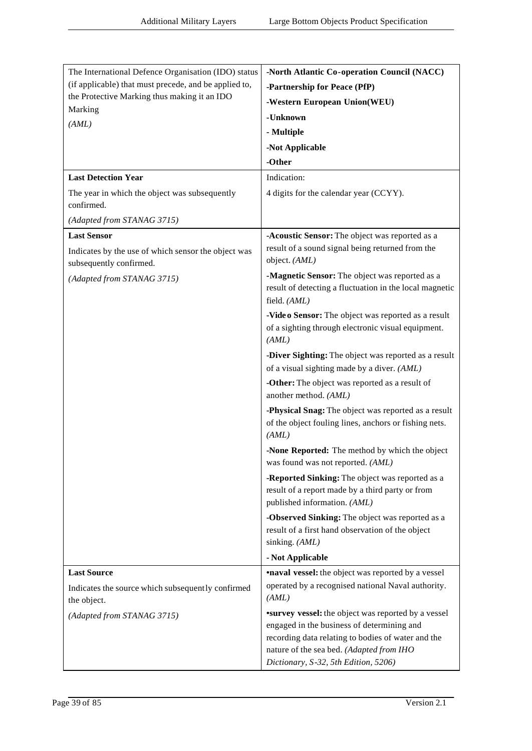| The International Defence Organisation (IDO) status                            | -North Atlantic Co-operation Council (NACC)                                                                                                                                                                                                        |
|--------------------------------------------------------------------------------|----------------------------------------------------------------------------------------------------------------------------------------------------------------------------------------------------------------------------------------------------|
| (if applicable) that must precede, and be applied to,                          | -Partnership for Peace (PfP)                                                                                                                                                                                                                       |
| the Protective Marking thus making it an IDO                                   | -Western European Union(WEU)                                                                                                                                                                                                                       |
| Marking                                                                        | -Unknown                                                                                                                                                                                                                                           |
| (AML)                                                                          | - Multiple                                                                                                                                                                                                                                         |
|                                                                                | -Not Applicable                                                                                                                                                                                                                                    |
|                                                                                | -Other                                                                                                                                                                                                                                             |
| <b>Last Detection Year</b>                                                     | Indication:                                                                                                                                                                                                                                        |
| The year in which the object was subsequently<br>confirmed.                    | 4 digits for the calendar year (CCYY).                                                                                                                                                                                                             |
| (Adapted from STANAG 3715)                                                     |                                                                                                                                                                                                                                                    |
| <b>Last Sensor</b>                                                             | -Acoustic Sensor: The object was reported as a                                                                                                                                                                                                     |
| Indicates by the use of which sensor the object was<br>subsequently confirmed. | result of a sound signal being returned from the<br>object. (AML)                                                                                                                                                                                  |
| (Adapted from STANAG 3715)                                                     | -Magnetic Sensor: The object was reported as a<br>result of detecting a fluctuation in the local magnetic<br>field. (AML)                                                                                                                          |
|                                                                                | -Vide o Sensor: The object was reported as a result<br>of a sighting through electronic visual equipment.<br>(AML)                                                                                                                                 |
|                                                                                | -Diver Sighting: The object was reported as a result<br>of a visual sighting made by a diver. (AML)                                                                                                                                                |
|                                                                                | -Other: The object was reported as a result of<br>another method. (AML)                                                                                                                                                                            |
|                                                                                | -Physical Snag: The object was reported as a result<br>of the object fouling lines, anchors or fishing nets.<br>(AML)                                                                                                                              |
|                                                                                | -None Reported: The method by which the object<br>was found was not reported. (AML)                                                                                                                                                                |
|                                                                                | -Reported Sinking: The object was reported as a<br>result of a report made by a third party or from<br>published information. (AML)                                                                                                                |
|                                                                                | -Observed Sinking: The object was reported as a<br>result of a first hand observation of the object<br>sinking. (AML)                                                                                                                              |
|                                                                                | - Not Applicable                                                                                                                                                                                                                                   |
| <b>Last Source</b>                                                             | <b>•naval vessel:</b> the object was reported by a vessel                                                                                                                                                                                          |
| Indicates the source which subsequently confirmed<br>the object.               | operated by a recognised national Naval authority.<br>(AML)                                                                                                                                                                                        |
| (Adapted from STANAG 3715)                                                     | <b>*survey vessel:</b> the object was reported by a vessel<br>engaged in the business of determining and<br>recording data relating to bodies of water and the<br>nature of the sea bed. (Adapted from IHO<br>Dictionary, S-32, 5th Edition, 5206) |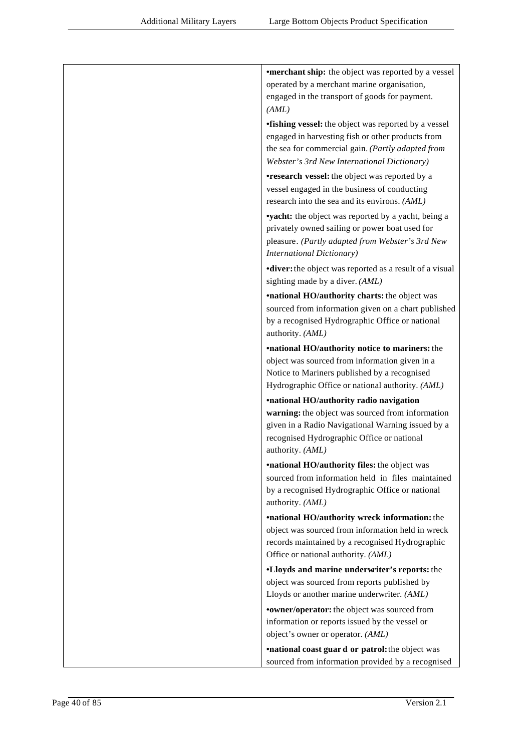| <b>•merchant ship:</b> the object was reported by a vessel                                         |
|----------------------------------------------------------------------------------------------------|
| operated by a merchant marine organisation,                                                        |
| engaged in the transport of goods for payment.                                                     |
| (AML)                                                                                              |
| <b>•fishing vessel:</b> the object was reported by a vessel                                        |
| engaged in harvesting fish or other products from                                                  |
| the sea for commercial gain. (Partly adapted from                                                  |
| Webster's 3rd New International Dictionary)                                                        |
| <b>•research vessel:</b> the object was reported by a                                              |
| vessel engaged in the business of conducting                                                       |
| research into the sea and its environs. (AML)                                                      |
| <b>vyacht:</b> the object was reported by a yacht, being a                                         |
| privately owned sailing or power boat used for<br>pleasure. (Partly adapted from Webster's 3rd New |
| <b>International Dictionary)</b>                                                                   |
| <b>diver:</b> the object was reported as a result of a visual                                      |
| sighting made by a diver. (AML)                                                                    |
| <b>•national HO/authority charts:</b> the object was                                               |
| sourced from information given on a chart published                                                |
| by a recognised Hydrographic Office or national                                                    |
| authority. (AML)                                                                                   |
| <b>•national HO/authority notice to mariners:</b> the                                              |
| object was sourced from information given in a                                                     |
| Notice to Mariners published by a recognised                                                       |
| Hydrographic Office or national authority. (AML)                                                   |
| •national HO/authority radio navigation                                                            |
| warning: the object was sourced from information                                                   |
| given in a Radio Navigational Warning issued by a                                                  |
| recognised Hydrographic Office or national<br>authority. (AML)                                     |
| <b>•national HO/authority files:</b> the object was                                                |
| sourced from information held in files maintained                                                  |
| by a recognised Hydrographic Office or national                                                    |
| authority. (AML)                                                                                   |
| <b>•national HO/authority wreck information:</b> the                                               |
| object was sourced from information held in wreck                                                  |
| records maintained by a recognised Hydrographic                                                    |
| Office or national authority. (AML)                                                                |
| <b>.Lloyds and marine underwiter's reports:</b> the                                                |
| object was sourced from reports published by                                                       |
| Lloyds or another marine underwriter. (AML)                                                        |
| <b>•owner/operator:</b> the object was sourced from                                                |
| information or reports issued by the vessel or                                                     |
| object's owner or operator. (AML)                                                                  |
| <b>•national coast guard or patrol:</b> the object was                                             |
| sourced from information provided by a recognised                                                  |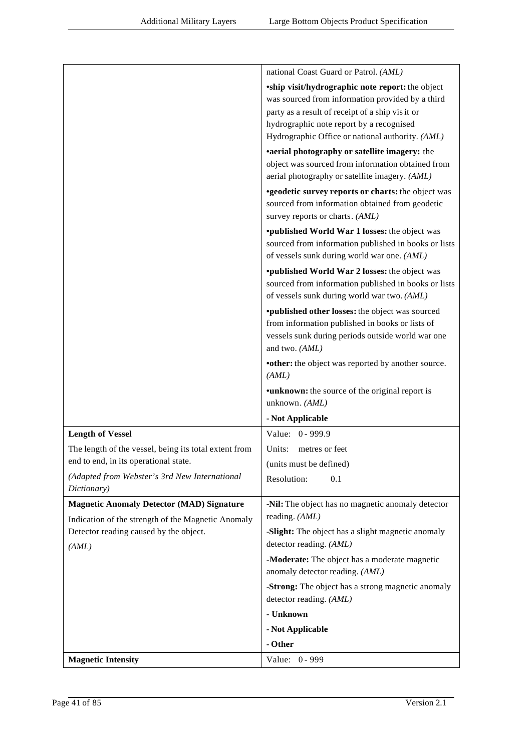|                                                       | national Coast Guard or Patrol. (AML)                                                                        |
|-------------------------------------------------------|--------------------------------------------------------------------------------------------------------------|
|                                                       | <i>'ship visit/hydrographic note report: the object</i>                                                      |
|                                                       | was sourced from information provided by a third                                                             |
|                                                       | party as a result of receipt of a ship visit or                                                              |
|                                                       | hydrographic note report by a recognised                                                                     |
|                                                       | Hydrographic Office or national authority. (AML)                                                             |
|                                                       | •aerial photography or satellite imagery: the                                                                |
|                                                       | object was sourced from information obtained from                                                            |
|                                                       | aerial photography or satellite imagery. (AML)                                                               |
|                                                       | <b>*geodetic survey reports or charts:</b> the object was                                                    |
|                                                       | sourced from information obtained from geodetic                                                              |
|                                                       | survey reports or charts. (AML)                                                                              |
|                                                       | <i>*published World War 1 losses: the object was</i><br>sourced from information published in books or lists |
|                                                       | of vessels sunk during world war one. (AML)                                                                  |
|                                                       | <i>*published World War 2 losses: the object was</i>                                                         |
|                                                       | sourced from information published in books or lists                                                         |
|                                                       | of vessels sunk during world war two. (AML)                                                                  |
|                                                       | <i>'published other losses: the object was sourced</i>                                                       |
|                                                       | from information published in books or lists of                                                              |
|                                                       | vessels sunk during periods outside world war one                                                            |
|                                                       | and two. (AML)                                                                                               |
|                                                       | •other: the object was reported by another source.                                                           |
|                                                       | (AML)                                                                                                        |
|                                                       | <b>•unknown:</b> the source of the original report is                                                        |
|                                                       | unknown. (AML)                                                                                               |
|                                                       | - Not Applicable                                                                                             |
| <b>Length of Vessel</b>                               | Value: 0 - 999.9                                                                                             |
| The length of the vessel, being its total extent from | metres or feet<br>Units:                                                                                     |
| end to end, in its operational state.                 | (units must be defined)                                                                                      |
| (Adapted from Webster's 3rd New International         | Resolution:<br>0.1                                                                                           |
| Dictionary)                                           |                                                                                                              |
| <b>Magnetic Anomaly Detector (MAD) Signature</b>      | -Nil: The object has no magnetic anomaly detector                                                            |
| Indication of the strength of the Magnetic Anomaly    | reading. (AML)                                                                                               |
| Detector reading caused by the object.                | -Slight: The object has a slight magnetic anomaly                                                            |
| (AML)                                                 | detector reading. (AML)                                                                                      |
|                                                       | -Moderate: The object has a moderate magnetic<br>anomaly detector reading. (AML)                             |
|                                                       | -Strong: The object has a strong magnetic anomaly<br>detector reading. (AML)                                 |
|                                                       | - Unknown                                                                                                    |
|                                                       | - Not Applicable                                                                                             |
|                                                       | - Other                                                                                                      |
| <b>Magnetic Intensity</b>                             | Value: 0 - 999                                                                                               |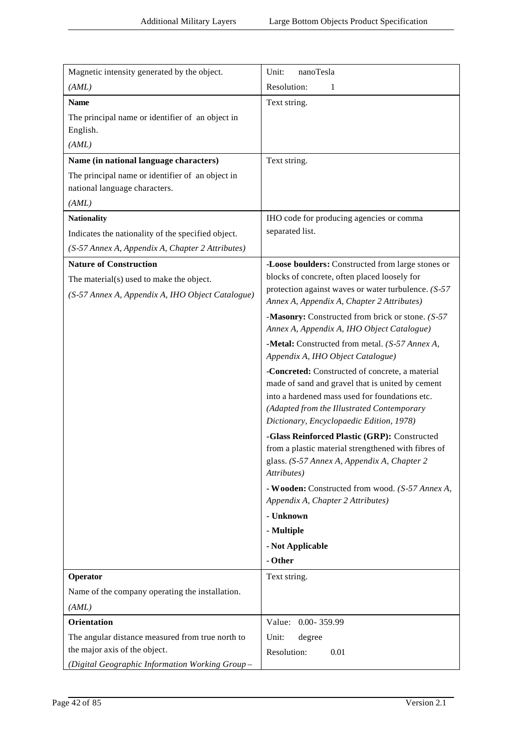| Magnetic intensity generated by the object.        | Unit:<br>nanoTesla                                                                                   |
|----------------------------------------------------|------------------------------------------------------------------------------------------------------|
| (AML)                                              | Resolution:<br>1                                                                                     |
| <b>Name</b>                                        | Text string.                                                                                         |
| The principal name or identifier of an object in   |                                                                                                      |
| English.                                           |                                                                                                      |
| (AML)                                              |                                                                                                      |
| Name (in national language characters)             | Text string.                                                                                         |
| The principal name or identifier of an object in   |                                                                                                      |
| national language characters.                      |                                                                                                      |
| (AML)                                              |                                                                                                      |
| <b>Nationality</b>                                 | IHO code for producing agencies or comma                                                             |
| Indicates the nationality of the specified object. | separated list.                                                                                      |
| (S-57 Annex A, Appendix A, Chapter 2 Attributes)   |                                                                                                      |
| <b>Nature of Construction</b>                      | -Loose boulders: Constructed from large stones or                                                    |
| The material(s) used to make the object.           | blocks of concrete, often placed loosely for                                                         |
| (S-57 Annex A, Appendix A, IHO Object Catalogue)   | protection against waves or water turbulence. $(S-57)$<br>Annex A, Appendix A, Chapter 2 Attributes) |
|                                                    |                                                                                                      |
|                                                    | -Masonry: Constructed from brick or stone. (S-57)<br>Annex A, Appendix A, IHO Object Catalogue)      |
|                                                    | -Metal: Constructed from metal. (S-57 Annex A,                                                       |
|                                                    | Appendix A, IHO Object Catalogue)                                                                    |
|                                                    | -Concreted: Constructed of concrete, a material                                                      |
|                                                    | made of sand and gravel that is united by cement<br>into a hardened mass used for foundations etc.   |
|                                                    | (Adapted from the Illustrated Contemporary                                                           |
|                                                    | Dictionary, Encyclopaedic Edition, 1978)                                                             |
|                                                    | -Glass Reinforced Plastic (GRP): Constructed                                                         |
|                                                    | from a plastic material strengthened with fibres of                                                  |
|                                                    | glass. (S-57 Annex A, Appendix A, Chapter 2<br>Attributes)                                           |
|                                                    | - Wooden: Constructed from wood. (S-57 Annex A,                                                      |
|                                                    | Appendix A, Chapter 2 Attributes)                                                                    |
|                                                    | - Unknown                                                                                            |
|                                                    | - Multiple                                                                                           |
|                                                    | - Not Applicable                                                                                     |
|                                                    | - Other                                                                                              |
| Operator                                           | Text string.                                                                                         |
| Name of the company operating the installation.    |                                                                                                      |
| (AML)                                              |                                                                                                      |
| Orientation                                        | Value: 0.00-359.99                                                                                   |
| The angular distance measured from true north to   | Unit:<br>degree                                                                                      |
| the major axis of the object.                      | Resolution:<br>0.01                                                                                  |
| (Digital Geographic Information Working Group-     |                                                                                                      |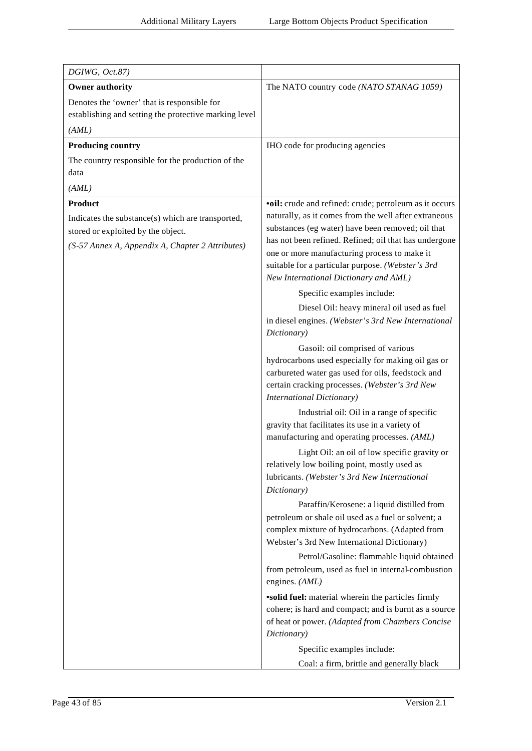| DGIWG, Oct.87)                                                                                                                                                |                                                                                                                                                                                                                                                                                                                                                                             |
|---------------------------------------------------------------------------------------------------------------------------------------------------------------|-----------------------------------------------------------------------------------------------------------------------------------------------------------------------------------------------------------------------------------------------------------------------------------------------------------------------------------------------------------------------------|
| <b>Owner authority</b>                                                                                                                                        | The NATO country code (NATO STANAG 1059)                                                                                                                                                                                                                                                                                                                                    |
| Denotes the 'owner' that is responsible for<br>establishing and setting the protective marking level                                                          |                                                                                                                                                                                                                                                                                                                                                                             |
| (AML)                                                                                                                                                         |                                                                                                                                                                                                                                                                                                                                                                             |
| <b>Producing country</b>                                                                                                                                      | IHO code for producing agencies                                                                                                                                                                                                                                                                                                                                             |
| The country responsible for the production of the<br>data                                                                                                     |                                                                                                                                                                                                                                                                                                                                                                             |
| (AML)                                                                                                                                                         |                                                                                                                                                                                                                                                                                                                                                                             |
| <b>Product</b><br>Indicates the substance(s) which are transported,<br>stored or exploited by the object.<br>(S-57 Annex A, Appendix A, Chapter 2 Attributes) | •oil: crude and refined: crude; petroleum as it occurs<br>naturally, as it comes from the well after extraneous<br>substances (eg water) have been removed; oil that<br>has not been refined. Refined; oil that has undergone<br>one or more manufacturing process to make it<br>suitable for a particular purpose. (Webster's 3rd<br>New International Dictionary and AML) |
|                                                                                                                                                               | Specific examples include:                                                                                                                                                                                                                                                                                                                                                  |
|                                                                                                                                                               | Diesel Oil: heavy mineral oil used as fuel<br>in diesel engines. (Webster's 3rd New International<br>Dictionary)                                                                                                                                                                                                                                                            |
|                                                                                                                                                               | Gasoil: oil comprised of various<br>hydrocarbons used especially for making oil gas or<br>carbureted water gas used for oils, feedstock and<br>certain cracking processes. (Webster's 3rd New<br><b>International Dictionary)</b>                                                                                                                                           |
|                                                                                                                                                               | Industrial oil: Oil in a range of specific<br>gravity that facilitates its use in a variety of<br>manufacturing and operating processes. (AML)                                                                                                                                                                                                                              |
|                                                                                                                                                               | Light Oil: an oil of low specific gravity or<br>relatively low boiling point, mostly used as<br>lubricants. (Webster's 3rd New International<br>Dictionary)                                                                                                                                                                                                                 |
|                                                                                                                                                               | Paraffin/Kerosene: a liquid distilled from<br>petroleum or shale oil used as a fuel or solvent; a<br>complex mixture of hydrocarbons. (Adapted from<br>Webster's 3rd New International Dictionary)                                                                                                                                                                          |
|                                                                                                                                                               | Petrol/Gasoline: flammable liquid obtained<br>from petroleum, used as fuel in internal-combustion<br>engines. (AML)                                                                                                                                                                                                                                                         |
|                                                                                                                                                               | <b>solid fuel:</b> material wherein the particles firmly<br>cohere; is hard and compact; and is burnt as a source<br>of heat or power. (Adapted from Chambers Concise<br>Dictionary)                                                                                                                                                                                        |
|                                                                                                                                                               | Specific examples include:<br>Coal: a firm, brittle and generally black                                                                                                                                                                                                                                                                                                     |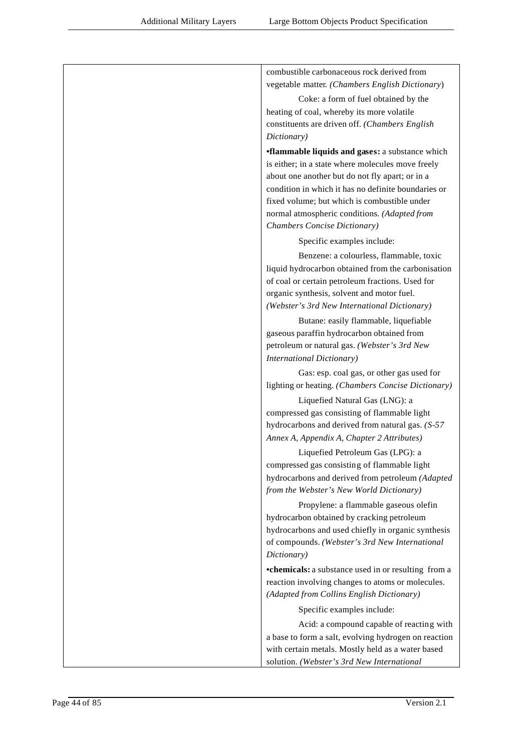| combustible carbonaceous rock derived from                                                     |
|------------------------------------------------------------------------------------------------|
| vegetable matter. (Chambers English Dictionary)                                                |
| Coke: a form of fuel obtained by the                                                           |
| heating of coal, whereby its more volatile                                                     |
| constituents are driven off. (Chambers English                                                 |
| Dictionary)                                                                                    |
| <b>flammable liquids and gases: a substance which</b>                                          |
| is either; in a state where molecules move freely                                              |
| about one another but do not fly apart; or in a                                                |
| condition in which it has no definite boundaries or                                            |
| fixed volume; but which is combustible under                                                   |
| normal atmospheric conditions. (Adapted from                                                   |
| Chambers Concise Dictionary)                                                                   |
| Specific examples include:                                                                     |
| Benzene: a colourless, flammable, toxic                                                        |
| liquid hydrocarbon obtained from the carbonisation                                             |
| of coal or certain petroleum fractions. Used for                                               |
| organic synthesis, solvent and motor fuel.                                                     |
| (Webster's 3rd New International Dictionary)                                                   |
| Butane: easily flammable, liquefiable                                                          |
| gaseous paraffin hydrocarbon obtained from                                                     |
| petroleum or natural gas. (Webster's 3rd New                                                   |
| <b>International Dictionary)</b>                                                               |
| Gas: esp. coal gas, or other gas used for                                                      |
| lighting or heating. (Chambers Concise Dictionary)                                             |
| Liquefied Natural Gas (LNG): a                                                                 |
| compressed gas consisting of flammable light                                                   |
| hydrocarbons and derived from natural gas. (S-57                                               |
| Annex A, Appendix A, Chapter 2 Attributes)                                                     |
| Liquefied Petroleum Gas (LPG): a                                                               |
| compressed gas consisting of flammable light                                                   |
| hydrocarbons and derived from petroleum (Adapted                                               |
| from the Webster's New World Dictionary)                                                       |
| Propylene: a flammable gaseous olefin                                                          |
| hydrocarbon obtained by cracking petroleum                                                     |
| hydrocarbons and used chiefly in organic synthesis                                             |
| of compounds. (Webster's 3rd New International                                                 |
| Dictionary)                                                                                    |
| <b>•chemicals:</b> a substance used in or resulting from a                                     |
| reaction involving changes to atoms or molecules.<br>(Adapted from Collins English Dictionary) |
| Specific examples include:                                                                     |
| Acid: a compound capable of reacting with                                                      |
| a base to form a salt, evolving hydrogen on reaction                                           |
| with certain metals. Mostly held as a water based                                              |
| solution. (Webster's 3rd New International                                                     |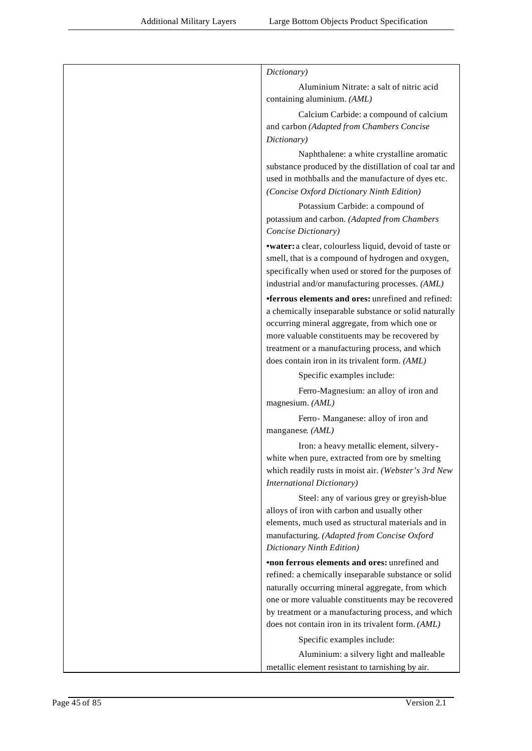| Dictionary)                                                                                                                                                                                                                                                                                                                         |
|-------------------------------------------------------------------------------------------------------------------------------------------------------------------------------------------------------------------------------------------------------------------------------------------------------------------------------------|
| Aluminium Nitrate: a salt of nitric acid<br>containing aluminium. (AML)                                                                                                                                                                                                                                                             |
| Calcium Carbide: a compound of calcium<br>and carbon (Adapted from Chambers Concise<br>Dictionary)                                                                                                                                                                                                                                  |
| Naphthalene: a white crystalline aromatic<br>substance produced by the distillation of coal tar and<br>used in mothballs and the manufacture of dyes etc.<br>(Concise Oxford Dictionary Ninth Edition)                                                                                                                              |
| Potassium Carbide: a compound of<br>potassium and carbon. (Adapted from Chambers<br>Concise Dictionary)                                                                                                                                                                                                                             |
| •water: a clear, colourless liquid, devoid of taste or<br>smell, that is a compound of hydrogen and oxygen,<br>specifically when used or stored for the purposes of<br>industrial and/or manufacturing processes. (AML)                                                                                                             |
| <b>•ferrous elements and ores:</b> unrefined and refined:<br>a chemically inseparable substance or solid naturally<br>occurring mineral aggregate, from which one or<br>more valuable constituents may be recovered by<br>treatment or a manufacturing process, and which<br>does contain iron in its trivalent form. (AML)         |
| Specific examples include:                                                                                                                                                                                                                                                                                                          |
| Ferro-Magnesium: an alloy of iron and<br>magnesium. (AML)                                                                                                                                                                                                                                                                           |
| Ferro- Manganese: alloy of iron and<br>manganese. (AML)                                                                                                                                                                                                                                                                             |
| Iron: a heavy metallic element, silvery-<br>white when pure, extracted from ore by smelting<br>which readily rusts in moist air. (Webster's 3rd New<br><b>International Dictionary)</b>                                                                                                                                             |
| Steel: any of various grey or greyish-blue<br>alloys of iron with carbon and usually other<br>elements, much used as structural materials and in<br>manufacturing. (Adapted from Concise Oxford<br>Dictionary Ninth Edition)                                                                                                        |
| <b>•non ferrous elements and ores: unrefined and</b><br>refined: a chemically inseparable substance or solid<br>naturally occurring mineral aggregate, from which<br>one or more valuable constituents may be recovered<br>by treatment or a manufacturing process, and which<br>does not contain iron in its trivalent form. (AML) |
| Specific examples include:                                                                                                                                                                                                                                                                                                          |
| Aluminium: a silvery light and malleable<br>metallic element resistant to tarnishing by air.                                                                                                                                                                                                                                        |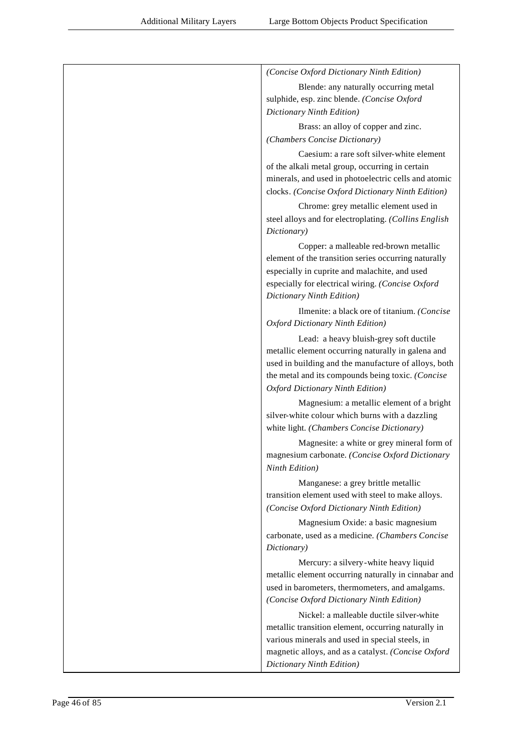| (Concise Oxford Dictionary Ninth Edition)                                                                 |
|-----------------------------------------------------------------------------------------------------------|
| Blende: any naturally occurring metal                                                                     |
| sulphide, esp. zinc blende. (Concise Oxford                                                               |
| Dictionary Ninth Edition)                                                                                 |
| Brass: an alloy of copper and zinc.                                                                       |
| (Chambers Concise Dictionary)                                                                             |
| Caesium: a rare soft silver-white element                                                                 |
| of the alkali metal group, occurring in certain                                                           |
| minerals, and used in photoelectric cells and atomic<br>clocks. (Concise Oxford Dictionary Ninth Edition) |
|                                                                                                           |
| Chrome: grey metallic element used in<br>steel alloys and for electroplating. (Collins English            |
| Dictionary)                                                                                               |
| Copper: a malleable red-brown metallic                                                                    |
| element of the transition series occurring naturally                                                      |
| especially in cuprite and malachite, and used                                                             |
| especially for electrical wiring. (Concise Oxford                                                         |
| Dictionary Ninth Edition)                                                                                 |
| Ilmenite: a black ore of titanium. (Concise                                                               |
| Oxford Dictionary Ninth Edition)                                                                          |
| Lead: a heavy bluish-grey soft ductile                                                                    |
| metallic element occurring naturally in galena and                                                        |
| used in building and the manufacture of alloys, both<br>the metal and its compounds being toxic. (Concise |
| Oxford Dictionary Ninth Edition)                                                                          |
| Magnesium: a metallic element of a bright                                                                 |
| silver-white colour which burns with a dazzling                                                           |
| white light. (Chambers Concise Dictionary)                                                                |
| Magnesite: a white or grey mineral form of                                                                |
| magnesium carbonate. (Concise Oxford Dictionary                                                           |
| Ninth Edition)                                                                                            |
| Manganese: a grey brittle metallic                                                                        |
| transition element used with steel to make alloys.                                                        |
| (Concise Oxford Dictionary Ninth Edition)                                                                 |
| Magnesium Oxide: a basic magnesium                                                                        |
| carbonate, used as a medicine. (Chambers Concise<br>Dictionary)                                           |
|                                                                                                           |
| Mercury: a silvery-white heavy liquid<br>metallic element occurring naturally in cinnabar and             |
| used in barometers, thermometers, and amalgams.                                                           |
| (Concise Oxford Dictionary Ninth Edition)                                                                 |
| Nickel: a malleable ductile silver-white                                                                  |
| metallic transition element, occurring naturally in                                                       |
| various minerals and used in special steels, in                                                           |
| magnetic alloys, and as a catalyst. (Concise Oxford                                                       |
| Dictionary Ninth Edition)                                                                                 |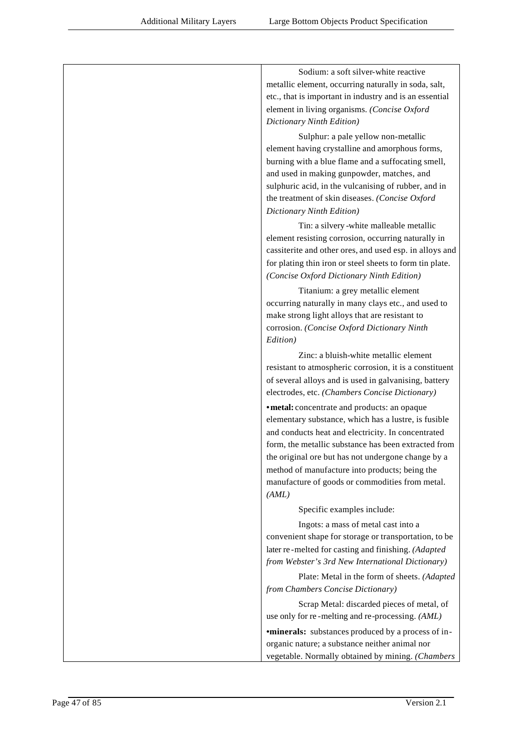| Sodium: a soft silver-white reactive<br>metallic element, occurring naturally in soda, salt,         |
|------------------------------------------------------------------------------------------------------|
| etc., that is important in industry and is an essential                                              |
| element in living organisms. (Concise Oxford                                                         |
| Dictionary Ninth Edition)                                                                            |
| Sulphur: a pale yellow non-metallic                                                                  |
| element having crystalline and amorphous forms,                                                      |
| burning with a blue flame and a suffocating smell,                                                   |
| and used in making gunpowder, matches, and                                                           |
| sulphuric acid, in the vulcanising of rubber, and in                                                 |
| the treatment of skin diseases. (Concise Oxford                                                      |
| Dictionary Ninth Edition)                                                                            |
| Tin: a silvery-white malleable metallic                                                              |
| element resisting corrosion, occurring naturally in                                                  |
| cassiterite and other ores, and used esp. in alloys and                                              |
| for plating thin iron or steel sheets to form tin plate.                                             |
| (Concise Oxford Dictionary Ninth Edition)                                                            |
| Titanium: a grey metallic element                                                                    |
| occurring naturally in many clays etc., and used to                                                  |
| make strong light alloys that are resistant to<br>corrosion. (Concise Oxford Dictionary Ninth        |
| Edition)                                                                                             |
| Zinc: a bluish-white metallic element                                                                |
| resistant to atmospheric corrosion, it is a constituent                                              |
| of several alloys and is used in galvanising, battery                                                |
| electrodes, etc. (Chambers Concise Dictionary)                                                       |
| · metal: concentrate and products: an opaque                                                         |
| elementary substance, which has a lustre, is fusible                                                 |
| and conducts heat and electricity. In concentrated                                                   |
| form, the metallic substance has been extracted from                                                 |
| the original ore but has not undergone change by a<br>method of manufacture into products; being the |
| manufacture of goods or commodities from metal.                                                      |
| (AML)                                                                                                |
| Specific examples include:                                                                           |
| Ingots: a mass of metal cast into a                                                                  |
| convenient shape for storage or transportation, to be                                                |
| later re-melted for casting and finishing. (Adapted                                                  |
| from Webster's 3rd New International Dictionary)                                                     |
| Plate: Metal in the form of sheets. (Adapted                                                         |
| from Chambers Concise Dictionary)                                                                    |
| Scrap Metal: discarded pieces of metal, of                                                           |
| use only for re-melting and re-processing. (AML)                                                     |
| <b>•minerals:</b> substances produced by a process of in-                                            |
| organic nature; a substance neither animal nor                                                       |
| vegetable. Normally obtained by mining. (Chambers                                                    |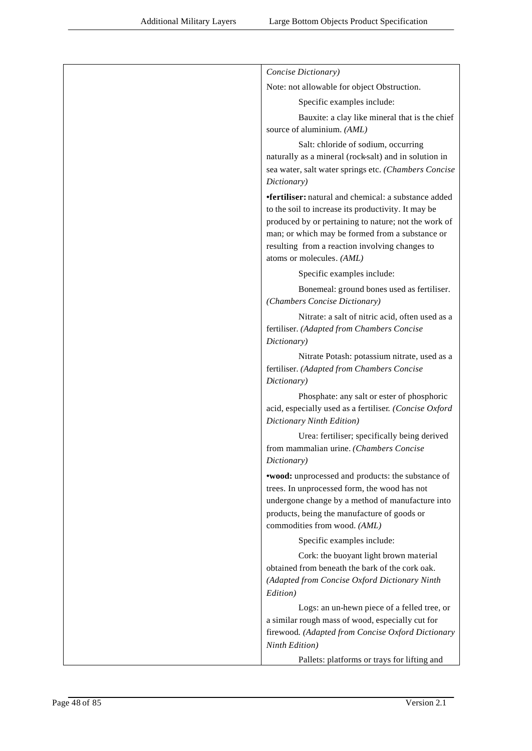| Concise Dictionary)                                                                                                                                                                                                                                                                                          |
|--------------------------------------------------------------------------------------------------------------------------------------------------------------------------------------------------------------------------------------------------------------------------------------------------------------|
| Note: not allowable for object Obstruction.                                                                                                                                                                                                                                                                  |
| Specific examples include:                                                                                                                                                                                                                                                                                   |
| Bauxite: a clay like mineral that is the chief<br>source of aluminium. (AML)                                                                                                                                                                                                                                 |
| Salt: chloride of sodium, occurring<br>naturally as a mineral (rock-salt) and in solution in<br>sea water, salt water springs etc. (Chambers Concise<br>Dictionary)                                                                                                                                          |
| <b>•fertiliser:</b> natural and chemical: a substance added<br>to the soil to increase its productivity. It may be<br>produced by or pertaining to nature; not the work of<br>man; or which may be formed from a substance or<br>resulting from a reaction involving changes to<br>atoms or molecules. (AML) |
| Specific examples include:                                                                                                                                                                                                                                                                                   |
| Bonemeal: ground bones used as fertiliser.<br>(Chambers Concise Dictionary)                                                                                                                                                                                                                                  |
| Nitrate: a salt of nitric acid, often used as a<br>fertiliser. (Adapted from Chambers Concise<br>Dictionary)                                                                                                                                                                                                 |
| Nitrate Potash: potassium nitrate, used as a<br>fertiliser. (Adapted from Chambers Concise<br>Dictionary)                                                                                                                                                                                                    |
| Phosphate: any salt or ester of phosphoric<br>acid, especially used as a fertiliser. (Concise Oxford<br>Dictionary Ninth Edition)                                                                                                                                                                            |
| Urea: fertiliser; specifically being derived<br>from mammalian urine. (Chambers Concise<br>Dictionary)                                                                                                                                                                                                       |
| <b>*wood:</b> unprocessed and products: the substance of<br>trees. In unprocessed form, the wood has not<br>undergone change by a method of manufacture into<br>products, being the manufacture of goods or<br>commodities from wood. (AML)                                                                  |
| Specific examples include:                                                                                                                                                                                                                                                                                   |
| Cork: the buoyant light brown material<br>obtained from beneath the bark of the cork oak.<br>(Adapted from Concise Oxford Dictionary Ninth<br>Edition)                                                                                                                                                       |
| Logs: an un-hewn piece of a felled tree, or<br>a similar rough mass of wood, especially cut for<br>firewood. (Adapted from Concise Oxford Dictionary<br>Ninth Edition)                                                                                                                                       |
| Pallets: platforms or trays for lifting and                                                                                                                                                                                                                                                                  |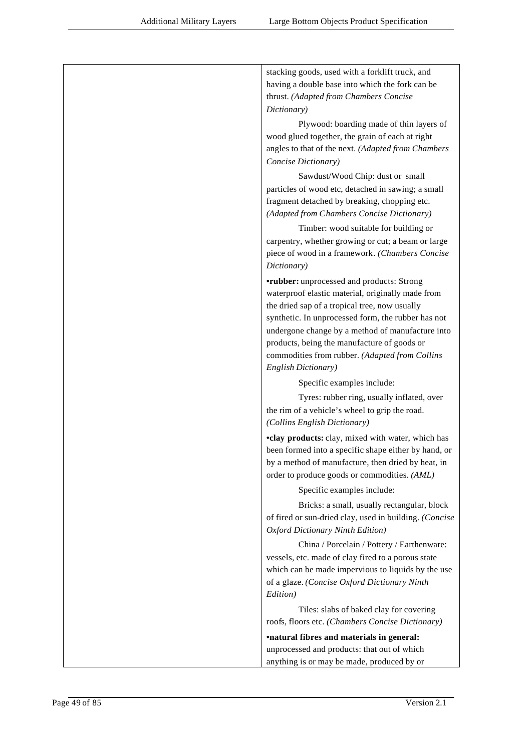| stacking goods, used with a forklift truck, and<br>having a double base into which the fork can be<br>thrust. (Adapted from Chambers Concise<br>Dictionary)                                                                                                                                                                                                                              |
|------------------------------------------------------------------------------------------------------------------------------------------------------------------------------------------------------------------------------------------------------------------------------------------------------------------------------------------------------------------------------------------|
| Plywood: boarding made of thin layers of<br>wood glued together, the grain of each at right<br>angles to that of the next. (Adapted from Chambers<br>Concise Dictionary)                                                                                                                                                                                                                 |
| Sawdust/Wood Chip: dust or small<br>particles of wood etc, detached in sawing; a small<br>fragment detached by breaking, chopping etc.<br>(Adapted from Chambers Concise Dictionary)                                                                                                                                                                                                     |
| Timber: wood suitable for building or<br>carpentry, whether growing or cut; a beam or large<br>piece of wood in a framework. (Chambers Concise<br>Dictionary)                                                                                                                                                                                                                            |
| <b>•rubber:</b> unprocessed and products: Strong<br>waterproof elastic material, originally made from<br>the dried sap of a tropical tree, now usually<br>synthetic. In unprocessed form, the rubber has not<br>undergone change by a method of manufacture into<br>products, being the manufacture of goods or<br>commodities from rubber. (Adapted from Collins<br>English Dictionary) |
| Specific examples include:<br>Tyres: rubber ring, usually inflated, over<br>the rim of a vehicle's wheel to grip the road.<br>(Collins English Dictionary)                                                                                                                                                                                                                               |
| •clay products: clay, mixed with water, which has<br>been formed into a specific shape either by hand, or<br>by a method of manufacture, then dried by heat, in<br>order to produce goods or commodities. (AML)                                                                                                                                                                          |
| Specific examples include:<br>Bricks: a small, usually rectangular, block<br>of fired or sun-dried clay, used in building. (Concise<br>Oxford Dictionary Ninth Edition)                                                                                                                                                                                                                  |
| China / Porcelain / Pottery / Earthenware:<br>vessels, etc. made of clay fired to a porous state<br>which can be made impervious to liquids by the use<br>of a glaze. (Concise Oxford Dictionary Ninth<br>Edition)                                                                                                                                                                       |
| Tiles: slabs of baked clay for covering<br>roofs, floors etc. (Chambers Concise Dictionary)                                                                                                                                                                                                                                                                                              |
| <b>•natural fibres and materials in general:</b><br>unprocessed and products: that out of which<br>anything is or may be made, produced by or                                                                                                                                                                                                                                            |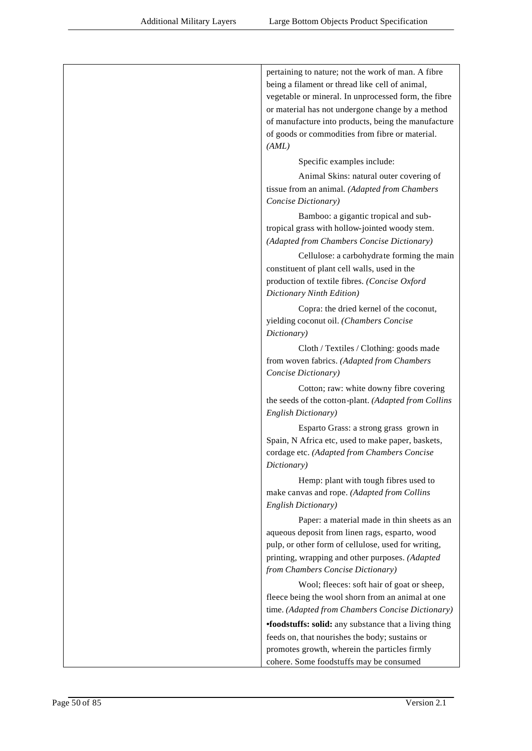| pertaining to nature; not the work of man. A fibre<br>being a filament or thread like cell of animal,<br>vegetable or mineral. In unprocessed form, the fibre<br>or material has not undergone change by a method<br>of manufacture into products, being the manufacture<br>of goods or commodities from fibre or material.<br>(AML) |
|--------------------------------------------------------------------------------------------------------------------------------------------------------------------------------------------------------------------------------------------------------------------------------------------------------------------------------------|
| Specific examples include:                                                                                                                                                                                                                                                                                                           |
| Animal Skins: natural outer covering of                                                                                                                                                                                                                                                                                              |
| tissue from an animal. (Adapted from Chambers<br>Concise Dictionary)                                                                                                                                                                                                                                                                 |
| Bamboo: a gigantic tropical and sub-<br>tropical grass with hollow-jointed woody stem.<br>(Adapted from Chambers Concise Dictionary)                                                                                                                                                                                                 |
| Cellulose: a carbohydrate forming the main<br>constituent of plant cell walls, used in the<br>production of textile fibres. (Concise Oxford<br>Dictionary Ninth Edition)                                                                                                                                                             |
| Copra: the dried kernel of the coconut,<br>yielding coconut oil. (Chambers Concise<br>Dictionary)                                                                                                                                                                                                                                    |
| Cloth / Textiles / Clothing: goods made<br>from woven fabrics. (Adapted from Chambers<br>Concise Dictionary)                                                                                                                                                                                                                         |
| Cotton; raw: white downy fibre covering<br>the seeds of the cotton-plant. (Adapted from Collins<br>English Dictionary)                                                                                                                                                                                                               |
| Esparto Grass: a strong grass grown in<br>Spain, N Africa etc, used to make paper, baskets,<br>cordage etc. (Adapted from Chambers Concise<br>Dictionary)                                                                                                                                                                            |
| Hemp: plant with tough fibres used to<br>make canvas and rope. (Adapted from Collins<br>English Dictionary)                                                                                                                                                                                                                          |
| Paper: a material made in thin sheets as an<br>aqueous deposit from linen rags, esparto, wood<br>pulp, or other form of cellulose, used for writing,<br>printing, wrapping and other purposes. (Adapted<br>from Chambers Concise Dictionary)                                                                                         |
| Wool; fleeces: soft hair of goat or sheep,<br>fleece being the wool shorn from an animal at one<br>time. (Adapted from Chambers Concise Dictionary)                                                                                                                                                                                  |
| •foodstuffs: solid: any substance that a living thing<br>feeds on, that nourishes the body; sustains or<br>promotes growth, wherein the particles firmly<br>cohere. Some foodstuffs may be consumed                                                                                                                                  |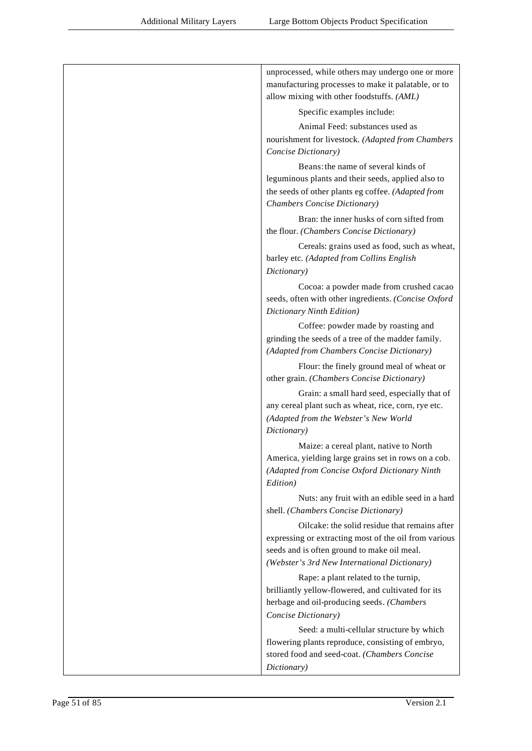| unprocessed, while others may undergo one or more                                                                                                                                                     |
|-------------------------------------------------------------------------------------------------------------------------------------------------------------------------------------------------------|
| manufacturing processes to make it palatable, or to                                                                                                                                                   |
| allow mixing with other foodstuffs. (AML)                                                                                                                                                             |
| Specific examples include:                                                                                                                                                                            |
| Animal Feed: substances used as                                                                                                                                                                       |
| nourishment for livestock. (Adapted from Chambers<br>Concise Dictionary)                                                                                                                              |
| Beans: the name of several kinds of<br>leguminous plants and their seeds, applied also to<br>the seeds of other plants eg coffee. (Adapted from<br>Chambers Concise Dictionary)                       |
| Bran: the inner husks of corn sifted from<br>the flour. (Chambers Concise Dictionary)                                                                                                                 |
| Cereals: grains used as food, such as wheat,<br>barley etc. (Adapted from Collins English<br>Dictionary)                                                                                              |
| Cocoa: a powder made from crushed cacao<br>seeds, often with other ingredients. (Concise Oxford<br>Dictionary Ninth Edition)                                                                          |
| Coffee: powder made by roasting and<br>grinding the seeds of a tree of the madder family.<br>(Adapted from Chambers Concise Dictionary)                                                               |
| Flour: the finely ground meal of wheat or<br>other grain. (Chambers Concise Dictionary)                                                                                                               |
| Grain: a small hard seed, especially that of<br>any cereal plant such as wheat, rice, corn, rye etc.<br>(Adapted from the Webster's New World<br>Dictionary)                                          |
| Maize: a cereal plant, native to North<br>America, yielding large grains set in rows on a cob.<br>(Adapted from Concise Oxford Dictionary Ninth<br>Edition)                                           |
| Nuts: any fruit with an edible seed in a hard<br>shell. (Chambers Concise Dictionary)                                                                                                                 |
| Oilcake: the solid residue that remains after<br>expressing or extracting most of the oil from various<br>seeds and is often ground to make oil meal.<br>(Webster's 3rd New International Dictionary) |
| Rape: a plant related to the turnip,<br>brilliantly yellow-flowered, and cultivated for its<br>herbage and oil-producing seeds. (Chambers<br>Concise Dictionary)                                      |
| Seed: a multi-cellular structure by which                                                                                                                                                             |
| flowering plants reproduce, consisting of embryo,                                                                                                                                                     |
| stored food and seed-coat. (Chambers Concise                                                                                                                                                          |
| Dictionary)                                                                                                                                                                                           |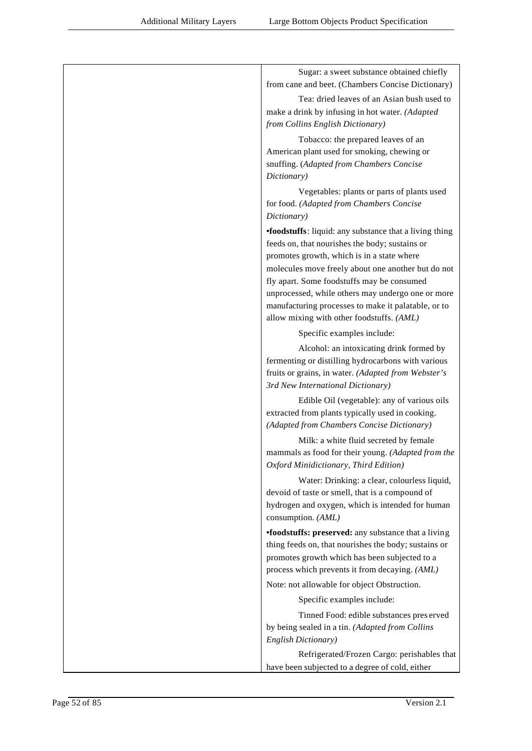| Sugar: a sweet substance obtained chiefly<br>from cane and beet. (Chambers Concise Dictionary)      |
|-----------------------------------------------------------------------------------------------------|
| Tea: dried leaves of an Asian bush used to                                                          |
| make a drink by infusing in hot water. (Adapted                                                     |
| from Collins English Dictionary)                                                                    |
| Tobacco: the prepared leaves of an                                                                  |
| American plant used for smoking, chewing or                                                         |
| snuffing. (Adapted from Chambers Concise<br>Dictionary)                                             |
| Vegetables: plants or parts of plants used                                                          |
| for food. (Adapted from Chambers Concise                                                            |
| Dictionary)                                                                                         |
| •foodstuffs: liquid: any substance that a living thing                                              |
| feeds on, that nourishes the body; sustains or                                                      |
| promotes growth, which is in a state where                                                          |
| molecules move freely about one another but do not<br>fly apart. Some foodstuffs may be consumed    |
| unprocessed, while others may undergo one or more                                                   |
| manufacturing processes to make it palatable, or to                                                 |
| allow mixing with other foodstuffs. (AML)                                                           |
| Specific examples include:                                                                          |
| Alcohol: an intoxicating drink formed by                                                            |
| fermenting or distilling hydrocarbons with various                                                  |
| fruits or grains, in water. (Adapted from Webster's<br>3rd New International Dictionary)            |
| Edible Oil (vegetable): any of various oils                                                         |
| extracted from plants typically used in cooking.                                                    |
| (Adapted from Chambers Concise Dictionary)                                                          |
| Milk: a white fluid secreted by female                                                              |
| mammals as food for their young. (Adapted from the                                                  |
| Oxford Minidictionary, Third Edition)                                                               |
| Water: Drinking: a clear, colourless liquid,                                                        |
| devoid of taste or smell, that is a compound of<br>hydrogen and oxygen, which is intended for human |
| consumption. (AML)                                                                                  |
| •foodstuffs: preserved: any substance that a living                                                 |
| thing feeds on, that nourishes the body; sustains or                                                |
| promotes growth which has been subjected to a                                                       |
| process which prevents it from decaying. (AML)                                                      |
| Note: not allowable for object Obstruction.                                                         |
| Specific examples include:                                                                          |
| Tinned Food: edible substances preserved                                                            |
| by being sealed in a tin. (Adapted from Collins<br>English Dictionary)                              |
| Refrigerated/Frozen Cargo: perishables that                                                         |
| have been subjected to a degree of cold, either                                                     |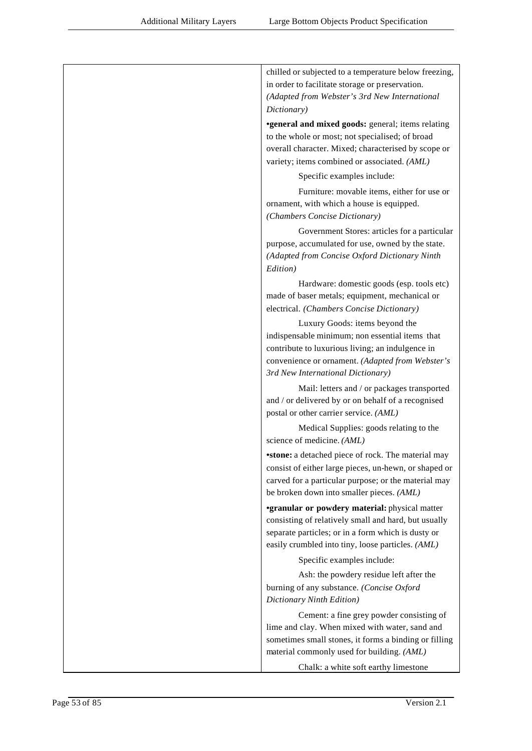| chilled or subjected to a temperature below freezing,                                                   |
|---------------------------------------------------------------------------------------------------------|
| in order to facilitate storage or preservation.                                                         |
| (Adapted from Webster's 3rd New International                                                           |
| Dictionary)                                                                                             |
| <b>•general and mixed goods:</b> general; items relating                                                |
| to the whole or most; not specialised; of broad                                                         |
| overall character. Mixed; characterised by scope or                                                     |
| variety; items combined or associated. (AML)                                                            |
| Specific examples include:                                                                              |
| Furniture: movable items, either for use or                                                             |
| ornament, with which a house is equipped.                                                               |
| (Chambers Concise Dictionary)                                                                           |
| Government Stores: articles for a particular                                                            |
| purpose, accumulated for use, owned by the state.                                                       |
| (Adapted from Concise Oxford Dictionary Ninth<br>Edition)                                               |
| Hardware: domestic goods (esp. tools etc)                                                               |
| made of baser metals; equipment, mechanical or                                                          |
| electrical. (Chambers Concise Dictionary)                                                               |
| Luxury Goods: items beyond the                                                                          |
| indispensable minimum; non essential items that                                                         |
| contribute to luxurious living; an indulgence in                                                        |
| convenience or ornament. (Adapted from Webster's                                                        |
| 3rd New International Dictionary)                                                                       |
| Mail: letters and / or packages transported                                                             |
| and / or delivered by or on behalf of a recognised                                                      |
| postal or other carrier service. (AML)                                                                  |
| Medical Supplies: goods relating to the                                                                 |
| science of medicine. (AML)                                                                              |
| <b>•stone:</b> a detached piece of rock. The material may                                               |
| consist of either large pieces, un-hewn, or shaped or                                                   |
| carved for a particular purpose; or the material may                                                    |
| be broken down into smaller pieces. (AML)                                                               |
| <b>•granular or powdery material:</b> physical matter                                                   |
| consisting of relatively small and hard, but usually                                                    |
| separate particles; or in a form which is dusty or<br>easily crumbled into tiny, loose particles. (AML) |
| Specific examples include:                                                                              |
| Ash: the powdery residue left after the                                                                 |
| burning of any substance. (Concise Oxford                                                               |
| Dictionary Ninth Edition)                                                                               |
| Cement: a fine grey powder consisting of                                                                |
| lime and clay. When mixed with water, sand and                                                          |
| sometimes small stones, it forms a binding or filling                                                   |
| material commonly used for building. (AML)                                                              |
| Chalk: a white soft earthy limestone                                                                    |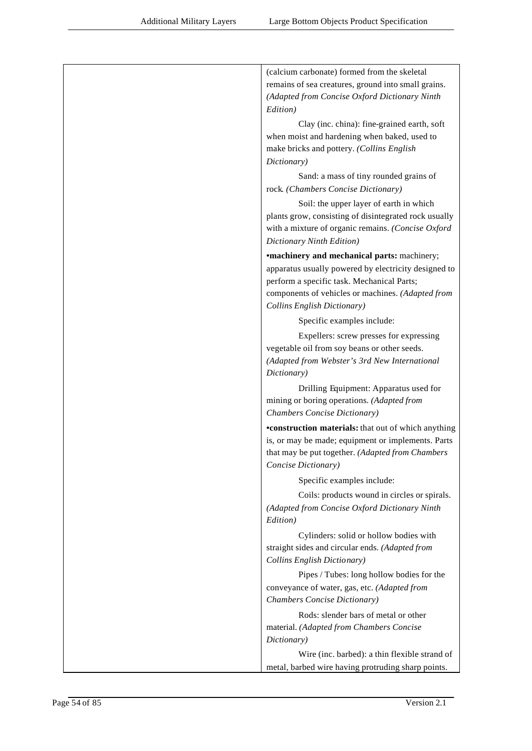| (calcium carbonate) formed from the skeletal<br>remains of sea creatures, ground into small grains.<br>(Adapted from Concise Oxford Dictionary Ninth<br>Edition)<br>Clay (inc. china): fine-grained earth, soft<br>when moist and hardening when baked, used to<br>make bricks and pottery. (Collins English<br>Dictionary)<br>Sand: a mass of tiny rounded grains of<br>rock. (Chambers Concise Dictionary)<br>Soil: the upper layer of earth in which<br>plants grow, consisting of disintegrated rock usually<br>with a mixture of organic remains. (Concise Oxford<br>Dictionary Ninth Edition)<br><b>*machinery and mechanical parts:</b> machinery;<br>apparatus usually powered by electricity designed to<br>perform a specific task. Mechanical Parts;<br>components of vehicles or machines. (Adapted from<br>Collins English Dictionary)<br>Specific examples include:<br>Expellers: screw presses for expressing<br>vegetable oil from soy beans or other seeds.<br>(Adapted from Webster's 3rd New International<br>Dictionary)<br>Drilling Equipment: Apparatus used for<br>mining or boring operations. (Adapted from<br>Chambers Concise Dictionary)<br><b>•construction materials:</b> that out of which anything<br>is, or may be made; equipment or implements. Parts<br>that may be put together. (Adapted from Chambers<br>Concise Dictionary)<br>Specific examples include:<br>Coils: products wound in circles or spirals.<br>(Adapted from Concise Oxford Dictionary Ninth<br>Edition)<br>Cylinders: solid or hollow bodies with<br>straight sides and circular ends. (Adapted from<br>Collins English Dictionary)<br>Pipes / Tubes: long hollow bodies for the<br>conveyance of water, gas, etc. (Adapted from<br>Chambers Concise Dictionary)<br>Rods: slender bars of metal or other<br>material. (Adapted from Chambers Concise<br>Dictionary)<br>Wire (inc. barbed): a thin flexible strand of |  |
|-----------------------------------------------------------------------------------------------------------------------------------------------------------------------------------------------------------------------------------------------------------------------------------------------------------------------------------------------------------------------------------------------------------------------------------------------------------------------------------------------------------------------------------------------------------------------------------------------------------------------------------------------------------------------------------------------------------------------------------------------------------------------------------------------------------------------------------------------------------------------------------------------------------------------------------------------------------------------------------------------------------------------------------------------------------------------------------------------------------------------------------------------------------------------------------------------------------------------------------------------------------------------------------------------------------------------------------------------------------------------------------------------------------------------------------------------------------------------------------------------------------------------------------------------------------------------------------------------------------------------------------------------------------------------------------------------------------------------------------------------------------------------------------------------------------------------------------------------------------------------------------------------------------------------------|--|
|                                                                                                                                                                                                                                                                                                                                                                                                                                                                                                                                                                                                                                                                                                                                                                                                                                                                                                                                                                                                                                                                                                                                                                                                                                                                                                                                                                                                                                                                                                                                                                                                                                                                                                                                                                                                                                                                                                                             |  |
|                                                                                                                                                                                                                                                                                                                                                                                                                                                                                                                                                                                                                                                                                                                                                                                                                                                                                                                                                                                                                                                                                                                                                                                                                                                                                                                                                                                                                                                                                                                                                                                                                                                                                                                                                                                                                                                                                                                             |  |
|                                                                                                                                                                                                                                                                                                                                                                                                                                                                                                                                                                                                                                                                                                                                                                                                                                                                                                                                                                                                                                                                                                                                                                                                                                                                                                                                                                                                                                                                                                                                                                                                                                                                                                                                                                                                                                                                                                                             |  |
|                                                                                                                                                                                                                                                                                                                                                                                                                                                                                                                                                                                                                                                                                                                                                                                                                                                                                                                                                                                                                                                                                                                                                                                                                                                                                                                                                                                                                                                                                                                                                                                                                                                                                                                                                                                                                                                                                                                             |  |
|                                                                                                                                                                                                                                                                                                                                                                                                                                                                                                                                                                                                                                                                                                                                                                                                                                                                                                                                                                                                                                                                                                                                                                                                                                                                                                                                                                                                                                                                                                                                                                                                                                                                                                                                                                                                                                                                                                                             |  |
|                                                                                                                                                                                                                                                                                                                                                                                                                                                                                                                                                                                                                                                                                                                                                                                                                                                                                                                                                                                                                                                                                                                                                                                                                                                                                                                                                                                                                                                                                                                                                                                                                                                                                                                                                                                                                                                                                                                             |  |
|                                                                                                                                                                                                                                                                                                                                                                                                                                                                                                                                                                                                                                                                                                                                                                                                                                                                                                                                                                                                                                                                                                                                                                                                                                                                                                                                                                                                                                                                                                                                                                                                                                                                                                                                                                                                                                                                                                                             |  |
|                                                                                                                                                                                                                                                                                                                                                                                                                                                                                                                                                                                                                                                                                                                                                                                                                                                                                                                                                                                                                                                                                                                                                                                                                                                                                                                                                                                                                                                                                                                                                                                                                                                                                                                                                                                                                                                                                                                             |  |
|                                                                                                                                                                                                                                                                                                                                                                                                                                                                                                                                                                                                                                                                                                                                                                                                                                                                                                                                                                                                                                                                                                                                                                                                                                                                                                                                                                                                                                                                                                                                                                                                                                                                                                                                                                                                                                                                                                                             |  |
|                                                                                                                                                                                                                                                                                                                                                                                                                                                                                                                                                                                                                                                                                                                                                                                                                                                                                                                                                                                                                                                                                                                                                                                                                                                                                                                                                                                                                                                                                                                                                                                                                                                                                                                                                                                                                                                                                                                             |  |
|                                                                                                                                                                                                                                                                                                                                                                                                                                                                                                                                                                                                                                                                                                                                                                                                                                                                                                                                                                                                                                                                                                                                                                                                                                                                                                                                                                                                                                                                                                                                                                                                                                                                                                                                                                                                                                                                                                                             |  |
|                                                                                                                                                                                                                                                                                                                                                                                                                                                                                                                                                                                                                                                                                                                                                                                                                                                                                                                                                                                                                                                                                                                                                                                                                                                                                                                                                                                                                                                                                                                                                                                                                                                                                                                                                                                                                                                                                                                             |  |
|                                                                                                                                                                                                                                                                                                                                                                                                                                                                                                                                                                                                                                                                                                                                                                                                                                                                                                                                                                                                                                                                                                                                                                                                                                                                                                                                                                                                                                                                                                                                                                                                                                                                                                                                                                                                                                                                                                                             |  |
|                                                                                                                                                                                                                                                                                                                                                                                                                                                                                                                                                                                                                                                                                                                                                                                                                                                                                                                                                                                                                                                                                                                                                                                                                                                                                                                                                                                                                                                                                                                                                                                                                                                                                                                                                                                                                                                                                                                             |  |
|                                                                                                                                                                                                                                                                                                                                                                                                                                                                                                                                                                                                                                                                                                                                                                                                                                                                                                                                                                                                                                                                                                                                                                                                                                                                                                                                                                                                                                                                                                                                                                                                                                                                                                                                                                                                                                                                                                                             |  |
|                                                                                                                                                                                                                                                                                                                                                                                                                                                                                                                                                                                                                                                                                                                                                                                                                                                                                                                                                                                                                                                                                                                                                                                                                                                                                                                                                                                                                                                                                                                                                                                                                                                                                                                                                                                                                                                                                                                             |  |
|                                                                                                                                                                                                                                                                                                                                                                                                                                                                                                                                                                                                                                                                                                                                                                                                                                                                                                                                                                                                                                                                                                                                                                                                                                                                                                                                                                                                                                                                                                                                                                                                                                                                                                                                                                                                                                                                                                                             |  |
|                                                                                                                                                                                                                                                                                                                                                                                                                                                                                                                                                                                                                                                                                                                                                                                                                                                                                                                                                                                                                                                                                                                                                                                                                                                                                                                                                                                                                                                                                                                                                                                                                                                                                                                                                                                                                                                                                                                             |  |
|                                                                                                                                                                                                                                                                                                                                                                                                                                                                                                                                                                                                                                                                                                                                                                                                                                                                                                                                                                                                                                                                                                                                                                                                                                                                                                                                                                                                                                                                                                                                                                                                                                                                                                                                                                                                                                                                                                                             |  |
|                                                                                                                                                                                                                                                                                                                                                                                                                                                                                                                                                                                                                                                                                                                                                                                                                                                                                                                                                                                                                                                                                                                                                                                                                                                                                                                                                                                                                                                                                                                                                                                                                                                                                                                                                                                                                                                                                                                             |  |
|                                                                                                                                                                                                                                                                                                                                                                                                                                                                                                                                                                                                                                                                                                                                                                                                                                                                                                                                                                                                                                                                                                                                                                                                                                                                                                                                                                                                                                                                                                                                                                                                                                                                                                                                                                                                                                                                                                                             |  |
|                                                                                                                                                                                                                                                                                                                                                                                                                                                                                                                                                                                                                                                                                                                                                                                                                                                                                                                                                                                                                                                                                                                                                                                                                                                                                                                                                                                                                                                                                                                                                                                                                                                                                                                                                                                                                                                                                                                             |  |
|                                                                                                                                                                                                                                                                                                                                                                                                                                                                                                                                                                                                                                                                                                                                                                                                                                                                                                                                                                                                                                                                                                                                                                                                                                                                                                                                                                                                                                                                                                                                                                                                                                                                                                                                                                                                                                                                                                                             |  |
|                                                                                                                                                                                                                                                                                                                                                                                                                                                                                                                                                                                                                                                                                                                                                                                                                                                                                                                                                                                                                                                                                                                                                                                                                                                                                                                                                                                                                                                                                                                                                                                                                                                                                                                                                                                                                                                                                                                             |  |
|                                                                                                                                                                                                                                                                                                                                                                                                                                                                                                                                                                                                                                                                                                                                                                                                                                                                                                                                                                                                                                                                                                                                                                                                                                                                                                                                                                                                                                                                                                                                                                                                                                                                                                                                                                                                                                                                                                                             |  |
|                                                                                                                                                                                                                                                                                                                                                                                                                                                                                                                                                                                                                                                                                                                                                                                                                                                                                                                                                                                                                                                                                                                                                                                                                                                                                                                                                                                                                                                                                                                                                                                                                                                                                                                                                                                                                                                                                                                             |  |
|                                                                                                                                                                                                                                                                                                                                                                                                                                                                                                                                                                                                                                                                                                                                                                                                                                                                                                                                                                                                                                                                                                                                                                                                                                                                                                                                                                                                                                                                                                                                                                                                                                                                                                                                                                                                                                                                                                                             |  |
|                                                                                                                                                                                                                                                                                                                                                                                                                                                                                                                                                                                                                                                                                                                                                                                                                                                                                                                                                                                                                                                                                                                                                                                                                                                                                                                                                                                                                                                                                                                                                                                                                                                                                                                                                                                                                                                                                                                             |  |
|                                                                                                                                                                                                                                                                                                                                                                                                                                                                                                                                                                                                                                                                                                                                                                                                                                                                                                                                                                                                                                                                                                                                                                                                                                                                                                                                                                                                                                                                                                                                                                                                                                                                                                                                                                                                                                                                                                                             |  |
|                                                                                                                                                                                                                                                                                                                                                                                                                                                                                                                                                                                                                                                                                                                                                                                                                                                                                                                                                                                                                                                                                                                                                                                                                                                                                                                                                                                                                                                                                                                                                                                                                                                                                                                                                                                                                                                                                                                             |  |
|                                                                                                                                                                                                                                                                                                                                                                                                                                                                                                                                                                                                                                                                                                                                                                                                                                                                                                                                                                                                                                                                                                                                                                                                                                                                                                                                                                                                                                                                                                                                                                                                                                                                                                                                                                                                                                                                                                                             |  |
|                                                                                                                                                                                                                                                                                                                                                                                                                                                                                                                                                                                                                                                                                                                                                                                                                                                                                                                                                                                                                                                                                                                                                                                                                                                                                                                                                                                                                                                                                                                                                                                                                                                                                                                                                                                                                                                                                                                             |  |
|                                                                                                                                                                                                                                                                                                                                                                                                                                                                                                                                                                                                                                                                                                                                                                                                                                                                                                                                                                                                                                                                                                                                                                                                                                                                                                                                                                                                                                                                                                                                                                                                                                                                                                                                                                                                                                                                                                                             |  |
|                                                                                                                                                                                                                                                                                                                                                                                                                                                                                                                                                                                                                                                                                                                                                                                                                                                                                                                                                                                                                                                                                                                                                                                                                                                                                                                                                                                                                                                                                                                                                                                                                                                                                                                                                                                                                                                                                                                             |  |
|                                                                                                                                                                                                                                                                                                                                                                                                                                                                                                                                                                                                                                                                                                                                                                                                                                                                                                                                                                                                                                                                                                                                                                                                                                                                                                                                                                                                                                                                                                                                                                                                                                                                                                                                                                                                                                                                                                                             |  |
|                                                                                                                                                                                                                                                                                                                                                                                                                                                                                                                                                                                                                                                                                                                                                                                                                                                                                                                                                                                                                                                                                                                                                                                                                                                                                                                                                                                                                                                                                                                                                                                                                                                                                                                                                                                                                                                                                                                             |  |
|                                                                                                                                                                                                                                                                                                                                                                                                                                                                                                                                                                                                                                                                                                                                                                                                                                                                                                                                                                                                                                                                                                                                                                                                                                                                                                                                                                                                                                                                                                                                                                                                                                                                                                                                                                                                                                                                                                                             |  |
|                                                                                                                                                                                                                                                                                                                                                                                                                                                                                                                                                                                                                                                                                                                                                                                                                                                                                                                                                                                                                                                                                                                                                                                                                                                                                                                                                                                                                                                                                                                                                                                                                                                                                                                                                                                                                                                                                                                             |  |
|                                                                                                                                                                                                                                                                                                                                                                                                                                                                                                                                                                                                                                                                                                                                                                                                                                                                                                                                                                                                                                                                                                                                                                                                                                                                                                                                                                                                                                                                                                                                                                                                                                                                                                                                                                                                                                                                                                                             |  |
|                                                                                                                                                                                                                                                                                                                                                                                                                                                                                                                                                                                                                                                                                                                                                                                                                                                                                                                                                                                                                                                                                                                                                                                                                                                                                                                                                                                                                                                                                                                                                                                                                                                                                                                                                                                                                                                                                                                             |  |
|                                                                                                                                                                                                                                                                                                                                                                                                                                                                                                                                                                                                                                                                                                                                                                                                                                                                                                                                                                                                                                                                                                                                                                                                                                                                                                                                                                                                                                                                                                                                                                                                                                                                                                                                                                                                                                                                                                                             |  |
|                                                                                                                                                                                                                                                                                                                                                                                                                                                                                                                                                                                                                                                                                                                                                                                                                                                                                                                                                                                                                                                                                                                                                                                                                                                                                                                                                                                                                                                                                                                                                                                                                                                                                                                                                                                                                                                                                                                             |  |
|                                                                                                                                                                                                                                                                                                                                                                                                                                                                                                                                                                                                                                                                                                                                                                                                                                                                                                                                                                                                                                                                                                                                                                                                                                                                                                                                                                                                                                                                                                                                                                                                                                                                                                                                                                                                                                                                                                                             |  |
|                                                                                                                                                                                                                                                                                                                                                                                                                                                                                                                                                                                                                                                                                                                                                                                                                                                                                                                                                                                                                                                                                                                                                                                                                                                                                                                                                                                                                                                                                                                                                                                                                                                                                                                                                                                                                                                                                                                             |  |
| metal, barbed wire having protruding sharp points.                                                                                                                                                                                                                                                                                                                                                                                                                                                                                                                                                                                                                                                                                                                                                                                                                                                                                                                                                                                                                                                                                                                                                                                                                                                                                                                                                                                                                                                                                                                                                                                                                                                                                                                                                                                                                                                                          |  |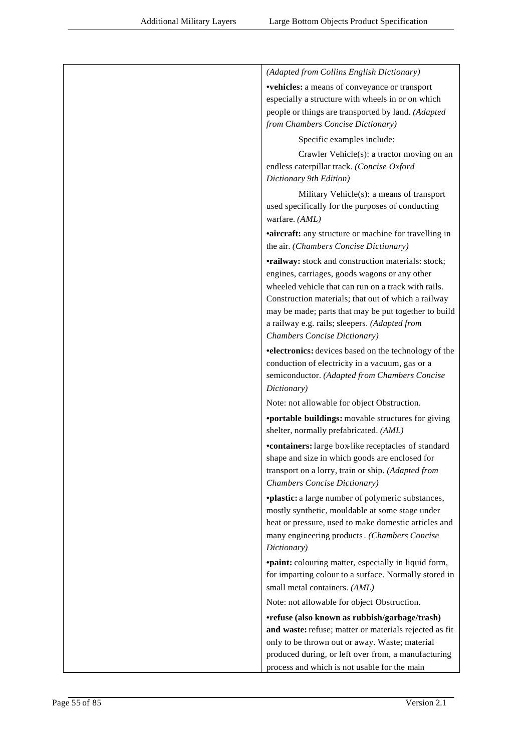| (Adapted from Collins English Dictionary)                                                                                                                                                                                                                                                                                                                         |
|-------------------------------------------------------------------------------------------------------------------------------------------------------------------------------------------------------------------------------------------------------------------------------------------------------------------------------------------------------------------|
| <b>vehicles:</b> a means of conveyance or transport<br>especially a structure with wheels in or on which<br>people or things are transported by land. (Adapted<br>from Chambers Concise Dictionary)                                                                                                                                                               |
| Specific examples include:                                                                                                                                                                                                                                                                                                                                        |
| Crawler Vehicle(s): a tractor moving on an<br>endless caterpillar track. (Concise Oxford<br>Dictionary 9th Edition)                                                                                                                                                                                                                                               |
| Military Vehicle(s): a means of transport<br>used specifically for the purposes of conducting<br>warfare. (AML)                                                                                                                                                                                                                                                   |
| <b>aircraft:</b> any structure or machine for travelling in<br>the air. (Chambers Concise Dictionary)                                                                                                                                                                                                                                                             |
| <b>•railway:</b> stock and construction materials: stock;<br>engines, carriages, goods wagons or any other<br>wheeled vehicle that can run on a track with rails.<br>Construction materials; that out of which a railway<br>may be made; parts that may be put together to build<br>a railway e.g. rails; sleepers. (Adapted from<br>Chambers Concise Dictionary) |
| <b>•electronics:</b> devices based on the technology of the<br>conduction of electricity in a vacuum, gas or a<br>semiconductor. (Adapted from Chambers Concise<br>Dictionary)                                                                                                                                                                                    |
| Note: not allowable for object Obstruction.                                                                                                                                                                                                                                                                                                                       |
| <b>•portable buildings:</b> movable structures for giving<br>shelter, normally prefabricated. (AML)                                                                                                                                                                                                                                                               |
| •containers: large box-like receptacles of standard<br>shape and size in which goods are enclosed for<br>transport on a lorry, train or ship. (Adapted from<br>Chambers Concise Dictionary)                                                                                                                                                                       |
| <i>vplastic: a large number of polymeric substances,</i><br>mostly synthetic, mouldable at some stage under<br>heat or pressure, used to make domestic articles and<br>many engineering products. (Chambers Concise<br>Dictionary)                                                                                                                                |
| <b>•paint:</b> colouring matter, especially in liquid form,<br>for imparting colour to a surface. Normally stored in<br>small metal containers. (AML)                                                                                                                                                                                                             |
| Note: not allowable for object Obstruction.                                                                                                                                                                                                                                                                                                                       |
| •refuse (also known as rubbish/garbage/trash)<br>and waste: refuse; matter or materials rejected as fit<br>only to be thrown out or away. Waste; material<br>produced during, or left over from, a manufacturing<br>process and which is not usable for the main                                                                                                  |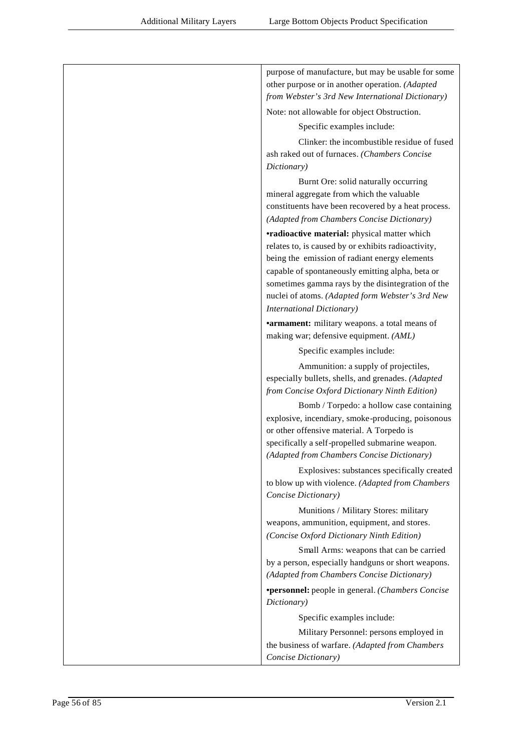| purpose of manufacture, but may be usable for some<br>other purpose or in another operation. (Adapted<br>from Webster's 3rd New International Dictionary)                                                                                                                                             |
|-------------------------------------------------------------------------------------------------------------------------------------------------------------------------------------------------------------------------------------------------------------------------------------------------------|
| Note: not allowable for object Obstruction.                                                                                                                                                                                                                                                           |
| Specific examples include:                                                                                                                                                                                                                                                                            |
| Clinker: the incombustible residue of fused<br>ash raked out of furnaces. (Chambers Concise<br>Dictionary)                                                                                                                                                                                            |
| Burnt Ore: solid naturally occurring<br>mineral aggregate from which the valuable<br>constituents have been recovered by a heat process.<br>(Adapted from Chambers Concise Dictionary)                                                                                                                |
| <b>•radioactive material:</b> physical matter which                                                                                                                                                                                                                                                   |
| relates to, is caused by or exhibits radioactivity,<br>being the emission of radiant energy elements<br>capable of spontaneously emitting alpha, beta or<br>sometimes gamma rays by the disintegration of the<br>nuclei of atoms. (Adapted form Webster's 3rd New<br><b>International Dictionary)</b> |
| <b>•armament:</b> military weapons. a total means of                                                                                                                                                                                                                                                  |
| making war; defensive equipment. (AML)                                                                                                                                                                                                                                                                |
| Specific examples include:                                                                                                                                                                                                                                                                            |
| Ammunition: a supply of projectiles,<br>especially bullets, shells, and grenades. (Adapted<br>from Concise Oxford Dictionary Ninth Edition)                                                                                                                                                           |
| Bomb / Torpedo: a hollow case containing<br>explosive, incendiary, smoke-producing, poisonous<br>or other offensive material. A Torpedo is<br>specifically a self-propelled submarine weapon.                                                                                                         |
| (Adapted from Chambers Concise Dictionary)                                                                                                                                                                                                                                                            |
| Explosives: substances specifically created<br>to blow up with violence. (Adapted from Chambers<br>Concise Dictionary)                                                                                                                                                                                |
| Munitions / Military Stores: military<br>weapons, ammunition, equipment, and stores.<br>(Concise Oxford Dictionary Ninth Edition)                                                                                                                                                                     |
| Small Arms: weapons that can be carried<br>by a person, especially handguns or short weapons.<br>(Adapted from Chambers Concise Dictionary)                                                                                                                                                           |
| <b>*personnel:</b> people in general. (Chambers Concise<br>Dictionary)                                                                                                                                                                                                                                |
| Specific examples include:                                                                                                                                                                                                                                                                            |
| Military Personnel: persons employed in<br>the business of warfare. (Adapted from Chambers<br>Concise Dictionary)                                                                                                                                                                                     |
|                                                                                                                                                                                                                                                                                                       |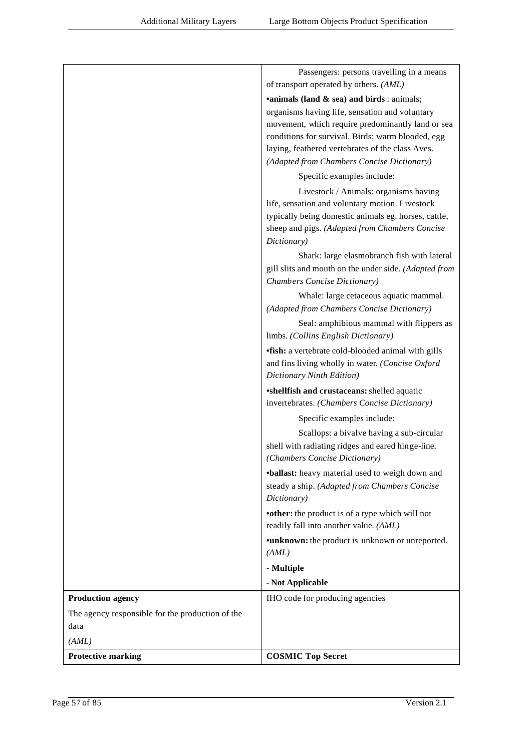|                                                  | Passengers: persons travelling in a means                                                                                       |
|--------------------------------------------------|---------------------------------------------------------------------------------------------------------------------------------|
|                                                  | of transport operated by others. (AML)                                                                                          |
|                                                  | <b>•animals (land &amp; sea) and birds:</b> animals;                                                                            |
|                                                  | organisms having life, sensation and voluntary                                                                                  |
|                                                  | movement, which require predominantly land or sea                                                                               |
|                                                  | conditions for survival. Birds; warm blooded, egg                                                                               |
|                                                  | laying, feathered vertebrates of the class Aves.<br>(Adapted from Chambers Concise Dictionary)                                  |
|                                                  |                                                                                                                                 |
|                                                  | Specific examples include:                                                                                                      |
|                                                  | Livestock / Animals: organisms having                                                                                           |
|                                                  | life, sensation and voluntary motion. Livestock<br>typically being domestic animals eg. horses, cattle,                         |
|                                                  | sheep and pigs. (Adapted from Chambers Concise<br>Dictionary)                                                                   |
|                                                  | Shark: large elasmobranch fish with lateral                                                                                     |
|                                                  | gill slits and mouth on the under side. (Adapted from<br>Chambers Concise Dictionary)                                           |
|                                                  | Whale: large cetaceous aquatic mammal.<br>(Adapted from Chambers Concise Dictionary)                                            |
|                                                  | Seal: amphibious mammal with flippers as                                                                                        |
|                                                  | limbs. (Collins English Dictionary)                                                                                             |
|                                                  | <b>•fish:</b> a vertebrate cold-blooded animal with gills                                                                       |
|                                                  | and fins living wholly in water. (Concise Oxford<br>Dictionary Ninth Edition)                                                   |
|                                                  | *shellfish and crustaceans: shelled aquatic<br>invertebrates. (Chambers Concise Dictionary)                                     |
|                                                  |                                                                                                                                 |
|                                                  | Specific examples include:                                                                                                      |
|                                                  | Scallops: a bivalve having a sub-circular<br>shell with radiating ridges and eared hinge-line.<br>(Chambers Concise Dictionary) |
|                                                  | •ballast: heavy material used to weigh down and                                                                                 |
|                                                  | steady a ship. (Adapted from Chambers Concise<br>Dictionary)                                                                    |
|                                                  | <b>•other:</b> the product is of a type which will not<br>readily fall into another value. (AML)                                |
|                                                  | •unknown: the product is unknown or unreported.<br>(AML)                                                                        |
|                                                  | - Multiple                                                                                                                      |
|                                                  | - Not Applicable                                                                                                                |
| <b>Production agency</b>                         | IHO code for producing agencies                                                                                                 |
| The agency responsible for the production of the |                                                                                                                                 |
| data                                             |                                                                                                                                 |
| (AML)                                            |                                                                                                                                 |
| <b>Protective marking</b>                        | <b>COSMIC Top Secret</b>                                                                                                        |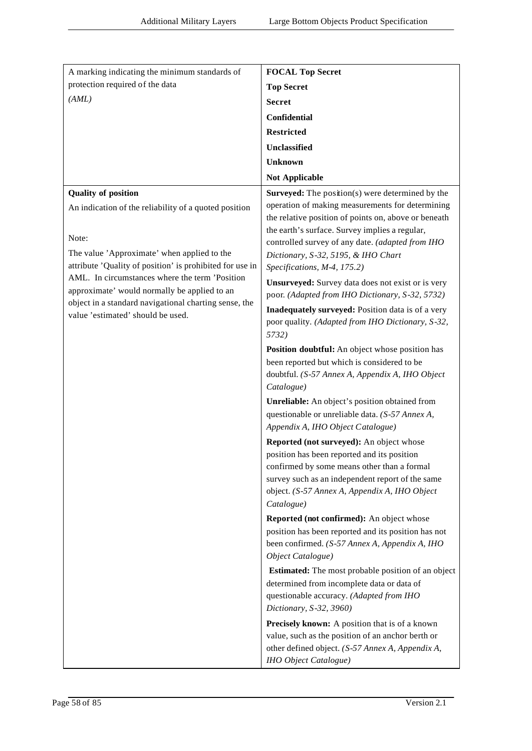| A marking indicating the minimum standards of                                                         | <b>FOCAL Top Secret</b>                                                                               |
|-------------------------------------------------------------------------------------------------------|-------------------------------------------------------------------------------------------------------|
| protection required of the data                                                                       | <b>Top Secret</b>                                                                                     |
| (AML)                                                                                                 | <b>Secret</b>                                                                                         |
|                                                                                                       | <b>Confidential</b>                                                                                   |
|                                                                                                       | <b>Restricted</b>                                                                                     |
|                                                                                                       | Unclassified                                                                                          |
|                                                                                                       | <b>Unknown</b>                                                                                        |
|                                                                                                       | <b>Not Applicable</b>                                                                                 |
| <b>Quality of position</b>                                                                            | Surveyed: The position(s) were determined by the                                                      |
| An indication of the reliability of a quoted position                                                 | operation of making measurements for determining                                                      |
|                                                                                                       | the relative position of points on, above or beneath                                                  |
| Note:                                                                                                 | the earth's surface. Survey implies a regular,<br>controlled survey of any date. (adapted from IHO    |
| The value 'Approximate' when applied to the                                                           | Dictionary, S-32, 5195, & IHO Chart                                                                   |
| attribute 'Quality of position' is prohibited for use in                                              | Specifications, M-4, 175.2)                                                                           |
| AML. In circumstances where the term 'Position                                                        | Unsurveyed: Survey data does not exist or is very                                                     |
| approximate' would normally be applied to an<br>object in a standard navigational charting sense, the | poor. (Adapted from IHO Dictionary, S-32, 5732)                                                       |
| value 'estimated' should be used.                                                                     | <b>Inadequately surveyed:</b> Position data is of a very                                              |
|                                                                                                       | poor quality. (Adapted from IHO Dictionary, S-32,<br>5732)                                            |
|                                                                                                       | Position doubtful: An object whose position has                                                       |
|                                                                                                       | been reported but which is considered to be                                                           |
|                                                                                                       | doubtful. (S-57 Annex A, Appendix A, IHO Object<br>Catalogue)                                         |
|                                                                                                       | Unreliable: An object's position obtained from                                                        |
|                                                                                                       | questionable or unreliable data. (S-57 Annex A,                                                       |
|                                                                                                       | Appendix A, IHO Object Catalogue)                                                                     |
|                                                                                                       | Reported (not surveyed): An object whose                                                              |
|                                                                                                       | position has been reported and its position<br>confirmed by some means other than a formal            |
|                                                                                                       | survey such as an independent report of the same                                                      |
|                                                                                                       | object. (S-57 Annex A, Appendix A, IHO Object                                                         |
|                                                                                                       | Catalogue)                                                                                            |
|                                                                                                       | Reported (not confirmed): An object whose                                                             |
|                                                                                                       | position has been reported and its position has not<br>been confirmed. (S-57 Annex A, Appendix A, IHO |
|                                                                                                       | Object Catalogue)                                                                                     |
|                                                                                                       | <b>Estimated:</b> The most probable position of an object                                             |
|                                                                                                       | determined from incomplete data or data of                                                            |
|                                                                                                       | questionable accuracy. (Adapted from IHO                                                              |
|                                                                                                       | Dictionary, S-32, 3960)                                                                               |
|                                                                                                       | Precisely known: A position that is of a known<br>value, such as the position of an anchor berth or   |
|                                                                                                       | other defined object. (S-57 Annex A, Appendix A,                                                      |
|                                                                                                       | IHO Object Catalogue)                                                                                 |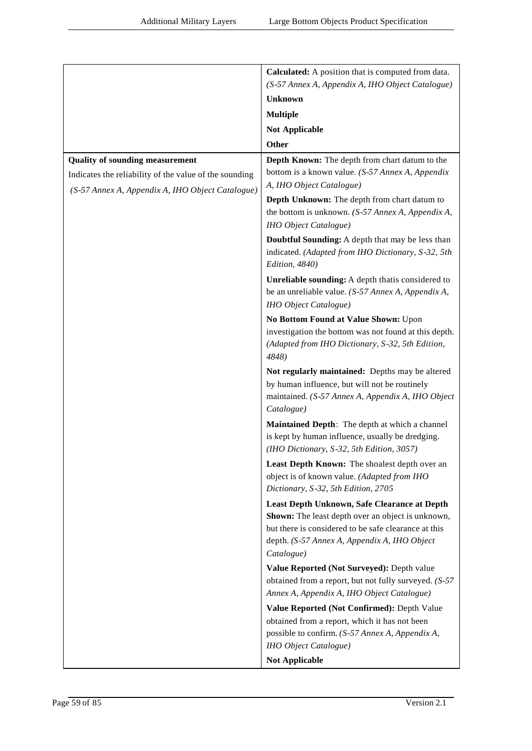|                                                        | Calculated: A position that is computed from data.                                                                                                                                                                      |
|--------------------------------------------------------|-------------------------------------------------------------------------------------------------------------------------------------------------------------------------------------------------------------------------|
|                                                        | (S-57 Annex A, Appendix A, IHO Object Catalogue)                                                                                                                                                                        |
|                                                        | <b>Unknown</b>                                                                                                                                                                                                          |
|                                                        | <b>Multiple</b>                                                                                                                                                                                                         |
|                                                        | Not Applicable                                                                                                                                                                                                          |
|                                                        | <b>Other</b>                                                                                                                                                                                                            |
| <b>Quality of sounding measurement</b>                 | Depth Known: The depth from chart datum to the                                                                                                                                                                          |
| Indicates the reliability of the value of the sounding | bottom is a known value. (S-57 Annex A, Appendix                                                                                                                                                                        |
| (S-57 Annex A, Appendix A, IHO Object Catalogue)       | A, IHO Object Catalogue)                                                                                                                                                                                                |
|                                                        | Depth Unknown: The depth from chart datum to                                                                                                                                                                            |
|                                                        | the bottom is unknown. $(S-57 \text{ } \text{Annex A}, \text{ Appendix A},$                                                                                                                                             |
|                                                        | <b>IHO</b> Object Catalogue)                                                                                                                                                                                            |
|                                                        | Doubtful Sounding: A depth that may be less than<br>indicated. (Adapted from IHO Dictionary, S-32, 5th<br>Edition, 4840)                                                                                                |
|                                                        | Unreliable sounding: A depth that is considered to<br>be an unreliable value. (S-57 Annex A, Appendix A,<br><b>IHO</b> Object Catalogue)                                                                                |
|                                                        | No Bottom Found at Value Shown: Upon                                                                                                                                                                                    |
|                                                        | investigation the bottom was not found at this depth.<br>(Adapted from IHO Dictionary, S-32, 5th Edition,<br>4848)                                                                                                      |
|                                                        | Not regularly maintained: Depths may be altered<br>by human influence, but will not be routinely<br>maintained. (S-57 Annex A, Appendix A, IHO Object<br>Catalogue)                                                     |
|                                                        | Maintained Depth: The depth at which a channel<br>is kept by human influence, usually be dredging.<br>(IHO Dictionary, S-32, 5th Edition, 3057)                                                                         |
|                                                        | Least Depth Known: The shoalest depth over an<br>object is of known value. (Adapted from IHO<br>Dictionary, S-32, 5th Edition, 2705                                                                                     |
|                                                        | Least Depth Unknown, Safe Clearance at Depth<br>Shown: The least depth over an object is unknown,<br>but there is considered to be safe clearance at this<br>depth. (S-57 Annex A, Appendix A, IHO Object<br>Catalogue) |
|                                                        | Value Reported (Not Surveyed): Depth value                                                                                                                                                                              |
|                                                        | obtained from a report, but not fully surveyed. (S-57<br>Annex A, Appendix A, IHO Object Catalogue)                                                                                                                     |
|                                                        | Value Reported (Not Confirmed): Depth Value                                                                                                                                                                             |
|                                                        | obtained from a report, which it has not been<br>possible to confirm. (S-57 Annex A, Appendix A,                                                                                                                        |
|                                                        | <b>IHO</b> Object Catalogue)                                                                                                                                                                                            |
|                                                        | <b>Not Applicable</b>                                                                                                                                                                                                   |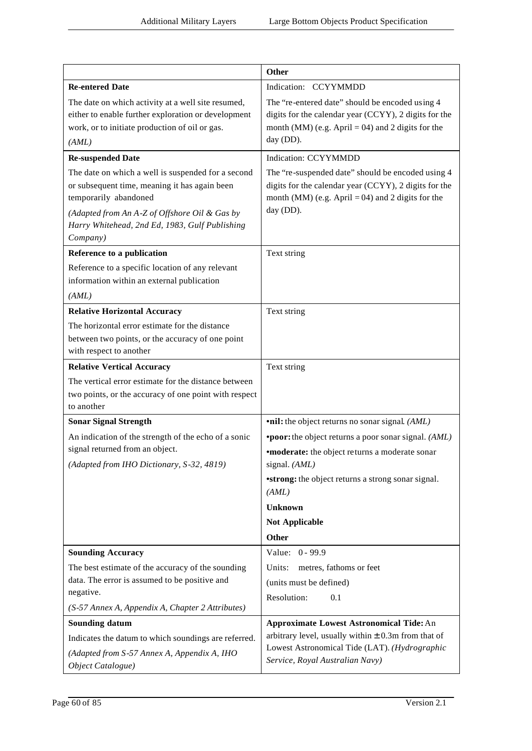|                                                                                                                                                                                                                                             | <b>Other</b>                                                                                                                                                                                                                                                    |
|---------------------------------------------------------------------------------------------------------------------------------------------------------------------------------------------------------------------------------------------|-----------------------------------------------------------------------------------------------------------------------------------------------------------------------------------------------------------------------------------------------------------------|
| <b>Re-entered Date</b>                                                                                                                                                                                                                      | Indication: CCYYMMDD                                                                                                                                                                                                                                            |
| The date on which activity at a well site resumed,<br>either to enable further exploration or development<br>work, or to initiate production of oil or gas.<br>(AML)                                                                        | The "re-entered date" should be encoded using 4<br>digits for the calendar year (CCYY), 2 digits for the<br>month (MM) (e.g. April = 04) and 2 digits for the<br>day (DD).                                                                                      |
| <b>Re-suspended Date</b>                                                                                                                                                                                                                    | <b>Indication: CCYYMMDD</b>                                                                                                                                                                                                                                     |
| The date on which a well is suspended for a second<br>or subsequent time, meaning it has again been<br>temporarily abandoned<br>(Adapted from An A-Z of Offshore Oil & Gas by<br>Harry Whitehead, 2nd Ed, 1983, Gulf Publishing<br>Company) | The "re-suspended date" should be encoded using 4<br>digits for the calendar year (CCYY), 2 digits for the<br>month (MM) (e.g. April = 04) and 2 digits for the<br>day (DD).                                                                                    |
| Reference to a publication                                                                                                                                                                                                                  | Text string                                                                                                                                                                                                                                                     |
| Reference to a specific location of any relevant<br>information within an external publication<br>(AML)                                                                                                                                     |                                                                                                                                                                                                                                                                 |
| <b>Relative Horizontal Accuracy</b>                                                                                                                                                                                                         | Text string                                                                                                                                                                                                                                                     |
| The horizontal error estimate for the distance<br>between two points, or the accuracy of one point<br>with respect to another                                                                                                               |                                                                                                                                                                                                                                                                 |
| <b>Relative Vertical Accuracy</b>                                                                                                                                                                                                           | Text string                                                                                                                                                                                                                                                     |
| The vertical error estimate for the distance between<br>two points, or the accuracy of one point with respect<br>to another                                                                                                                 |                                                                                                                                                                                                                                                                 |
| <b>Sonar Signal Strength</b>                                                                                                                                                                                                                | <b>•nil:</b> the object returns no sonar signal. (AML)                                                                                                                                                                                                          |
| An indication of the strength of the echo of a sonic<br>signal returned from an object.<br>(Adapted from IHO Dictionary, S-32, 4819)                                                                                                        | <b>*poor:</b> the object returns a poor sonar signal. (AML)<br><b>*moderate:</b> the object returns a moderate sonar<br>signal. (AML)<br><b>*strong:</b> the object returns a strong sonar signal.<br>(AML)<br><b>Unknown</b><br><b>Not Applicable</b><br>Other |
| <b>Sounding Accuracy</b>                                                                                                                                                                                                                    | Value: 0 - 99.9                                                                                                                                                                                                                                                 |
| The best estimate of the accuracy of the sounding<br>data. The error is assumed to be positive and<br>negative.<br>(S-57 Annex A, Appendix A, Chapter 2 Attributes)                                                                         | Units:<br>metres, fathoms or feet<br>(units must be defined)<br>Resolution:<br>0.1                                                                                                                                                                              |
| <b>Sounding datum</b>                                                                                                                                                                                                                       | <b>Approximate Lowest Astronomical Tide: An</b>                                                                                                                                                                                                                 |
| Indicates the datum to which soundings are referred.<br>(Adapted from S-57 Annex A, Appendix A, IHO<br>Object Catalogue)                                                                                                                    | arbitrary level, usually within $\pm$ 0.3m from that of<br>Lowest Astronomical Tide (LAT). (Hydrographic<br>Service, Royal Australian Navy)                                                                                                                     |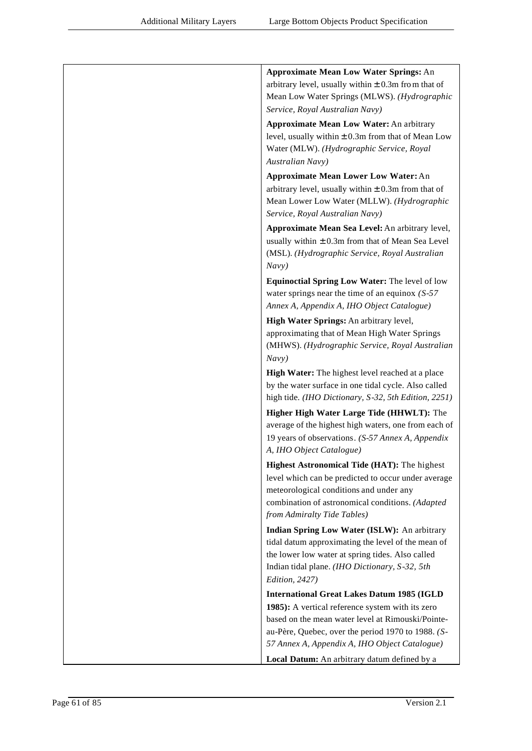| <b>Approximate Mean Low Water Springs: An</b>                                                               |
|-------------------------------------------------------------------------------------------------------------|
| arbitrary level, usually within $\pm$ 0.3m from that of                                                     |
| Mean Low Water Springs (MLWS). (Hydrographic                                                                |
| Service, Royal Australian Navy)                                                                             |
| <b>Approximate Mean Low Water: An arbitrary</b>                                                             |
| level, usually within $\pm$ 0.3m from that of Mean Low                                                      |
| Water (MLW). (Hydrographic Service, Royal                                                                   |
| Australian Navy)                                                                                            |
| <b>Approximate Mean Lower Low Water: An</b>                                                                 |
| arbitrary level, usually within $\pm$ 0.3m from that of                                                     |
| Mean Lower Low Water (MLLW). (Hydrographic                                                                  |
| Service, Royal Australian Navy)                                                                             |
| Approximate Mean Sea Level: An arbitrary level,                                                             |
| usually within $\pm$ 0.3m from that of Mean Sea Level                                                       |
| (MSL). (Hydrographic Service, Royal Australian<br>Navy)                                                     |
|                                                                                                             |
| <b>Equinoctial Spring Low Water: The level of low</b><br>water springs near the time of an equinox $(S-57)$ |
| Annex A, Appendix A, IHO Object Catalogue)                                                                  |
| High Water Springs: An arbitrary level,                                                                     |
| approximating that of Mean High Water Springs                                                               |
| (MHWS). (Hydrographic Service, Royal Australian                                                             |
| Navy)                                                                                                       |
| High Water: The highest level reached at a place                                                            |
| by the water surface in one tidal cycle. Also called                                                        |
| high tide. (IHO Dictionary, S-32, 5th Edition, 2251)                                                        |
| Higher High Water Large Tide (HHWLT): The                                                                   |
| average of the highest high waters, one from each of                                                        |
| 19 years of observations. (S-57 Annex A, Appendix                                                           |
| A, IHO Object Catalogue)                                                                                    |
| Highest Astronomical Tide (HAT): The highest                                                                |
| level which can be predicted to occur under average                                                         |
| meteorological conditions and under any                                                                     |
| combination of astronomical conditions. (Adapted                                                            |
| from Admiralty Tide Tables)                                                                                 |
| Indian Spring Low Water (ISLW): An arbitrary                                                                |
| tidal datum approximating the level of the mean of                                                          |
| the lower low water at spring tides. Also called                                                            |
| Indian tidal plane. (IHO Dictionary, S-32, 5th<br>Edition, 2427)                                            |
| <b>International Great Lakes Datum 1985 (IGLD</b>                                                           |
| 1985): A vertical reference system with its zero                                                            |
| based on the mean water level at Rimouski/Pointe-                                                           |
| au-Père, Quebec, over the period 1970 to 1988. (S-                                                          |
| 57 Annex A, Appendix A, IHO Object Catalogue)                                                               |
| Local Datum: An arbitrary datum defined by a                                                                |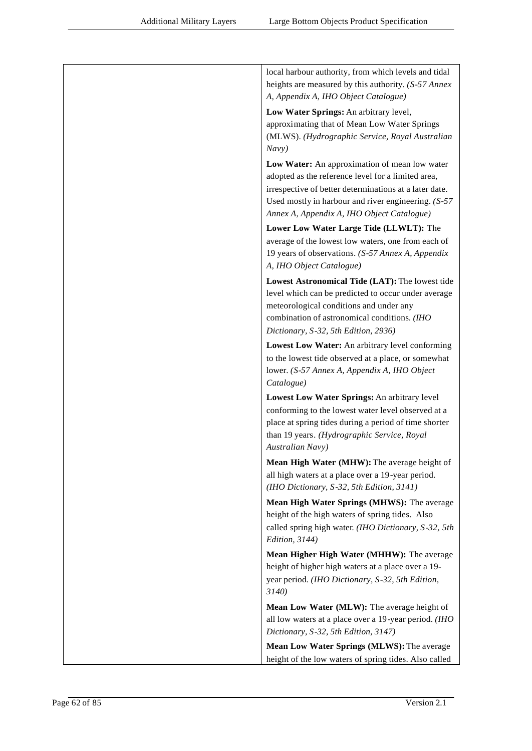| local harbour authority, from which levels and tidal                                                        |
|-------------------------------------------------------------------------------------------------------------|
| heights are measured by this authority. (S-57 Annex                                                         |
| A, Appendix A, IHO Object Catalogue)                                                                        |
|                                                                                                             |
| Low Water Springs: An arbitrary level,<br>approximating that of Mean Low Water Springs                      |
| (MLWS). (Hydrographic Service, Royal Australian                                                             |
| Navy)                                                                                                       |
| Low Water: An approximation of mean low water                                                               |
| adopted as the reference level for a limited area,                                                          |
| irrespective of better determinations at a later date.                                                      |
| Used mostly in harbour and river engineering. $(S-57)$                                                      |
| Annex A, Appendix A, IHO Object Catalogue)                                                                  |
| Lower Low Water Large Tide (LLWLT): The                                                                     |
| average of the lowest low waters, one from each of                                                          |
| 19 years of observations. (S-57 Annex A, Appendix                                                           |
| A, IHO Object Catalogue)                                                                                    |
| Lowest Astronomical Tide (LAT): The lowest tide                                                             |
| level which can be predicted to occur under average                                                         |
| meteorological conditions and under any                                                                     |
| combination of astronomical conditions. (IHO                                                                |
| Dictionary, S-32, 5th Edition, 2936)                                                                        |
| Lowest Low Water: An arbitrary level conforming                                                             |
| to the lowest tide observed at a place, or somewhat                                                         |
| lower. (S-57 Annex A, Appendix A, IHO Object                                                                |
| Catalogue)                                                                                                  |
| Lowest Low Water Springs: An arbitrary level                                                                |
| conforming to the lowest water level observed at a<br>place at spring tides during a period of time shorter |
| than 19 years. (Hydrographic Service, Royal                                                                 |
| Australian Navy)                                                                                            |
| Mean High Water (MHW): The average height of                                                                |
| all high waters at a place over a 19-year period.                                                           |
| (IHO Dictionary, S-32, 5th Edition, 3141)                                                                   |
| Mean High Water Springs (MHWS): The average                                                                 |
| height of the high waters of spring tides. Also                                                             |
| called spring high water. (IHO Dictionary, S-32, 5th                                                        |
| Edition, 3144)                                                                                              |
| Mean Higher High Water (MHHW): The average                                                                  |
| height of higher high waters at a place over a 19-                                                          |
| year period. (IHO Dictionary, S-32, 5th Edition,                                                            |
| 3140                                                                                                        |
| Mean Low Water (MLW): The average height of                                                                 |
| all low waters at a place over a 19-year period. (IHO                                                       |
| Dictionary, S-32, 5th Edition, 3147)                                                                        |
| Mean Low Water Springs (MLWS): The average                                                                  |
| height of the low waters of spring tides. Also called                                                       |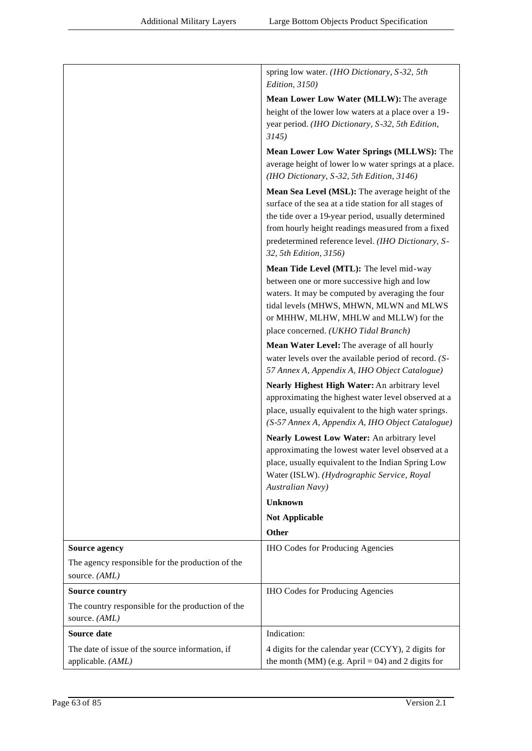|                                                                    | spring low water. (IHO Dictionary, S-32, 5th<br><i>Edition</i> , 3150)                                       |
|--------------------------------------------------------------------|--------------------------------------------------------------------------------------------------------------|
|                                                                    | Mean Lower Low Water (MLLW): The average                                                                     |
|                                                                    | height of the lower low waters at a place over a 19-                                                         |
|                                                                    | year period. (IHO Dictionary, S-32, 5th Edition,<br>3145                                                     |
|                                                                    | Mean Lower Low Water Springs (MLLWS): The                                                                    |
|                                                                    | average height of lower low water springs at a place.<br>(IHO Dictionary, S-32, 5th Edition, 3146)           |
|                                                                    | Mean Sea Level (MSL): The average height of the                                                              |
|                                                                    | surface of the sea at a tide station for all stages of<br>the tide over a 19-year period, usually determined |
|                                                                    | from hourly height readings measured from a fixed                                                            |
|                                                                    | predetermined reference level. (IHO Dictionary, S-<br>32, 5th Edition, 3156)                                 |
|                                                                    | Mean Tide Level (MTL): The level mid-way                                                                     |
|                                                                    | between one or more successive high and low                                                                  |
|                                                                    | waters. It may be computed by averaging the four<br>tidal levels (MHWS, MHWN, MLWN and MLWS                  |
|                                                                    | or MHHW, MLHW, MHLW and MLLW) for the                                                                        |
|                                                                    | place concerned. (UKHO Tidal Branch)                                                                         |
|                                                                    | Mean Water Level: The average of all hourly                                                                  |
|                                                                    | water levels over the available period of record. (S-<br>57 Annex A, Appendix A, IHO Object Catalogue)       |
|                                                                    | Nearly Highest High Water: An arbitrary level                                                                |
|                                                                    | approximating the highest water level observed at a                                                          |
|                                                                    | place, usually equivalent to the high water springs.<br>(S-57 Annex A, Appendix A, IHO Object Catalogue)     |
|                                                                    | Nearly Lowest Low Water: An arbitrary level                                                                  |
|                                                                    | approximating the lowest water level observed at a                                                           |
|                                                                    | place, usually equivalent to the Indian Spring Low<br>Water (ISLW). (Hydrographic Service, Royal             |
|                                                                    | Australian Navy)                                                                                             |
|                                                                    | <b>Unknown</b>                                                                                               |
|                                                                    | <b>Not Applicable</b>                                                                                        |
|                                                                    | <b>Other</b>                                                                                                 |
| <b>Source agency</b>                                               | <b>IHO Codes for Producing Agencies</b>                                                                      |
| The agency responsible for the production of the<br>source. (AML)  |                                                                                                              |
| <b>Source country</b>                                              | <b>IHO Codes for Producing Agencies</b>                                                                      |
| The country responsible for the production of the<br>source. (AML) |                                                                                                              |
| Source date                                                        | Indication:                                                                                                  |
| The date of issue of the source information, if                    | 4 digits for the calendar year (CCYY), 2 digits for                                                          |
| applicable. (AML)                                                  | the month (MM) (e.g. April = 04) and 2 digits for                                                            |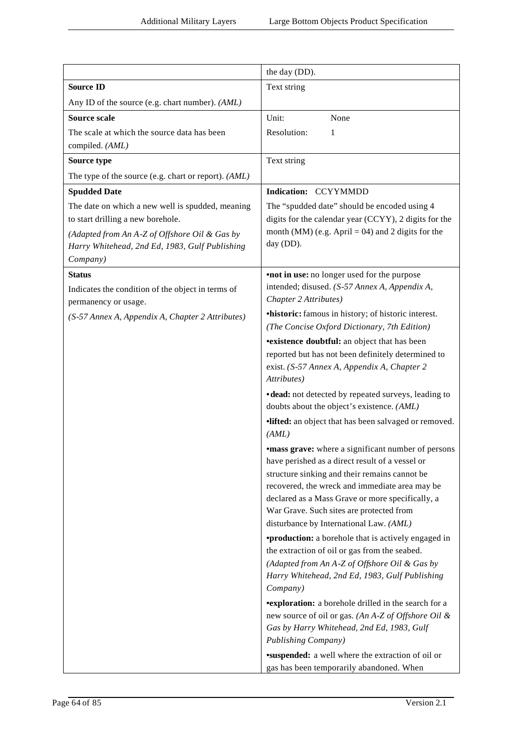|                                                            | the day (DD).                                                                                                                                                                                                                                                       |
|------------------------------------------------------------|---------------------------------------------------------------------------------------------------------------------------------------------------------------------------------------------------------------------------------------------------------------------|
| <b>Source ID</b>                                           | Text string                                                                                                                                                                                                                                                         |
| Any ID of the source (e.g. chart number). (AML)            |                                                                                                                                                                                                                                                                     |
| <b>Source scale</b>                                        | Unit:<br>None                                                                                                                                                                                                                                                       |
| The scale at which the source data has been                | Resolution:<br>1                                                                                                                                                                                                                                                    |
| compiled. (AML)                                            |                                                                                                                                                                                                                                                                     |
| Source type                                                | Text string                                                                                                                                                                                                                                                         |
| The type of the source (e.g. chart or report). (AML)       |                                                                                                                                                                                                                                                                     |
| <b>Spudded Date</b>                                        | Indication: CCYYMMDD                                                                                                                                                                                                                                                |
| The date on which a new well is spudded, meaning           | The "spudded date" should be encoded using 4                                                                                                                                                                                                                        |
| to start drilling a new borehole.                          | digits for the calendar year (CCYY), 2 digits for the<br>month (MM) (e.g. April = 04) and 2 digits for the                                                                                                                                                          |
| (Adapted from An A-Z of Offshore Oil & Gas by              | day (DD).                                                                                                                                                                                                                                                           |
| Harry Whitehead, 2nd Ed, 1983, Gulf Publishing<br>Company) |                                                                                                                                                                                                                                                                     |
| <b>Status</b>                                              | <b>not in use:</b> no longer used for the purpose                                                                                                                                                                                                                   |
| Indicates the condition of the object in terms of          | intended; disused. (S-57 Annex A, Appendix A,                                                                                                                                                                                                                       |
| permanency or usage.                                       | Chapter 2 Attributes)                                                                                                                                                                                                                                               |
| (S-57 Annex A, Appendix A, Chapter 2 Attributes)           | <b>•historic:</b> famous in history; of historic interest.                                                                                                                                                                                                          |
|                                                            | (The Concise Oxford Dictionary, 7th Edition)                                                                                                                                                                                                                        |
|                                                            | <b>•existence doubtful:</b> an object that has been                                                                                                                                                                                                                 |
|                                                            | reported but has not been definitely determined to                                                                                                                                                                                                                  |
|                                                            | exist. (S-57 Annex A, Appendix A, Chapter 2<br>Attributes)                                                                                                                                                                                                          |
|                                                            | ·dead: not detected by repeated surveys, leading to                                                                                                                                                                                                                 |
|                                                            | doubts about the object's existence. (AML)                                                                                                                                                                                                                          |
|                                                            | ·lifted: an object that has been salvaged or removed.<br>(AML)                                                                                                                                                                                                      |
|                                                            | <b>•mass grave:</b> where a significant number of persons<br>have perished as a direct result of a vessel or<br>structure sinking and their remains cannot be<br>recovered, the wreck and immediate area may be<br>declared as a Mass Grave or more specifically, a |
|                                                            | War Grave. Such sites are protected from<br>disturbance by International Law. (AML)                                                                                                                                                                                 |
|                                                            | <b>•production:</b> a borehole that is actively engaged in                                                                                                                                                                                                          |
|                                                            | the extraction of oil or gas from the seabed.                                                                                                                                                                                                                       |
|                                                            | (Adapted from An A-Z of Offshore Oil & Gas by<br>Harry Whitehead, 2nd Ed, 1983, Gulf Publishing                                                                                                                                                                     |
|                                                            | Company)                                                                                                                                                                                                                                                            |
|                                                            | <b>•exploration:</b> a borehole drilled in the search for a<br>new source of oil or gas. (An A-Z of Offshore Oil &<br>Gas by Harry Whitehead, 2nd Ed, 1983, Gulf                                                                                                    |
|                                                            | Publishing Company)                                                                                                                                                                                                                                                 |
|                                                            | <b>*suspended:</b> a well where the extraction of oil or<br>gas has been temporarily abandoned. When                                                                                                                                                                |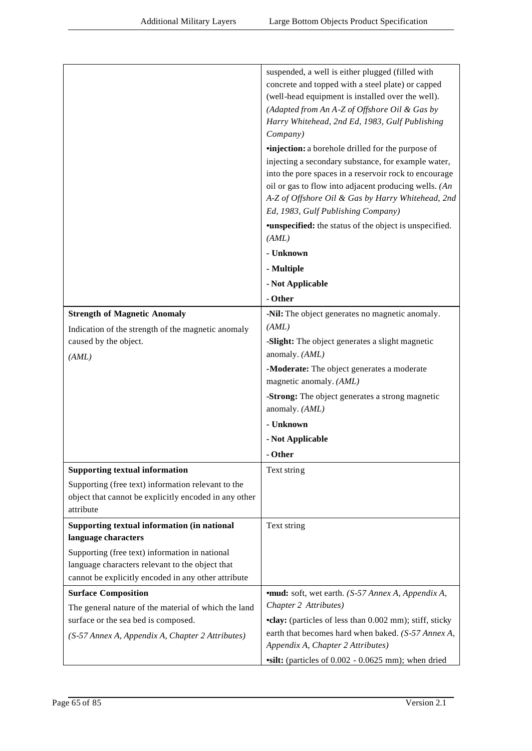| suspended, a well is either plugged (filled with<br>concrete and topped with a steel plate) or capped<br>(well-head equipment is installed over the well).<br>(Adapted from An A-Z of Offshore Oil & Gas by<br>Harry Whitehead, 2nd Ed, 1983, Gulf Publishing<br>Company)<br><i>vinjection: a borehole drilled for the purpose of</i><br>injecting a secondary substance, for example water,<br>into the pore spaces in a reservoir rock to encourage<br>oil or gas to flow into adjacent producing wells. $(An)$<br>A-Z of Offshore Oil & Gas by Harry Whitehead, 2nd<br>Ed, 1983, Gulf Publishing Company)<br><b>*unspecified:</b> the status of the object is unspecified.<br>(AML)<br>- Unknown<br>- Multiple<br>- Not Applicable<br>- Other<br><b>Strength of Magnetic Anomaly</b><br>-Nil: The object generates no magnetic anomaly.<br>(AML)<br>Indication of the strength of the magnetic anomaly<br>caused by the object.<br>-Slight: The object generates a slight magnetic<br>anomaly. (AML)<br>(AML)<br>-Moderate: The object generates a moderate<br>magnetic anomaly. (AML)<br>-Strong: The object generates a strong magnetic<br>anomaly. (AML)<br>- Unknown<br>- Not Applicable<br>- Other<br><b>Supporting textual information</b><br>Text string<br>Supporting (free text) information relevant to the<br>object that cannot be explicitly encoded in any other<br>attribute<br>Supporting textual information (in national<br>Text string<br>language characters<br>Supporting (free text) information in national<br>language characters relevant to the object that<br>cannot be explicitly encoded in any other attribute<br><b>Surface Composition</b><br><b>•mud:</b> soft, wet earth. (S-57 Annex A, Appendix A,<br>Chapter 2 Attributes)<br>The general nature of the material of which the land<br>surface or the sea bed is composed.<br>•clay: (particles of less than 0.002 mm); stiff, sticky<br>earth that becomes hard when baked. (S-57 Annex A,<br>(S-57 Annex A, Appendix A, Chapter 2 Attributes)<br>Appendix A, Chapter 2 Attributes) |  |
|-----------------------------------------------------------------------------------------------------------------------------------------------------------------------------------------------------------------------------------------------------------------------------------------------------------------------------------------------------------------------------------------------------------------------------------------------------------------------------------------------------------------------------------------------------------------------------------------------------------------------------------------------------------------------------------------------------------------------------------------------------------------------------------------------------------------------------------------------------------------------------------------------------------------------------------------------------------------------------------------------------------------------------------------------------------------------------------------------------------------------------------------------------------------------------------------------------------------------------------------------------------------------------------------------------------------------------------------------------------------------------------------------------------------------------------------------------------------------------------------------------------------------------------------------------------------------------------------------------------------------------------------------------------------------------------------------------------------------------------------------------------------------------------------------------------------------------------------------------------------------------------------------------------------------------------------------------------------------------------------------------------------------------------------------------------------------------|--|
|                                                                                                                                                                                                                                                                                                                                                                                                                                                                                                                                                                                                                                                                                                                                                                                                                                                                                                                                                                                                                                                                                                                                                                                                                                                                                                                                                                                                                                                                                                                                                                                                                                                                                                                                                                                                                                                                                                                                                                                                                                                                             |  |
|                                                                                                                                                                                                                                                                                                                                                                                                                                                                                                                                                                                                                                                                                                                                                                                                                                                                                                                                                                                                                                                                                                                                                                                                                                                                                                                                                                                                                                                                                                                                                                                                                                                                                                                                                                                                                                                                                                                                                                                                                                                                             |  |
|                                                                                                                                                                                                                                                                                                                                                                                                                                                                                                                                                                                                                                                                                                                                                                                                                                                                                                                                                                                                                                                                                                                                                                                                                                                                                                                                                                                                                                                                                                                                                                                                                                                                                                                                                                                                                                                                                                                                                                                                                                                                             |  |
|                                                                                                                                                                                                                                                                                                                                                                                                                                                                                                                                                                                                                                                                                                                                                                                                                                                                                                                                                                                                                                                                                                                                                                                                                                                                                                                                                                                                                                                                                                                                                                                                                                                                                                                                                                                                                                                                                                                                                                                                                                                                             |  |
|                                                                                                                                                                                                                                                                                                                                                                                                                                                                                                                                                                                                                                                                                                                                                                                                                                                                                                                                                                                                                                                                                                                                                                                                                                                                                                                                                                                                                                                                                                                                                                                                                                                                                                                                                                                                                                                                                                                                                                                                                                                                             |  |
|                                                                                                                                                                                                                                                                                                                                                                                                                                                                                                                                                                                                                                                                                                                                                                                                                                                                                                                                                                                                                                                                                                                                                                                                                                                                                                                                                                                                                                                                                                                                                                                                                                                                                                                                                                                                                                                                                                                                                                                                                                                                             |  |
|                                                                                                                                                                                                                                                                                                                                                                                                                                                                                                                                                                                                                                                                                                                                                                                                                                                                                                                                                                                                                                                                                                                                                                                                                                                                                                                                                                                                                                                                                                                                                                                                                                                                                                                                                                                                                                                                                                                                                                                                                                                                             |  |
|                                                                                                                                                                                                                                                                                                                                                                                                                                                                                                                                                                                                                                                                                                                                                                                                                                                                                                                                                                                                                                                                                                                                                                                                                                                                                                                                                                                                                                                                                                                                                                                                                                                                                                                                                                                                                                                                                                                                                                                                                                                                             |  |
| vsilt: (particles of 0.002 - 0.0625 mm); when dried                                                                                                                                                                                                                                                                                                                                                                                                                                                                                                                                                                                                                                                                                                                                                                                                                                                                                                                                                                                                                                                                                                                                                                                                                                                                                                                                                                                                                                                                                                                                                                                                                                                                                                                                                                                                                                                                                                                                                                                                                         |  |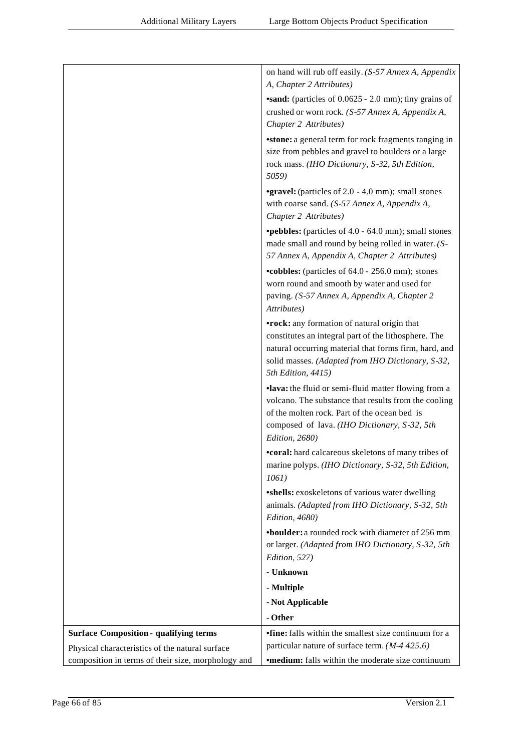|                                                    | on hand will rub off easily. (S-57 Annex A, Appendix<br>A, Chapter 2 Attributes)                                                                                                                                                        |
|----------------------------------------------------|-----------------------------------------------------------------------------------------------------------------------------------------------------------------------------------------------------------------------------------------|
|                                                    | <b>sand:</b> (particles of 0.0625 - 2.0 mm); tiny grains of<br>crushed or worn rock. (S-57 Annex A, Appendix A,<br>Chapter 2 Attributes)                                                                                                |
|                                                    | <b>stone:</b> a general term for rock fragments ranging in<br>size from pebbles and gravel to boulders or a large<br>rock mass. (IHO Dictionary, S-32, 5th Edition,<br>5059)                                                            |
|                                                    | <b>•gravel:</b> (particles of 2.0 - 4.0 mm); small stones<br>with coarse sand. (S-57 Annex A, Appendix A,<br>Chapter 2 Attributes)                                                                                                      |
|                                                    | <b>•pebbles:</b> (particles of 4.0 - 64.0 mm); small stones<br>made small and round by being rolled in water. (S-<br>57 Annex A, Appendix A, Chapter 2 Attributes)                                                                      |
|                                                    | •cobbles: (particles of 64.0 - 256.0 mm); stones<br>worn round and smooth by water and used for<br>paving. (S-57 Annex A, Appendix A, Chapter 2<br>Attributes)                                                                          |
|                                                    | •rock: any formation of natural origin that<br>constitutes an integral part of the lithosphere. The<br>natural occurring material that forms firm, hard, and<br>solid masses. (Adapted from IHO Dictionary, S-32,<br>5th Edition, 4415) |
|                                                    | ·lava: the fluid or semi-fluid matter flowing from a<br>volcano. The substance that results from the cooling<br>of the molten rock. Part of the ocean bed is<br>composed of lava. (IHO Dictionary, S-32, 5th<br>Edition, 2680)          |
|                                                    | <b>•coral:</b> hard calcareous skeletons of many tribes of<br>marine polyps. (IHO Dictionary, S-32, 5th Edition,<br>1061)                                                                                                               |
|                                                    | •shells: exoskeletons of various water dwelling<br>animals. (Adapted from IHO Dictionary, S-32, 5th<br>Edition, 4680)                                                                                                                   |
|                                                    | <b>•boulder:</b> a rounded rock with diameter of 256 mm<br>or larger. (Adapted from IHO Dictionary, S-32, 5th<br>Edition, 527)                                                                                                          |
|                                                    | - Unknown                                                                                                                                                                                                                               |
|                                                    | - Multiple                                                                                                                                                                                                                              |
|                                                    | - Not Applicable                                                                                                                                                                                                                        |
|                                                    | - Other                                                                                                                                                                                                                                 |
| <b>Surface Composition - qualifying terms</b>      | <b>•fine:</b> falls within the smallest size continuum for a                                                                                                                                                                            |
| Physical characteristics of the natural surface    | particular nature of surface term. $(M-4425.6)$                                                                                                                                                                                         |
| composition in terms of their size, morphology and | <b>•medium:</b> falls within the moderate size continuum                                                                                                                                                                                |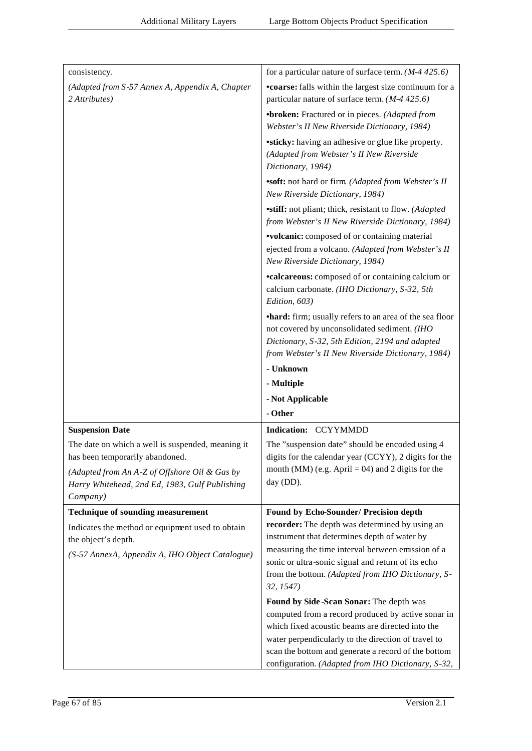| consistency.                                                                                                                                                                                        | for a particular nature of surface term. $(M-4, 425.6)$                                                                                                                                                                                                                                                               |
|-----------------------------------------------------------------------------------------------------------------------------------------------------------------------------------------------------|-----------------------------------------------------------------------------------------------------------------------------------------------------------------------------------------------------------------------------------------------------------------------------------------------------------------------|
| (Adapted from S-57 Annex A, Appendix A, Chapter<br>2 Attributes)                                                                                                                                    | <b>•coarse:</b> falls within the largest size continuum for a<br>particular nature of surface term. $(M-4425.6)$                                                                                                                                                                                                      |
|                                                                                                                                                                                                     | •broken: Fractured or in pieces. (Adapted from<br>Webster's II New Riverside Dictionary, 1984)                                                                                                                                                                                                                        |
|                                                                                                                                                                                                     | <b>•sticky:</b> having an adhesive or glue like property.<br>(Adapted from Webster's II New Riverside<br>Dictionary, 1984)                                                                                                                                                                                            |
|                                                                                                                                                                                                     | "soft: not hard or firm (Adapted from Webster's II<br>New Riverside Dictionary, 1984)                                                                                                                                                                                                                                 |
|                                                                                                                                                                                                     | <b>stiff:</b> not pliant; thick, resistant to flow. (Adapted<br>from Webster's II New Riverside Dictionary, 1984)                                                                                                                                                                                                     |
|                                                                                                                                                                                                     | <b>volcanic:</b> composed of or containing material<br>ejected from a volcano. (Adapted from Webster's II<br>New Riverside Dictionary, 1984)                                                                                                                                                                          |
|                                                                                                                                                                                                     | <b>•calcareous:</b> composed of or containing calcium or<br>calcium carbonate. (IHO Dictionary, S-32, 5th<br>Edition, 603)                                                                                                                                                                                            |
|                                                                                                                                                                                                     | •hard: firm; usually refers to an area of the sea floor<br>not covered by unconsolidated sediment. (IHO<br>Dictionary, S-32, 5th Edition, 2194 and adapted<br>from Webster's II New Riverside Dictionary, 1984)                                                                                                       |
|                                                                                                                                                                                                     | - Unknown                                                                                                                                                                                                                                                                                                             |
|                                                                                                                                                                                                     | - Multiple                                                                                                                                                                                                                                                                                                            |
|                                                                                                                                                                                                     | - Not Applicable                                                                                                                                                                                                                                                                                                      |
|                                                                                                                                                                                                     | - Other                                                                                                                                                                                                                                                                                                               |
| <b>Suspension Date</b>                                                                                                                                                                              | Indication: CCYYMMDD                                                                                                                                                                                                                                                                                                  |
| The date on which a well is suspended, meaning it<br>has been temporarily abandoned.<br>(Adapted from An A-Z of Offshore Oil & Gas by<br>Harry Whitehead, 2nd Ed, 1983, Gulf Publishing<br>Company) | The "suspension date" should be encoded using 4<br>digits for the calendar year (CCYY), 2 digits for the<br>month (MM) (e.g. April = 04) and 2 digits for the<br>day (DD).                                                                                                                                            |
| <b>Technique of sounding measurement</b>                                                                                                                                                            | Found by Echo-Sounder/ Precision depth                                                                                                                                                                                                                                                                                |
| Indicates the method or equipment used to obtain<br>the object's depth.<br>(S-57 AnnexA, Appendix A, IHO Object Catalogue)                                                                          | recorder: The depth was determined by using an<br>instrument that determines depth of water by<br>measuring the time interval between emission of a<br>sonic or ultra-sonic signal and return of its echo<br>from the bottom. (Adapted from IHO Dictionary, S-<br>32, 1547)                                           |
|                                                                                                                                                                                                     | Found by Side-Scan Sonar: The depth was<br>computed from a record produced by active sonar in<br>which fixed acoustic beams are directed into the<br>water perpendicularly to the direction of travel to<br>scan the bottom and generate a record of the bottom<br>configuration. (Adapted from IHO Dictionary, S-32, |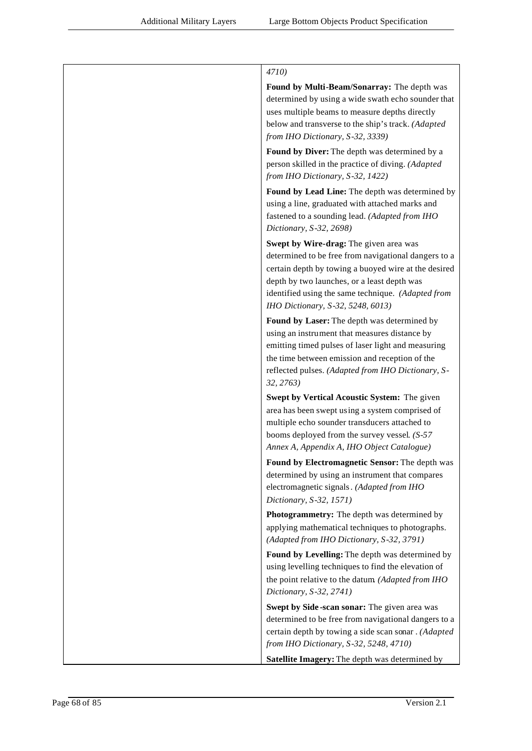| 4710)                                                                                                                                                                                                                                                                                            |
|--------------------------------------------------------------------------------------------------------------------------------------------------------------------------------------------------------------------------------------------------------------------------------------------------|
| Found by Multi-Beam/Sonarray: The depth was<br>determined by using a wide swath echo sounder that<br>uses multiple beams to measure depths directly<br>below and transverse to the ship's track. (Adapted<br>from IHO Dictionary, S-32, 3339)                                                    |
| Found by Diver: The depth was determined by a<br>person skilled in the practice of diving. (Adapted<br>from IHO Dictionary, S-32, 1422)                                                                                                                                                          |
| Found by Lead Line: The depth was determined by<br>using a line, graduated with attached marks and<br>fastened to a sounding lead. (Adapted from IHO<br>Dictionary, S-32, 2698)                                                                                                                  |
| Swept by Wire-drag: The given area was<br>determined to be free from navigational dangers to a<br>certain depth by towing a buoyed wire at the desired<br>depth by two launches, or a least depth was<br>identified using the same technique. (Adapted from<br>IHO Dictionary, S-32, 5248, 6013) |
| Found by Laser: The depth was determined by<br>using an instrument that measures distance by<br>emitting timed pulses of laser light and measuring<br>the time between emission and reception of the<br>reflected pulses. (Adapted from IHO Dictionary, S-<br>32, 2763                           |
| Swept by Vertical Acoustic System: The given<br>area has been swept using a system comprised of<br>multiple echo sounder transducers attached to<br>booms deployed from the survey vessel. $(S-57)$<br>Annex A, Appendix A, IHO Object Catalogue)                                                |
| Found by Electromagnetic Sensor: The depth was<br>determined by using an instrument that compares<br>electromagnetic signals. (Adapted from IHO<br>Dictionary, S-32, 1571)                                                                                                                       |
| Photogrammetry: The depth was determined by<br>applying mathematical techniques to photographs.<br>(Adapted from IHO Dictionary, S-32, 3791)                                                                                                                                                     |
| Found by Levelling: The depth was determined by<br>using levelling techniques to find the elevation of<br>the point relative to the datum (Adapted from IHO<br>Dictionary, S-32, 2741)                                                                                                           |
| Swept by Side-scan sonar: The given area was<br>determined to be free from navigational dangers to a<br>certain depth by towing a side scan sonar. (Adapted<br>from IHO Dictionary, S-32, 5248, 4710)                                                                                            |
| Satellite Imagery: The depth was determined by                                                                                                                                                                                                                                                   |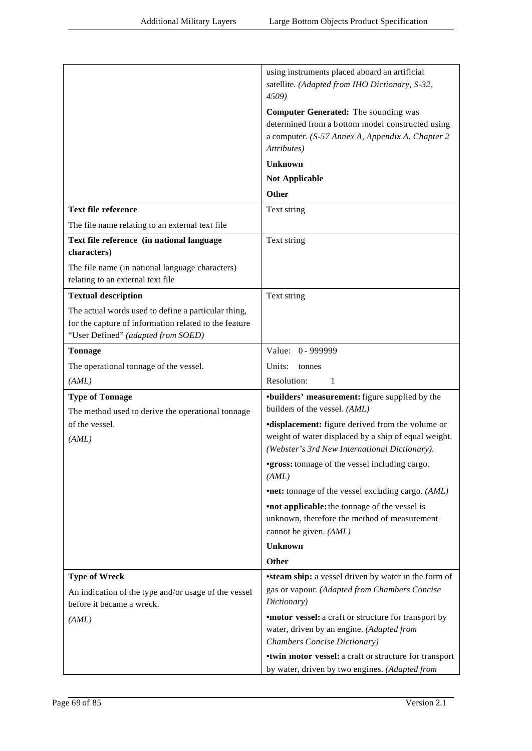|                                                                                      | using instruments placed aboard an artificial<br>satellite. (Adapted from IHO Dictionary, S-32,                 |
|--------------------------------------------------------------------------------------|-----------------------------------------------------------------------------------------------------------------|
|                                                                                      | 4509)                                                                                                           |
|                                                                                      | <b>Computer Generated:</b> The sounding was                                                                     |
|                                                                                      | determined from a bottom model constructed using                                                                |
|                                                                                      | a computer. (S-57 Annex A, Appendix A, Chapter 2                                                                |
|                                                                                      | Attributes)                                                                                                     |
|                                                                                      | <b>Unknown</b>                                                                                                  |
|                                                                                      | <b>Not Applicable</b>                                                                                           |
|                                                                                      | <b>Other</b>                                                                                                    |
| <b>Text file reference</b>                                                           | Text string                                                                                                     |
| The file name relating to an external text file                                      |                                                                                                                 |
| Text file reference (in national language                                            | Text string                                                                                                     |
| characters)                                                                          |                                                                                                                 |
| The file name (in national language characters)<br>relating to an external text file |                                                                                                                 |
| <b>Textual description</b>                                                           | Text string                                                                                                     |
| The actual words used to define a particular thing,                                  |                                                                                                                 |
| for the capture of information related to the feature                                |                                                                                                                 |
| "User Defined" (adapted from SOED)                                                   |                                                                                                                 |
| <b>Tonnage</b>                                                                       | Value: 0 - 999999                                                                                               |
| The operational tonnage of the vessel.                                               | Units:<br>tonnes                                                                                                |
| (AML)                                                                                | Resolution:<br>1                                                                                                |
| <b>Type of Tonnage</b><br>The method used to derive the operational tonnage          | <b>*builders' measurement:</b> figure supplied by the<br>builders of the vessel. (AML)                          |
| of the vessel.                                                                       | <b>displacement:</b> figure derived from the volume or                                                          |
| (AML)                                                                                | weight of water displaced by a ship of equal weight.                                                            |
|                                                                                      | (Webster's 3rd New International Dictionary).                                                                   |
|                                                                                      | <b>*gross:</b> tonnage of the vessel including cargo.<br>(AML)                                                  |
|                                                                                      | <b>•net:</b> tonnage of the vessel excluding cargo. (AML)                                                       |
|                                                                                      | <b>•not applicable:</b> the tonnage of the vessel is                                                            |
|                                                                                      | unknown, therefore the method of measurement                                                                    |
|                                                                                      | cannot be given. (AML)                                                                                          |
|                                                                                      | <b>Unknown</b>                                                                                                  |
|                                                                                      | Other                                                                                                           |
| <b>Type of Wreck</b>                                                                 | <b>steam ship:</b> a vessel driven by water in the form of                                                      |
| An indication of the type and/or usage of the vessel<br>before it became a wreck.    | gas or vapour. (Adapted from Chambers Concise<br>Dictionary)                                                    |
| (AML)                                                                                | <b>*motor vessel:</b> a craft or structure for transport by                                                     |
|                                                                                      | water, driven by an engine. (Adapted from                                                                       |
|                                                                                      | Chambers Concise Dictionary)                                                                                    |
|                                                                                      | <b>•twin motor vessel:</b> a craft or structure for transport<br>by water, driven by two engines. (Adapted from |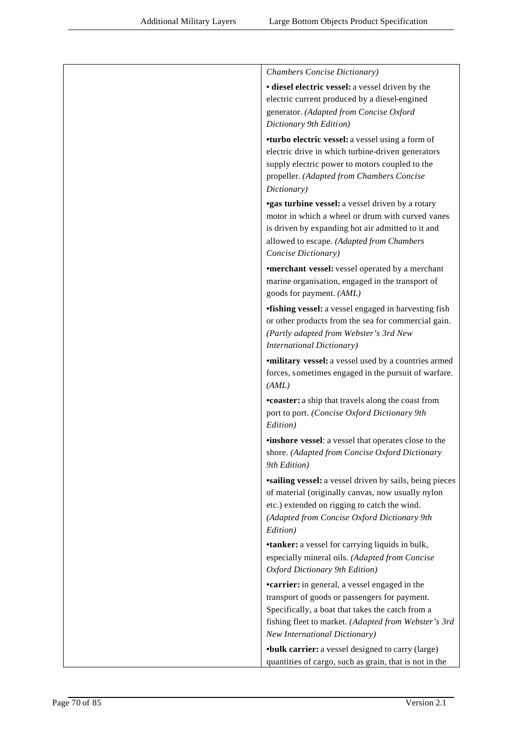| Chambers Concise Dictionary)                                                                                                                                                                                                                               |
|------------------------------------------------------------------------------------------------------------------------------------------------------------------------------------------------------------------------------------------------------------|
| · diesel electric vessel: a vessel driven by the<br>electric current produced by a diesel-engined<br>generator. (Adapted from Concise Oxford<br>Dictionary 9th Edition)                                                                                    |
| <b>*turbo electric vessel:</b> a vessel using a form of<br>electric drive in which turbine-driven generators<br>supply electric power to motors coupled to the<br>propeller. (Adapted from Chambers Concise<br>Dictionary)                                 |
| <b>*gas turbine vessel:</b> a vessel driven by a rotary<br>motor in which a wheel or drum with curved vanes<br>is driven by expanding hot air admitted to it and<br>allowed to escape. (Adapted from Chambers<br>Concise Dictionary)                       |
| <b>•merchant vessel:</b> vessel operated by a merchant<br>marine organisation, engaged in the transport of<br>goods for payment. (AML)                                                                                                                     |
| <b>•fishing vessel:</b> a vessel engaged in harvesting fish<br>or other products from the sea for commercial gain.<br>(Partly adapted from Webster's 3rd New<br><b>International Dictionary)</b>                                                           |
| <i>'military vessel: a vessel used by a countries armed</i><br>forces, sometimes engaged in the pursuit of warfare.<br>(AML)                                                                                                                               |
| •coaster: a ship that travels along the coast from<br>port to port. (Concise Oxford Dictionary 9th<br>Edition)                                                                                                                                             |
| <b>•inshore vessel:</b> a vessel that operates close to the<br>shore. (Adapted from Concise Oxford Dictionary<br>9th Edition)                                                                                                                              |
| <b>sailing vessel:</b> a vessel driven by sails, being pieces<br>of material (originally canvas, now usually nylon<br>etc.) extended on rigging to catch the wind.<br>(Adapted from Concise Oxford Dictionary 9th<br>Edition)                              |
| <b>*tanker:</b> a vessel for carrying liquids in bulk,<br>especially mineral oils. (Adapted from Concise<br>Oxford Dictionary 9th Edition)                                                                                                                 |
| <b>•carrier:</b> in general, a vessel engaged in the<br>transport of goods or passengers for payment.<br>Specifically, a boat that takes the catch from a<br>fishing fleet to market. (Adapted from Webster's 3rd<br><b>New International Dictionary</b> ) |
| <b>•bulk carrier:</b> a vessel designed to carry (large)<br>quantities of cargo, such as grain, that is not in the                                                                                                                                         |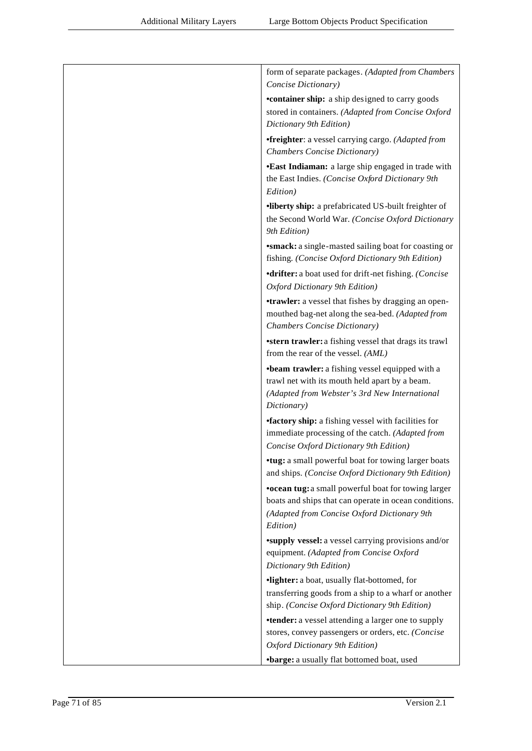| form of separate packages. (Adapted from Chambers<br>Concise Dictionary)                                                                                                       |
|--------------------------------------------------------------------------------------------------------------------------------------------------------------------------------|
| <b>•container ship:</b> a ship designed to carry goods<br>stored in containers. (Adapted from Concise Oxford<br>Dictionary 9th Edition)                                        |
| <i>•freighter: a vessel carrying cargo. (Adapted from</i><br>Chambers Concise Dictionary)                                                                                      |
| •East Indiaman: a large ship engaged in trade with<br>the East Indies. (Concise Oxford Dictionary 9th<br>Edition)                                                              |
| ·liberty ship: a prefabricated US-built freighter of<br>the Second World War. (Concise Oxford Dictionary<br>9th Edition)                                                       |
| <b>*smack:</b> a single-masted sailing boat for coasting or<br>fishing. (Concise Oxford Dictionary 9th Edition)                                                                |
| <b>•drifter:</b> a boat used for drift-net fishing. (Concise<br>Oxford Dictionary 9th Edition)                                                                                 |
| <b>•trawler:</b> a vessel that fishes by dragging an open-<br>mouthed bag-net along the sea-bed. (Adapted from<br>Chambers Concise Dictionary)                                 |
| *stern trawler: a fishing vessel that drags its trawl<br>from the rear of the vessel. (AML)                                                                                    |
| <b>•beam trawler:</b> a fishing vessel equipped with a<br>trawl net with its mouth held apart by a beam.<br>(Adapted from Webster's 3rd New International<br>Dictionary)       |
| <b>factory ship:</b> a fishing vessel with facilities for<br>immediate processing of the catch. (Adapted from<br>Concise Oxford Dictionary 9th Edition)                        |
| •tug: a small powerful boat for towing larger boats<br>and ships. (Concise Oxford Dictionary 9th Edition)                                                                      |
| <b>•ocean tug:</b> a small powerful boat for towing larger<br>boats and ships that can operate in ocean conditions.<br>(Adapted from Concise Oxford Dictionary 9th<br>Edition) |
| <b>*supply vessel:</b> a vessel carrying provisions and/or<br>equipment. (Adapted from Concise Oxford<br>Dictionary 9th Edition)                                               |
| ·lighter: a boat, usually flat-bottomed, for<br>transferring goods from a ship to a wharf or another<br>ship. (Concise Oxford Dictionary 9th Edition)                          |
| <b>•tender:</b> a vessel attending a larger one to supply<br>stores, convey passengers or orders, etc. (Concise<br>Oxford Dictionary 9th Edition)                              |
| •barge: a usually flat bottomed boat, used                                                                                                                                     |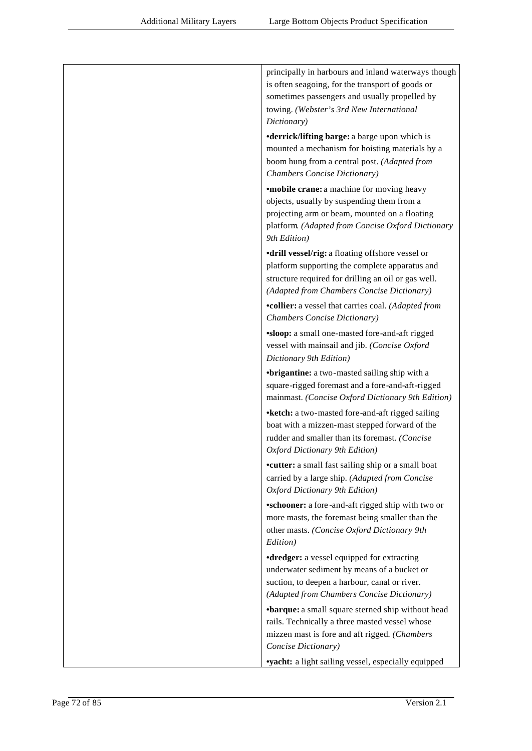| principally in harbours and inland waterways though<br>is often seagoing, for the transport of goods or<br>sometimes passengers and usually propelled by<br>towing. (Webster's 3rd New International<br>Dictionary) |
|---------------------------------------------------------------------------------------------------------------------------------------------------------------------------------------------------------------------|
| <b>•derrick/lifting barge:</b> a barge upon which is<br>mounted a mechanism for hoisting materials by a<br>boom hung from a central post. (Adapted from<br>Chambers Concise Dictionary)                             |
| <b>*mobile crane:</b> a machine for moving heavy<br>objects, usually by suspending them from a<br>projecting arm or beam, mounted on a floating<br>platform (Adapted from Concise Oxford Dictionary<br>9th Edition) |
| •drill vessel/rig: a floating offshore vessel or<br>platform supporting the complete apparatus and<br>structure required for drilling an oil or gas well.<br>(Adapted from Chambers Concise Dictionary)             |
| <b>•collier:</b> a vessel that carries coal. (Adapted from<br>Chambers Concise Dictionary)                                                                                                                          |
| <b>sloop:</b> a small one-masted fore-and-aft rigged<br>vessel with mainsail and jib. (Concise Oxford<br>Dictionary 9th Edition)                                                                                    |
| <b>•brigantine:</b> a two-masted sailing ship with a<br>square-rigged foremast and a fore-and-aft-rigged<br>mainmast. (Concise Oxford Dictionary 9th Edition)                                                       |
| • ketch: a two-masted fore-and-aft rigged sailing<br>boat with a mizzen-mast stepped forward of the<br>rudder and smaller than its foremast. (Concise<br>Oxford Dictionary 9th Edition)                             |
| •cutter: a small fast sailing ship or a small boat<br>carried by a large ship. (Adapted from Concise<br>Oxford Dictionary 9th Edition)                                                                              |
| <b>*schooner:</b> a fore-and-aft rigged ship with two or<br>more masts, the foremast being smaller than the<br>other masts. (Concise Oxford Dictionary 9th<br>Edition)                                              |
| <b>•dredger:</b> a vessel equipped for extracting<br>underwater sediment by means of a bucket or<br>suction, to deepen a harbour, canal or river.<br>(Adapted from Chambers Concise Dictionary)                     |
| •barque: a small square sterned ship without head<br>rails. Technically a three masted vessel whose<br>mizzen mast is fore and aft rigged. (Chambers<br>Concise Dictionary)                                         |
| <b>vyacht:</b> a light sailing vessel, especially equipped                                                                                                                                                          |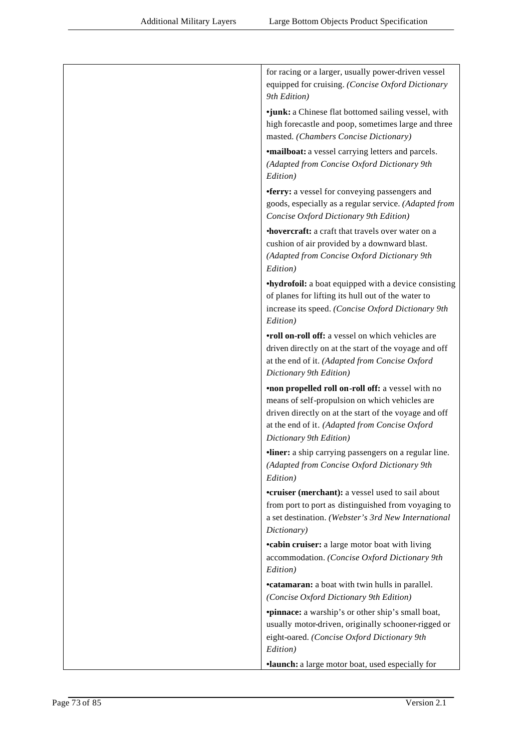| for racing or a larger, usually power-driven vessel<br>equipped for cruising. (Concise Oxford Dictionary<br>9th Edition)                                                                                                                  |
|-------------------------------------------------------------------------------------------------------------------------------------------------------------------------------------------------------------------------------------------|
| •junk: a Chinese flat bottomed sailing vessel, with<br>high forecastle and poop, sometimes large and three<br>masted. (Chambers Concise Dictionary)                                                                                       |
| <b>•mailboat:</b> a vessel carrying letters and parcels.<br>(Adapted from Concise Oxford Dictionary 9th<br>Edition)                                                                                                                       |
| <b>•ferry:</b> a vessel for conveying passengers and<br>goods, especially as a regular service. (Adapted from<br>Concise Oxford Dictionary 9th Edition)                                                                                   |
| <b>•hovercraft:</b> a craft that travels over water on a<br>cushion of air provided by a downward blast.<br>(Adapted from Concise Oxford Dictionary 9th<br>Edition)                                                                       |
| <b>•hydrofoil:</b> a boat equipped with a device consisting<br>of planes for lifting its hull out of the water to<br>increase its speed. (Concise Oxford Dictionary 9th<br>Edition)                                                       |
| <b>•roll on-roll off:</b> a vessel on which vehicles are<br>driven directly on at the start of the voyage and off<br>at the end of it. (Adapted from Concise Oxford<br>Dictionary 9th Edition)                                            |
| •non propelled roll on-roll off: a vessel with no<br>means of self-propulsion on which vehicles are<br>driven directly on at the start of the voyage and off<br>at the end of it. (Adapted from Concise Oxford<br>Dictionary 9th Edition) |
| •liner: a ship carrying passengers on a regular line.<br>(Adapted from Concise Oxford Dictionary 9th<br>Edition)                                                                                                                          |
| <b>•cruiser (merchant):</b> a vessel used to sail about<br>from port to port as distinguished from voyaging to<br>a set destination. (Webster's 3rd New International<br>Dictionary)                                                      |
| <b>•cabin cruiser:</b> a large motor boat with living<br>accommodation. (Concise Oxford Dictionary 9th<br>Edition)                                                                                                                        |
| <b>•catamaran:</b> a boat with twin hulls in parallel.<br>(Concise Oxford Dictionary 9th Edition)                                                                                                                                         |
| "pinnace: a warship's or other ship's small boat,<br>usually motor-driven, originally schooner-rigged or<br>eight-oared. (Concise Oxford Dictionary 9th<br>Edition)                                                                       |
| <b>·launch:</b> a large motor boat, used especially for                                                                                                                                                                                   |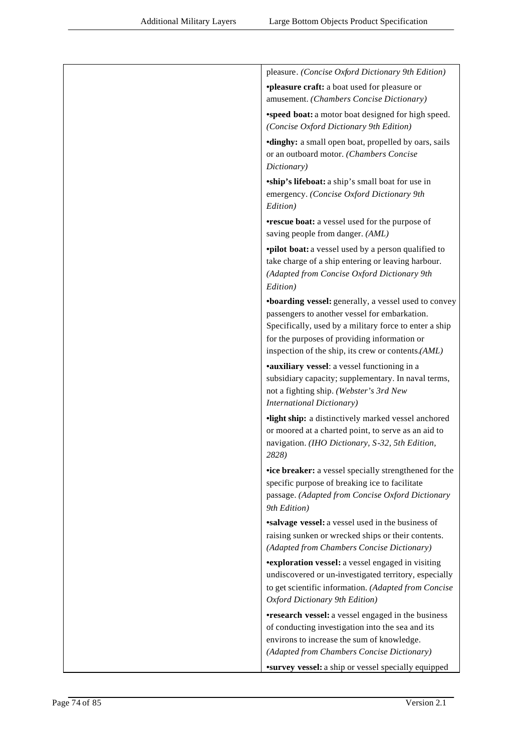| pleasure. (Concise Oxford Dictionary 9th Edition)                                                                                                                                                                                                                            |
|------------------------------------------------------------------------------------------------------------------------------------------------------------------------------------------------------------------------------------------------------------------------------|
| <b>•pleasure craft:</b> a boat used for pleasure or<br>amusement. (Chambers Concise Dictionary)                                                                                                                                                                              |
| <b>*speed boat:</b> a motor boat designed for high speed.<br>(Concise Oxford Dictionary 9th Edition)                                                                                                                                                                         |
| <b>•dinghy:</b> a small open boat, propelled by oars, sails<br>or an outboard motor. (Chambers Concise<br>Dictionary)                                                                                                                                                        |
| <i>ship's lifeboat: a ship's small boat for use in</i><br>emergency. (Concise Oxford Dictionary 9th<br>Edition)                                                                                                                                                              |
| <b>•rescue boat:</b> a vessel used for the purpose of<br>saving people from danger. (AML)                                                                                                                                                                                    |
| <b>•pilot boat:</b> a vessel used by a person qualified to<br>take charge of a ship entering or leaving harbour.<br>(Adapted from Concise Oxford Dictionary 9th<br>Edition)                                                                                                  |
| <b>*boarding vessel:</b> generally, a vessel used to convey<br>passengers to another vessel for embarkation.<br>Specifically, used by a military force to enter a ship<br>for the purposes of providing information or<br>inspection of the ship, its crew or contents.(AML) |
| •auxiliary vessel: a vessel functioning in a<br>subsidiary capacity; supplementary. In naval terms,<br>not a fighting ship. (Webster's 3rd New<br><b>International Dictionary)</b>                                                                                           |
| •light ship: a distinctively marked vessel anchored<br>or moored at a charted point, to serve as an aid to<br>navigation. (IHO Dictionary, S-32, 5th Edition,<br>2828)                                                                                                       |
| •ice breaker: a vessel specially strengthened for the<br>specific purpose of breaking ice to facilitate<br>passage. (Adapted from Concise Oxford Dictionary<br>9th Edition)                                                                                                  |
| <b>salvage vessel:</b> a vessel used in the business of<br>raising sunken or wrecked ships or their contents.<br>(Adapted from Chambers Concise Dictionary)                                                                                                                  |
| <b>*exploration vessel:</b> a vessel engaged in visiting<br>undiscovered or un-investigated territory, especially<br>to get scientific information. (Adapted from Concise<br>Oxford Dictionary 9th Edition)                                                                  |
| <b>•research vessel:</b> a vessel engaged in the business<br>of conducting investigation into the sea and its<br>environs to increase the sum of knowledge.<br>(Adapted from Chambers Concise Dictionary)                                                                    |
| <b>*survey vessel:</b> a ship or vessel specially equipped                                                                                                                                                                                                                   |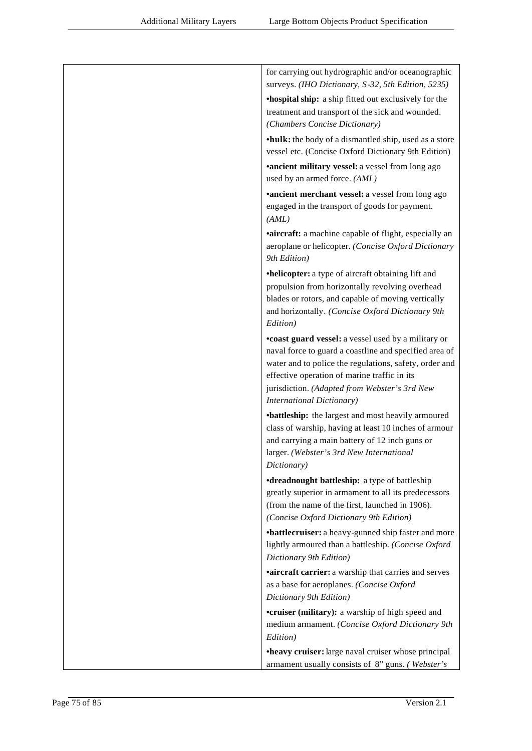| for carrying out hydrographic and/or oceanographic<br>surveys. (IHO Dictionary, S-32, 5th Edition, 5235)                                                                                                                                                                                                     |
|--------------------------------------------------------------------------------------------------------------------------------------------------------------------------------------------------------------------------------------------------------------------------------------------------------------|
| <b>•hospital ship:</b> a ship fitted out exclusively for the<br>treatment and transport of the sick and wounded.<br>(Chambers Concise Dictionary)                                                                                                                                                            |
| •hulk: the body of a dismantled ship, used as a store<br>vessel etc. (Concise Oxford Dictionary 9th Edition)                                                                                                                                                                                                 |
| <b>*ancient military vessel:</b> a vessel from long ago<br>used by an armed force. (AML)                                                                                                                                                                                                                     |
| <b>*ancient merchant vessel:</b> a vessel from long ago<br>engaged in the transport of goods for payment.<br>(AML)                                                                                                                                                                                           |
| <b>aircraft:</b> a machine capable of flight, especially an<br>aeroplane or helicopter. (Concise Oxford Dictionary<br>9th Edition)                                                                                                                                                                           |
| •helicopter: a type of aircraft obtaining lift and<br>propulsion from horizontally revolving overhead<br>blades or rotors, and capable of moving vertically<br>and horizontally. (Concise Oxford Dictionary 9th<br>Edition)                                                                                  |
| •coast guard vessel: a vessel used by a military or<br>naval force to guard a coastline and specified area of<br>water and to police the regulations, safety, order and<br>effective operation of marine traffic in its<br>jurisdiction. (Adapted from Webster's 3rd New<br><b>International Dictionary)</b> |
| •battleship: the largest and most heavily armoured<br>class of warship, having at least 10 inches of armour<br>and carrying a main battery of 12 inch guns or<br>larger. (Webster's 3rd New International<br>Dictionary)                                                                                     |
| <b>•dreadnought battleship:</b> a type of battleship<br>greatly superior in armament to all its predecessors<br>(from the name of the first, launched in 1906).<br>(Concise Oxford Dictionary 9th Edition)                                                                                                   |
| •battlecruiser: a heavy-gunned ship faster and more<br>lightly armoured than a battleship. (Concise Oxford<br>Dictionary 9th Edition)                                                                                                                                                                        |
| <b>aircraft carrier:</b> a warship that carries and serves<br>as a base for aeroplanes. (Concise Oxford<br>Dictionary 9th Edition)                                                                                                                                                                           |
| <b>•cruiser (military):</b> a warship of high speed and<br>medium armament. (Concise Oxford Dictionary 9th<br>Edition)                                                                                                                                                                                       |
| •heavy cruiser: large naval cruiser whose principal<br>armament usually consists of 8" guns. (Webster's                                                                                                                                                                                                      |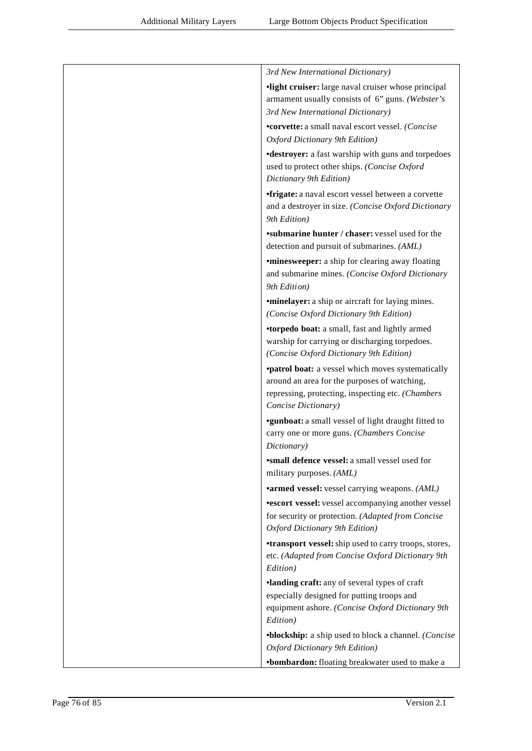| 3rd New International Dictionary)                                                                               |
|-----------------------------------------------------------------------------------------------------------------|
|                                                                                                                 |
| •light cruiser: large naval cruiser whose principal                                                             |
| armament usually consists of 6" guns. (Webster's                                                                |
| 3rd New International Dictionary)                                                                               |
| *corvette: a small naval escort vessel. (Concise                                                                |
| Oxford Dictionary 9th Edition)                                                                                  |
| <b>•destroyer:</b> a fast warship with guns and torpedoes                                                       |
| used to protect other ships. (Concise Oxford<br>Dictionary 9th Edition)                                         |
| <i>frigate: a naval escort vessel between a corvette</i><br>and a destroyer in size. (Concise Oxford Dictionary |
| 9th Edition)                                                                                                    |
| <b>*submarine hunter / chaser:</b> vessel used for the<br>detection and pursuit of submarines. (AML)            |
| <i>'minesweeper: a ship for clearing away floating</i>                                                          |
| and submarine mines. (Concise Oxford Dictionary                                                                 |
| 9th Edition)                                                                                                    |
| <b>*minelayer:</b> a ship or aircraft for laying mines.                                                         |
| (Concise Oxford Dictionary 9th Edition)                                                                         |
| •torpedo boat: a small, fast and lightly armed                                                                  |
| warship for carrying or discharging torpedoes.                                                                  |
| (Concise Oxford Dictionary 9th Edition)                                                                         |
| <b>•patrol boat:</b> a vessel which moves systematically                                                        |
| around an area for the purposes of watching,                                                                    |
| repressing, protecting, inspecting etc. (Chambers                                                               |
| Concise Dictionary)                                                                                             |
| <b>*gunboat:</b> a small vessel of light draught fitted to                                                      |
| carry one or more guns. (Chambers Concise                                                                       |
| Dictionary)                                                                                                     |
| <i><b>*small defence vessel:</b></i> a small vessel used for<br>military purposes. (AML)                        |
| <b>*armed vessel:</b> vessel carrying weapons. (AML)                                                            |
| <b>*escort vessel:</b> vessel accompanying another vessel                                                       |
| for security or protection. (Adapted from Concise                                                               |
| Oxford Dictionary 9th Edition)                                                                                  |
| <b>*transport vessel:</b> ship used to carry troops, stores,                                                    |
| etc. (Adapted from Concise Oxford Dictionary 9th                                                                |
| Edition)                                                                                                        |
| ·landing craft: any of several types of craft                                                                   |
| especially designed for putting troops and                                                                      |
| equipment ashore. (Concise Oxford Dictionary 9th                                                                |
| Edition)                                                                                                        |
| •blockship: a ship used to block a channel. (Concise                                                            |
| Oxford Dictionary 9th Edition)                                                                                  |
| •bombardon: floating breakwater used to make a                                                                  |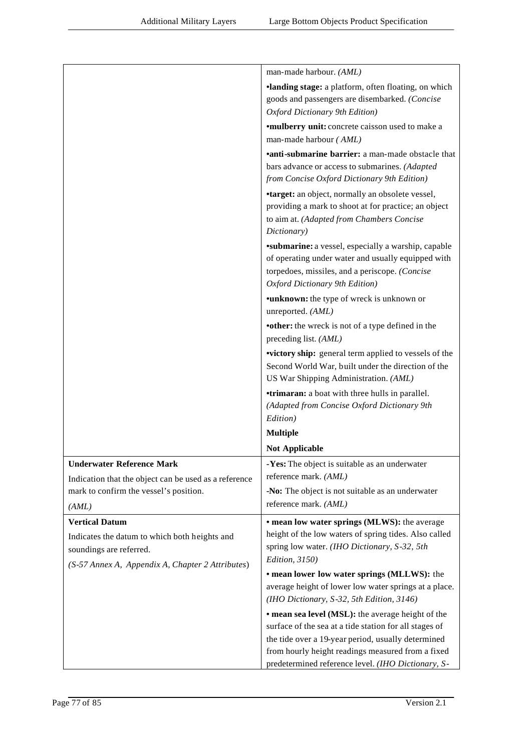|                                                                                                                              | man-made harbour. (AML)                                                                                                                                                                              |
|------------------------------------------------------------------------------------------------------------------------------|------------------------------------------------------------------------------------------------------------------------------------------------------------------------------------------------------|
|                                                                                                                              | <b>·landing stage:</b> a platform, often floating, on which                                                                                                                                          |
|                                                                                                                              | goods and passengers are disembarked. (Concise                                                                                                                                                       |
|                                                                                                                              | Oxford Dictionary 9th Edition)                                                                                                                                                                       |
|                                                                                                                              | <b>*mulberry unit:</b> concrete caisson used to make a                                                                                                                                               |
|                                                                                                                              | man-made harbour (AML)                                                                                                                                                                               |
|                                                                                                                              | •anti-submarine barrier: a man-made obstacle that<br>bars advance or access to submarines. (Adapted<br>from Concise Oxford Dictionary 9th Edition)                                                   |
|                                                                                                                              | <b>*target:</b> an object, normally an obsolete vessel,<br>providing a mark to shoot at for practice; an object<br>to aim at. (Adapted from Chambers Concise<br>Dictionary)                          |
|                                                                                                                              | <b>*submarine:</b> a vessel, especially a warship, capable<br>of operating under water and usually equipped with<br>torpedoes, missiles, and a periscope. (Concise<br>Oxford Dictionary 9th Edition) |
|                                                                                                                              | <b>•unknown:</b> the type of wreck is unknown or<br>unreported. (AML)                                                                                                                                |
|                                                                                                                              | •other: the wreck is not of a type defined in the<br>preceding list. (AML)                                                                                                                           |
|                                                                                                                              | victory ship: general term applied to vessels of the<br>Second World War, built under the direction of the<br>US War Shipping Administration. (AML)                                                  |
|                                                                                                                              | <b>•trimaran:</b> a boat with three hulls in parallel.<br>(Adapted from Concise Oxford Dictionary 9th<br>Edition)                                                                                    |
|                                                                                                                              | <b>Multiple</b>                                                                                                                                                                                      |
|                                                                                                                              | <b>Not Applicable</b>                                                                                                                                                                                |
| <b>Underwater Reference Mark</b>                                                                                             | -Yes: The object is suitable as an underwater                                                                                                                                                        |
| Indication that the object can be used as a reference                                                                        | reference mark. (AML)                                                                                                                                                                                |
| mark to confirm the vessel's position.                                                                                       | -No: The object is not suitable as an underwater                                                                                                                                                     |
| (AML)                                                                                                                        | reference mark. (AML)                                                                                                                                                                                |
| <b>Vertical Datum</b>                                                                                                        | • mean low water springs (MLWS): the average                                                                                                                                                         |
| Indicates the datum to which both heights and<br>soundings are referred.<br>(S-57 Annex A, Appendix A, Chapter 2 Attributes) | height of the low waters of spring tides. Also called<br>spring low water. (IHO Dictionary, S-32, 5th<br>Edition, 3150)                                                                              |
|                                                                                                                              | • mean lower low water springs (MLLWS): the                                                                                                                                                          |
|                                                                                                                              | average height of lower low water springs at a place.<br>(IHO Dictionary, S-32, 5th Edition, 3146)                                                                                                   |
|                                                                                                                              | • mean sea level (MSL): the average height of the                                                                                                                                                    |
|                                                                                                                              | surface of the sea at a tide station for all stages of                                                                                                                                               |
|                                                                                                                              | the tide over a 19-year period, usually determined                                                                                                                                                   |
|                                                                                                                              | from hourly height readings measured from a fixed<br>predetermined reference level. (IHO Dictionary, S-                                                                                              |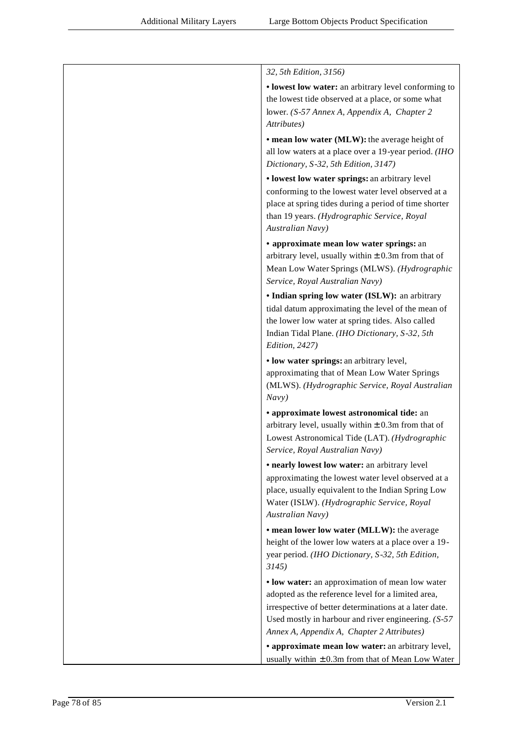| 32, 5th Edition, 3156)                                                                                                                                                                                                                                                  |
|-------------------------------------------------------------------------------------------------------------------------------------------------------------------------------------------------------------------------------------------------------------------------|
| • lowest low water: an arbitrary level conforming to<br>the lowest tide observed at a place, or some what<br>lower. (S-57 Annex A, Appendix A, Chapter 2<br>Attributes)                                                                                                 |
| • mean low water (MLW): the average height of<br>all low waters at a place over a 19-year period. (IHO<br>Dictionary, S-32, 5th Edition, 3147)                                                                                                                          |
| • lowest low water springs: an arbitrary level<br>conforming to the lowest water level observed at a<br>place at spring tides during a period of time shorter<br>than 19 years. (Hydrographic Service, Royal<br>Australian Navy)                                        |
| • approximate mean low water springs: an<br>arbitrary level, usually within $\pm$ 0.3m from that of<br>Mean Low Water Springs (MLWS). (Hydrographic<br>Service, Royal Australian Navy)                                                                                  |
| • Indian spring low water (ISLW): an arbitrary<br>tidal datum approximating the level of the mean of<br>the lower low water at spring tides. Also called<br>Indian Tidal Plane. (IHO Dictionary, S-32, 5th<br>Edition, 2427)                                            |
| • low water springs: an arbitrary level,<br>approximating that of Mean Low Water Springs<br>(MLWS). (Hydrographic Service, Royal Australian<br>Navy)                                                                                                                    |
| • approximate lowest astronomical tide: an<br>arbitrary level, usually within $\pm$ 0.3m from that of<br>Lowest Astronomical Tide (LAT). (Hydrographic<br>Service, Royal Australian Navy)                                                                               |
| • nearly lowest low water: an arbitrary level<br>approximating the lowest water level observed at a<br>place, usually equivalent to the Indian Spring Low<br>Water (ISLW). (Hydrographic Service, Royal<br>Australian Navy)                                             |
| • mean lower low water (MLLW): the average<br>height of the lower low waters at a place over a 19-<br>year period. (IHO Dictionary, S-32, 5th Edition,<br>3145                                                                                                          |
| • low water: an approximation of mean low water<br>adopted as the reference level for a limited area,<br>irrespective of better determinations at a later date.<br>Used mostly in harbour and river engineering. $(S-57)$<br>Annex A, Appendix A, Chapter 2 Attributes) |
| • approximate mean low water: an arbitrary level,<br>usually within $\pm$ 0.3m from that of Mean Low Water                                                                                                                                                              |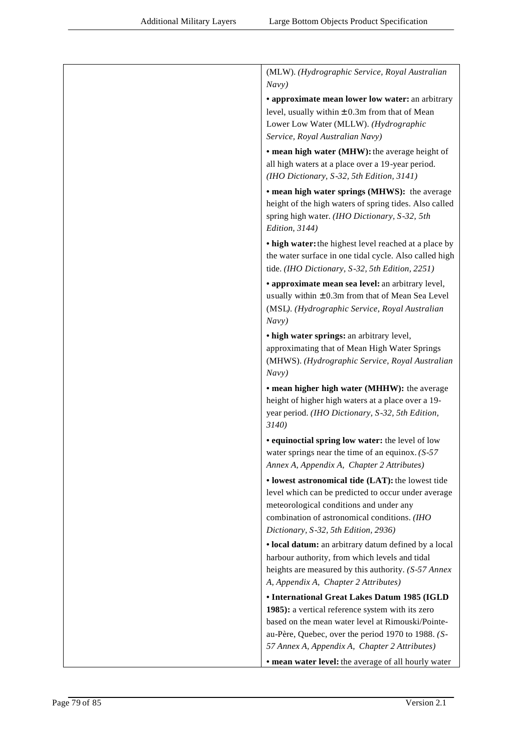| (MLW). (Hydrographic Service, Royal Australian<br>Navy)                                                   |
|-----------------------------------------------------------------------------------------------------------|
|                                                                                                           |
| • approximate mean lower low water: an arbitrary                                                          |
| level, usually within $\pm$ 0.3m from that of Mean                                                        |
| Lower Low Water (MLLW). (Hydrographic                                                                     |
| Service, Royal Australian Navy)                                                                           |
| • mean high water (MHW): the average height of                                                            |
| all high waters at a place over a 19-year period.                                                         |
| (IHO Dictionary, S-32, 5th Edition, 3141)                                                                 |
| • mean high water springs (MHWS): the average                                                             |
| height of the high waters of spring tides. Also called                                                    |
| spring high water. (IHO Dictionary, S-32, 5th                                                             |
| Edition, 3144)                                                                                            |
| • high water: the highest level reached at a place by                                                     |
| the water surface in one tidal cycle. Also called high<br>tide. (IHO Dictionary, S-32, 5th Edition, 2251) |
| • approximate mean sea level: an arbitrary level,                                                         |
| usually within $\pm$ 0.3m from that of Mean Sea Level                                                     |
| (MSL). (Hydrographic Service, Royal Australian                                                            |
| Navy)                                                                                                     |
| • high water springs: an arbitrary level,                                                                 |
| approximating that of Mean High Water Springs                                                             |
| (MHWS). (Hydrographic Service, Royal Australian                                                           |
| Navy)                                                                                                     |
| • mean higher high water (MHHW): the average                                                              |
| height of higher high waters at a place over a 19-                                                        |
| year period. (IHO Dictionary, S-32, 5th Edition,                                                          |
| 3140)                                                                                                     |
| • equinoctial spring low water: the level of low                                                          |
| water springs near the time of an equinox. $(S-57)$                                                       |
| Annex A, Appendix A, Chapter 2 Attributes)                                                                |
| • lowest astronomical tide (LAT): the lowest tide                                                         |
| level which can be predicted to occur under average                                                       |
| meteorological conditions and under any                                                                   |
| combination of astronomical conditions. (IHO                                                              |
| Dictionary, S-32, 5th Edition, 2936)                                                                      |
| • local datum: an arbitrary datum defined by a local                                                      |
| harbour authority, from which levels and tidal                                                            |
| heights are measured by this authority. (S-57 Annex                                                       |
| A, Appendix A, Chapter 2 Attributes)                                                                      |
| • International Great Lakes Datum 1985 (IGLD                                                              |
| 1985): a vertical reference system with its zero                                                          |
| based on the mean water level at Rimouski/Pointe-                                                         |
| au-Père, Quebec, over the period 1970 to 1988. (S-                                                        |
| 57 Annex A, Appendix A, Chapter 2 Attributes)                                                             |
| • mean water level: the average of all hourly water                                                       |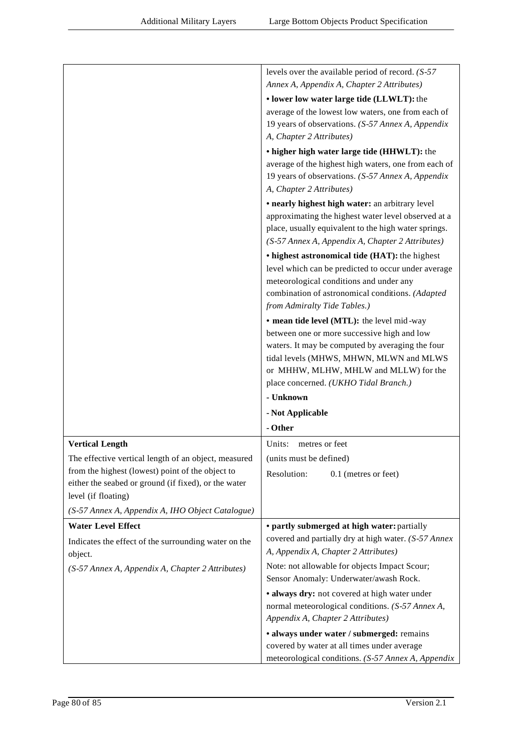|                                                                                                          | levels over the available period of record. $(S-57)$                                                                                                                                                                                 |
|----------------------------------------------------------------------------------------------------------|--------------------------------------------------------------------------------------------------------------------------------------------------------------------------------------------------------------------------------------|
|                                                                                                          | Annex A, Appendix A, Chapter 2 Attributes)                                                                                                                                                                                           |
|                                                                                                          | • lower low water large tide (LLWLT): the                                                                                                                                                                                            |
|                                                                                                          | average of the lowest low waters, one from each of<br>19 years of observations. (S-57 Annex A, Appendix                                                                                                                              |
|                                                                                                          | A, Chapter 2 Attributes)                                                                                                                                                                                                             |
|                                                                                                          | • higher high water large tide (HHWLT): the                                                                                                                                                                                          |
|                                                                                                          | average of the highest high waters, one from each of<br>19 years of observations. (S-57 Annex A, Appendix<br>A, Chapter 2 Attributes)                                                                                                |
|                                                                                                          | • nearly highest high water: an arbitrary level                                                                                                                                                                                      |
|                                                                                                          | approximating the highest water level observed at a<br>place, usually equivalent to the high water springs.<br>(S-57 Annex A, Appendix A, Chapter 2 Attributes)                                                                      |
|                                                                                                          | • highest astronomical tide (HAT): the highest<br>level which can be predicted to occur under average<br>meteorological conditions and under any<br>combination of astronomical conditions. (Adapted<br>from Admiralty Tide Tables.) |
|                                                                                                          | • mean tide level (MTL): the level mid-way                                                                                                                                                                                           |
|                                                                                                          | between one or more successive high and low                                                                                                                                                                                          |
|                                                                                                          | waters. It may be computed by averaging the four<br>tidal levels (MHWS, MHWN, MLWN and MLWS<br>or MHHW, MLHW, MHLW and MLLW) for the                                                                                                 |
|                                                                                                          | place concerned. (UKHO Tidal Branch.)                                                                                                                                                                                                |
|                                                                                                          | - Unknown                                                                                                                                                                                                                            |
|                                                                                                          | - Not Applicable                                                                                                                                                                                                                     |
|                                                                                                          | - Other                                                                                                                                                                                                                              |
| <b>Vertical Length</b>                                                                                   | metres or feet<br>Units:                                                                                                                                                                                                             |
| The effective vertical length of an object, measured                                                     | (units must be defined)                                                                                                                                                                                                              |
| from the highest (lowest) point of the object to<br>either the seabed or ground (if fixed), or the water | Resolution:<br>0.1 (metres or feet)                                                                                                                                                                                                  |
| level (if floating)                                                                                      |                                                                                                                                                                                                                                      |
| (S-57 Annex A, Appendix A, IHO Object Catalogue)                                                         |                                                                                                                                                                                                                                      |
| <b>Water Level Effect</b>                                                                                | • partly submerged at high water: partially                                                                                                                                                                                          |
| Indicates the effect of the surrounding water on the<br>object.                                          | covered and partially dry at high water. (S-57 Annex<br>A, Appendix A, Chapter 2 Attributes)                                                                                                                                         |
| (S-57 Annex A, Appendix A, Chapter 2 Attributes)                                                         | Note: not allowable for objects Impact Scour;<br>Sensor Anomaly: Underwater/awash Rock.                                                                                                                                              |
|                                                                                                          | · always dry: not covered at high water under                                                                                                                                                                                        |
|                                                                                                          | normal meteorological conditions. (S-57 Annex A,<br>Appendix A, Chapter 2 Attributes)                                                                                                                                                |
|                                                                                                          | · always under water / submerged: remains<br>covered by water at all times under average<br>meteorological conditions. (S-57 Annex A, Appendix                                                                                       |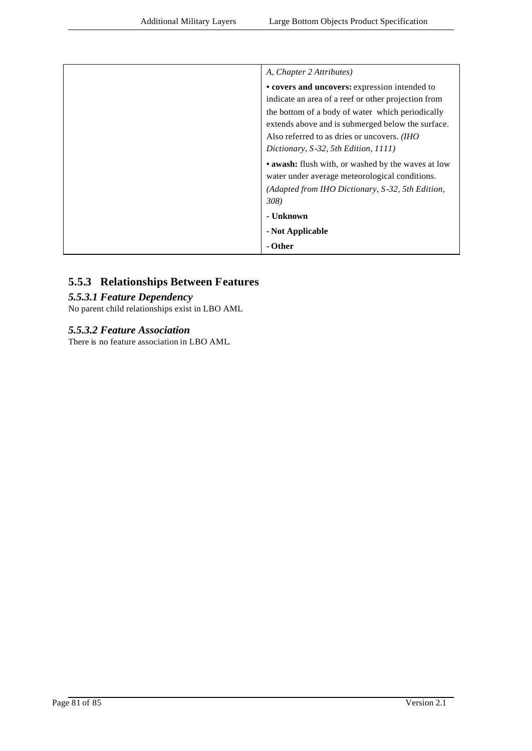| A, Chapter 2 Attributes)                                                                             |
|------------------------------------------------------------------------------------------------------|
| • covers and uncovers: expression intended to                                                        |
| indicate an area of a reef or other projection from                                                  |
| the bottom of a body of water which periodically                                                     |
| extends above and is submerged below the surface.                                                    |
| Also referred to as dries or uncovers. <i>(IHO</i> )                                                 |
| Dictionary, S-32, 5th Edition, 1111)                                                                 |
| • awash: flush with, or washed by the waves at low<br>water under average meteorological conditions. |
| (Adapted from IHO Dictionary, S-32, 5th Edition,                                                     |
| 308)                                                                                                 |
| - Unknown                                                                                            |
| - Not Applicable                                                                                     |
| - Other                                                                                              |

# **5.5.3 Relationships Between Features**

#### *5.5.3.1 Feature Dependency*

No parent child relationships exist in LBO AML

#### *5.5.3.2 Feature Association*

There is no feature association in LBO AML.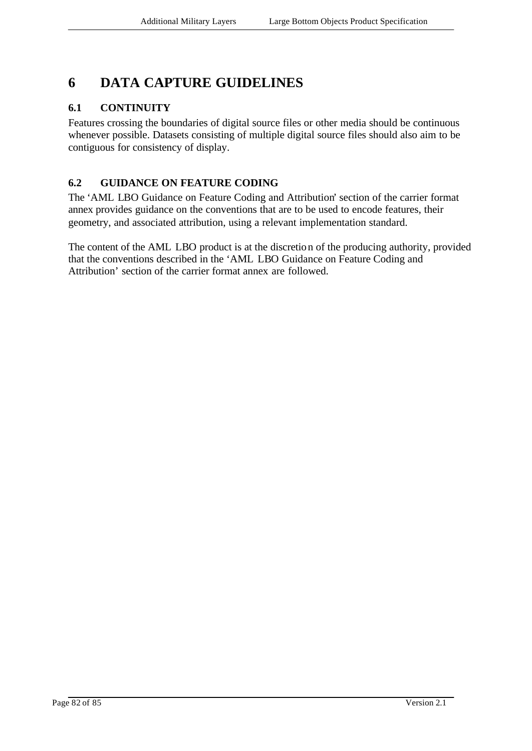# **6 DATA CAPTURE GUIDELINES**

### **6.1 CONTINUITY**

Features crossing the boundaries of digital source files or other media should be continuous whenever possible. Datasets consisting of multiple digital source files should also aim to be contiguous for consistency of display.

## **6.2 GUIDANCE ON FEATURE CODING**

The 'AML LBO Guidance on Feature Coding and Attribution' section of the carrier format annex provides guidance on the conventions that are to be used to encode features, their geometry, and associated attribution, using a relevant implementation standard.

The content of the AML LBO product is at the discretion of the producing authority, provided that the conventions described in the 'AML LBO Guidance on Feature Coding and Attribution' section of the carrier format annex are followed.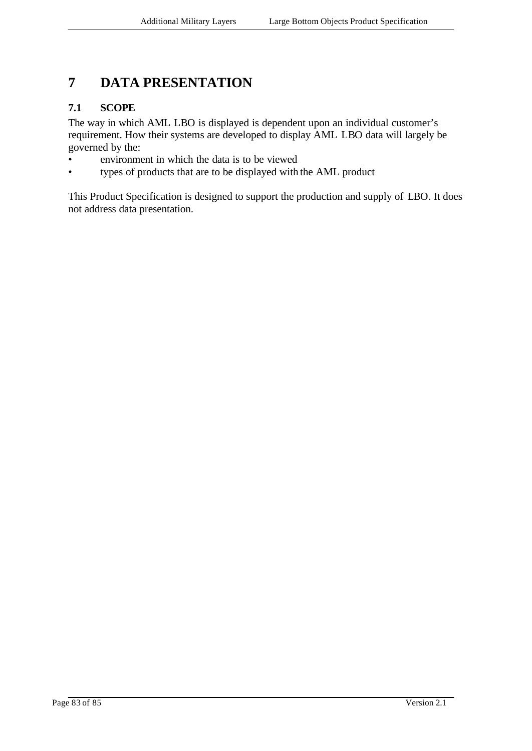# **7 DATA PRESENTATION**

### **7.1 SCOPE**

The way in which AML LBO is displayed is dependent upon an individual customer's requirement. How their systems are developed to display AML LBO data will largely be governed by the:

- environment in which the data is to be viewed
- types of products that are to be displayed with the AML product

This Product Specification is designed to support the production and supply of LBO. It does not address data presentation.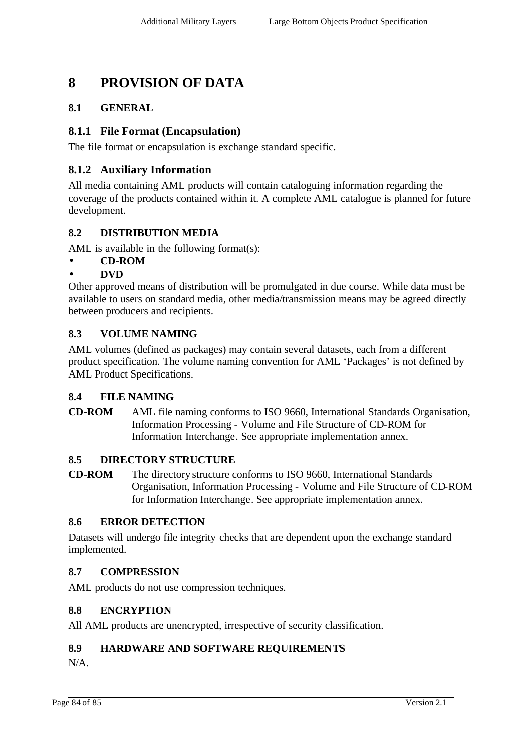# **8 PROVISION OF DATA**

### **8.1 GENERAL**

#### **8.1.1 File Format (Encapsulation)**

The file format or encapsulation is exchange standard specific.

### **8.1.2 Auxiliary Information**

All media containing AML products will contain cataloguing information regarding the coverage of the products contained within it. A complete AML catalogue is planned for future development.

#### **8.2 DISTRIBUTION MEDIA**

AML is available in the following format(s):

### • **CD-ROM**

#### • **DVD**

Other approved means of distribution will be promulgated in due course. While data must be available to users on standard media, other media/transmission means may be agreed directly between producers and recipients.

#### **8.3 VOLUME NAMING**

AML volumes (defined as packages) may contain several datasets, each from a different product specification. The volume naming convention for AML 'Packages' is not defined by AML Product Specifications.

#### **8.4 FILE NAMING**

**CD-ROM** AML file naming conforms to ISO 9660, International Standards Organisation, Information Processing - Volume and File Structure of CD-ROM for Information Interchange. See appropriate implementation annex.

#### **8.5 DIRECTORY STRUCTURE**

**CD-ROM** The directory structure conforms to ISO 9660, International Standards Organisation, Information Processing - Volume and File Structure of CD-ROM for Information Interchange. See appropriate implementation annex.

#### **8.6 ERROR DETECTION**

Datasets will undergo file integrity checks that are dependent upon the exchange standard implemented.

### **8.7 COMPRESSION**

AML products do not use compression techniques.

#### **8.8 ENCRYPTION**

All AML products are unencrypted, irrespective of security classification.

### **8.9 HARDWARE AND SOFTWARE REQUIREMENTS**

N/A.